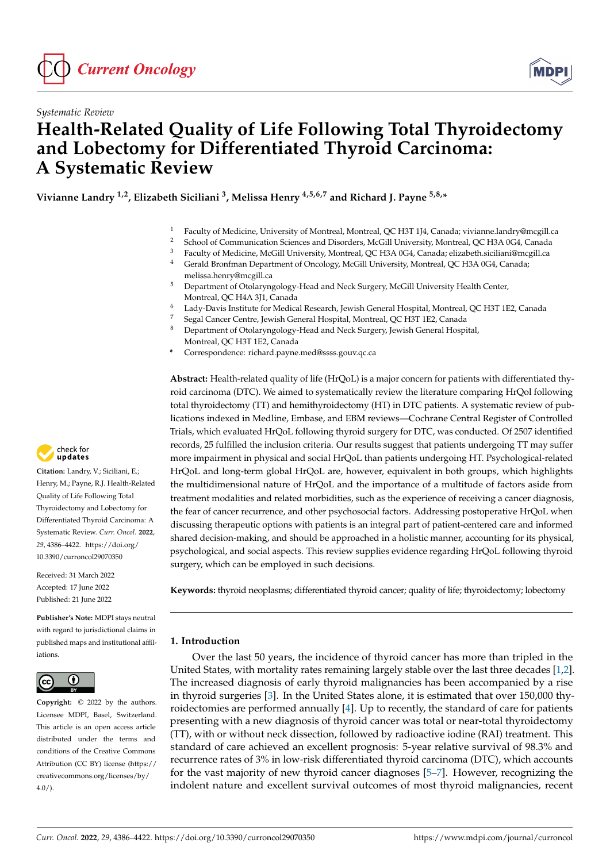

# *Systematic Review* **Health-Related Quality of Life Following Total Thyroidectomy and Lobectomy for Differentiated Thyroid Carcinoma: A Systematic Review**

**Vivianne Landry 1,2, Elizabeth Siciliani <sup>3</sup> , Melissa Henry 4,5,6,7 and Richard J. Payne 5,8,\***

- <sup>1</sup> Faculty of Medicine, University of Montreal, Montreal, QC H3T 1J4, Canada; vivianne.landry@mcgill.ca
- <sup>2</sup> School of Communication Sciences and Disorders, McGill University, Montreal, QC H3A 0G4, Canada<br><sup>3</sup> Easylty of Medisine McGill University, Montreal, QC H3A 0G4, Canada elizabeth sisiliani@maxill.co
- <sup>3</sup> Faculty of Medicine, McGill University, Montreal, QC H3A 0G4, Canada; elizabeth.siciliani@mcgill.ca
- <sup>4</sup> Gerald Bronfman Department of Oncology, McGill University, Montreal, QC H3A 0G4, Canada; melissa.henry@mcgill.ca
- <sup>5</sup> Department of Otolaryngology-Head and Neck Surgery, McGill University Health Center, Montreal, QC H4A 3J1, Canada
- <sup>6</sup> Lady-Davis Institute for Medical Research, Jewish General Hospital, Montreal, QC H3T 1E2, Canada
- <sup>7</sup> Segal Cancer Centre, Jewish General Hospital, Montreal, QC H3T 1E2, Canada<br><sup>8</sup> December 1201-12 Transportation Hoad and Neak Surgery Jewish General Hospi <sup>8</sup> Department of Otolaryngology-Head and Neck Surgery, Jewish General Hospital, Montreal, QC H3T 1E2, Canada
- **\*** Correspondence: richard.payne.med@ssss.gouv.qc.ca

**Abstract:** Health-related quality of life (HrQoL) is a major concern for patients with differentiated thyroid carcinoma (DTC). We aimed to systematically review the literature comparing HrQol following total thyroidectomy (TT) and hemithyroidectomy (HT) in DTC patients. A systematic review of publications indexed in Medline, Embase, and EBM reviews—Cochrane Central Register of Controlled Trials, which evaluated HrQoL following thyroid surgery for DTC, was conducted. Of 2507 identified records, 25 fulfilled the inclusion criteria. Our results suggest that patients undergoing TT may suffer more impairment in physical and social HrQoL than patients undergoing HT. Psychological-related HrQoL and long-term global HrQoL are, however, equivalent in both groups, which highlights the multidimensional nature of HrQoL and the importance of a multitude of factors aside from treatment modalities and related morbidities, such as the experience of receiving a cancer diagnosis, the fear of cancer recurrence, and other psychosocial factors. Addressing postoperative HrQoL when discussing therapeutic options with patients is an integral part of patient-centered care and informed shared decision-making, and should be approached in a holistic manner, accounting for its physical, psychological, and social aspects. This review supplies evidence regarding HrQoL following thyroid surgery, which can be employed in such decisions.

**Keywords:** thyroid neoplasms; differentiated thyroid cancer; quality of life; thyroidectomy; lobectomy

## **1. Introduction**

Over the last 50 years, the incidence of thyroid cancer has more than tripled in the United States, with mortality rates remaining largely stable over the last three decades [\[1](#page-32-0)[,2\]](#page-32-1). The increased diagnosis of early thyroid malignancies has been accompanied by a rise in thyroid surgeries [\[3\]](#page-32-2). In the United States alone, it is estimated that over 150,000 thyroidectomies are performed annually [\[4\]](#page-32-3). Up to recently, the standard of care for patients presenting with a new diagnosis of thyroid cancer was total or near-total thyroidectomy (TT), with or without neck dissection, followed by radioactive iodine (RAI) treatment. This standard of care achieved an excellent prognosis: 5-year relative survival of 98.3% and recurrence rates of 3% in low-risk differentiated thyroid carcinoma (DTC), which accounts for the vast majority of new thyroid cancer diagnoses [\[5](#page-32-4)[–7\]](#page-32-5). However, recognizing the indolent nature and excellent survival outcomes of most thyroid malignancies, recent



**Citation:** Landry, V.; Siciliani, E.; Henry, M.; Payne, R.J. Health-Related Quality of Life Following Total Thyroidectomy and Lobectomy for Differentiated Thyroid Carcinoma: A Systematic Review. *Curr. Oncol.* **2022**, *29*, 4386–4422. [https://doi.org/](https://doi.org/10.3390/curroncol29070350) [10.3390/curroncol29070350](https://doi.org/10.3390/curroncol29070350)

Received: 31 March 2022 Accepted: 17 June 2022 Published: 21 June 2022

**Publisher's Note:** MDPI stays neutral with regard to jurisdictional claims in published maps and institutional affiliations.



**Copyright:** © 2022 by the authors. Licensee MDPI, Basel, Switzerland. This article is an open access article distributed under the terms and conditions of the Creative Commons Attribution (CC BY) license [\(https://](https://creativecommons.org/licenses/by/4.0/) [creativecommons.org/licenses/by/](https://creativecommons.org/licenses/by/4.0/)  $4.0/$ ).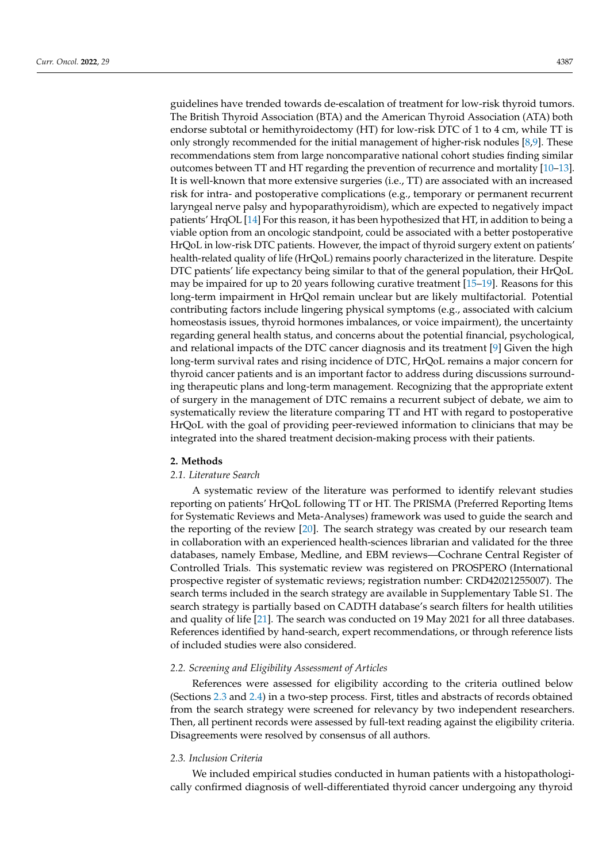guidelines have trended towards de-escalation of treatment for low-risk thyroid tumors. The British Thyroid Association (BTA) and the American Thyroid Association (ATA) both endorse subtotal or hemithyroidectomy (HT) for low-risk DTC of 1 to 4 cm, while TT is only strongly recommended for the initial management of higher-risk nodules [\[8,](#page-32-6)[9\]](#page-33-0). These recommendations stem from large noncomparative national cohort studies finding similar outcomes between TT and HT regarding the prevention of recurrence and mortality [\[10](#page-33-1)[–13\]](#page-33-2). It is well-known that more extensive surgeries (i.e., TT) are associated with an increased risk for intra- and postoperative complications (e.g., temporary or permanent recurrent laryngeal nerve palsy and hypoparathyroidism), which are expected to negatively impact patients' HrqOL [\[14\]](#page-33-3) For this reason, it has been hypothesized that HT, in addition to being a viable option from an oncologic standpoint, could be associated with a better postoperative HrQoL in low-risk DTC patients. However, the impact of thyroid surgery extent on patients' health-related quality of life (HrQoL) remains poorly characterized in the literature. Despite DTC patients' life expectancy being similar to that of the general population, their HrQoL may be impaired for up to 20 years following curative treatment [\[15](#page-33-4)[–19\]](#page-33-5). Reasons for this long-term impairment in HrQol remain unclear but are likely multifactorial. Potential contributing factors include lingering physical symptoms (e.g., associated with calcium homeostasis issues, thyroid hormones imbalances, or voice impairment), the uncertainty regarding general health status, and concerns about the potential financial, psychological, and relational impacts of the DTC cancer diagnosis and its treatment [\[9\]](#page-33-0) Given the high long-term survival rates and rising incidence of DTC, HrQoL remains a major concern for thyroid cancer patients and is an important factor to address during discussions surrounding therapeutic plans and long-term management. Recognizing that the appropriate extent of surgery in the management of DTC remains a recurrent subject of debate, we aim to systematically review the literature comparing TT and HT with regard to postoperative HrQoL with the goal of providing peer-reviewed information to clinicians that may be integrated into the shared treatment decision-making process with their patients.

#### **2. Methods**

#### *2.1. Literature Search*

A systematic review of the literature was performed to identify relevant studies reporting on patients' HrQoL following TT or HT. The PRISMA (Preferred Reporting Items for Systematic Reviews and Meta-Analyses) framework was used to guide the search and the reporting of the review [\[20\]](#page-33-6). The search strategy was created by our research team in collaboration with an experienced health-sciences librarian and validated for the three databases, namely Embase, Medline, and EBM reviews—Cochrane Central Register of Controlled Trials. This systematic review was registered on PROSPERO (International prospective register of systematic reviews; registration number: CRD42021255007). The search terms included in the search strategy are available in Supplementary Table S1. The search strategy is partially based on CADTH database's search filters for health utilities and quality of life [\[21\]](#page-33-7). The search was conducted on 19 May 2021 for all three databases. References identified by hand-search, expert recommendations, or through reference lists of included studies were also considered.

#### *2.2. Screening and Eligibility Assessment of Articles*

References were assessed for eligibility according to the criteria outlined below (Sections [2.3](#page-1-0) and [2.4\)](#page-2-0) in a two-step process. First, titles and abstracts of records obtained from the search strategy were screened for relevancy by two independent researchers. Then, all pertinent records were assessed by full-text reading against the eligibility criteria. Disagreements were resolved by consensus of all authors.

#### <span id="page-1-0"></span>*2.3. Inclusion Criteria*

We included empirical studies conducted in human patients with a histopathologically confirmed diagnosis of well-differentiated thyroid cancer undergoing any thyroid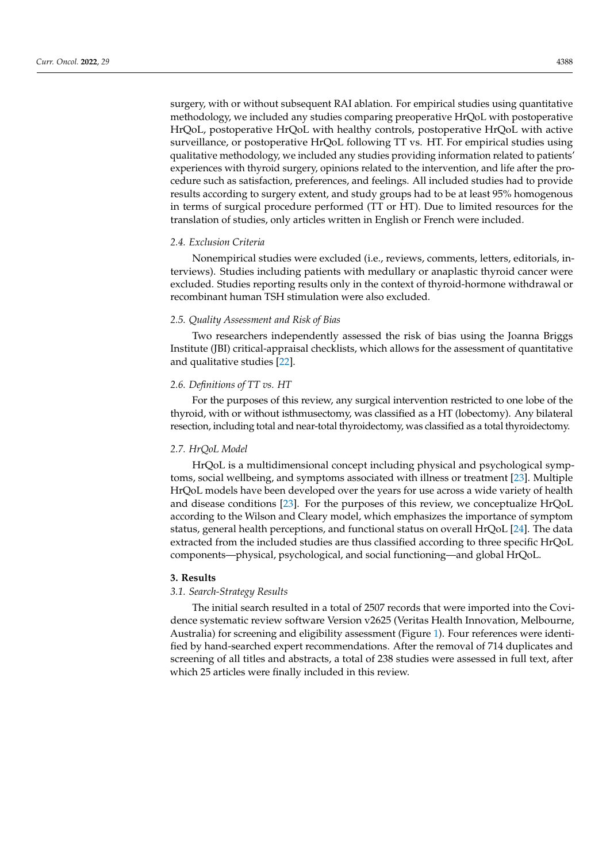surgery, with or without subsequent RAI ablation. For empirical studies using quantitative methodology, we included any studies comparing preoperative HrQoL with postoperative HrQoL, postoperative HrQoL with healthy controls, postoperative HrQoL with active surveillance, or postoperative HrQoL following TT vs. HT. For empirical studies using qualitative methodology, we included any studies providing information related to patients' experiences with thyroid surgery, opinions related to the intervention, and life after the procedure such as satisfaction, preferences, and feelings. All included studies had to provide results according to surgery extent, and study groups had to be at least 95% homogenous in terms of surgical procedure performed (TT or HT). Due to limited resources for the translation of studies, only articles written in English or French were included.

## <span id="page-2-0"></span>*2.4. Exclusion Criteria*

Nonempirical studies were excluded (i.e., reviews, comments, letters, editorials, interviews). Studies including patients with medullary or anaplastic thyroid cancer were excluded. Studies reporting results only in the context of thyroid-hormone withdrawal or recombinant human TSH stimulation were also excluded.

#### *2.5. Quality Assessment and Risk of Bias*

Two researchers independently assessed the risk of bias using the Joanna Briggs Institute (JBI) critical-appraisal checklists, which allows for the assessment of quantitative and qualitative studies [\[22\]](#page-33-8).

### *2.6. Definitions of TT vs. HT*

For the purposes of this review, any surgical intervention restricted to one lobe of the thyroid, with or without isthmusectomy, was classified as a HT (lobectomy). Any bilateral resection, including total and near-total thyroidectomy, was classified as a total thyroidectomy.

#### *2.7. HrQoL Model*

HrQoL is a multidimensional concept including physical and psychological symptoms, social wellbeing, and symptoms associated with illness or treatment [\[23\]](#page-33-9). Multiple HrQoL models have been developed over the years for use across a wide variety of health and disease conditions [\[23\]](#page-33-9). For the purposes of this review, we conceptualize HrQoL according to the Wilson and Cleary model, which emphasizes the importance of symptom status, general health perceptions, and functional status on overall HrQoL [\[24\]](#page-33-10). The data extracted from the included studies are thus classified according to three specific HrQoL components—physical, psychological, and social functioning—and global HrQoL.

### **3. Results**

#### *3.1. Search-Strategy Results*

The initial search resulted in a total of 2507 records that were imported into the Covidence systematic review software Version v2625 (Veritas Health Innovation, Melbourne, Australia) for screening and eligibility assessment (Figure [1\)](#page-3-0). Four references were identified by hand-searched expert recommendations. After the removal of 714 duplicates and screening of all titles and abstracts, a total of 238 studies were assessed in full text, after which 25 articles were finally included in this review.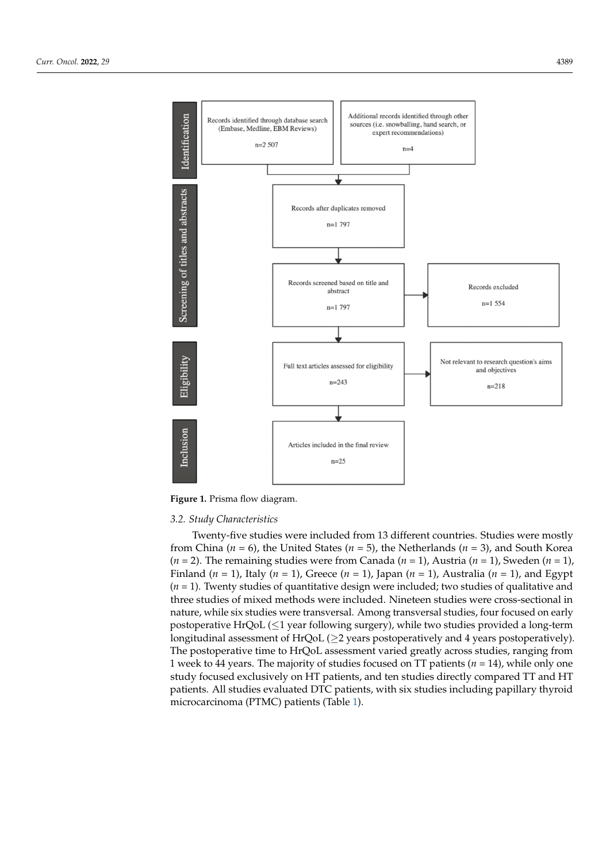<span id="page-3-0"></span>

**Figure 1.** Prisma flow diagram.

#### **Figure 1.** Prisma flow diagram. *3.2. Study Characteristics*

*3.2. Study Characteristics*  Twenty-five studies were included from 13 different countries. Studies were mostly  $(n = 2)$ . The remaining studies were from Canada (*n* = 1), Austria (*n* = 1), Sweden (*n* = 1),  $(n = 1)$ , Finland ( $n = 1$ ), Italy ( $n = 1$ ), Greece ( $n = 1$ ), Japan ( $n = 1$ ), Australia ( $n = 1$ ), and Egypt (*n* = 1). Twenty studies of quantitative design were included; two studies of qualitative and three studies of mixed methods were included. Nineteen studies were cross-sectional in nature, while six studies were transversal. Among transversal studies, four focused on early postoperative HrQoL ( $\leq$ 1 year following surgery), while two studies provided a long-term longitudinal assessment of HrQoL ( $\geq$ 2 years postoperatively and 4 years postoperatively). The postoperative time to HrQoL assessment varied greatly across studies, ranging from<br>1 years to 14 years. The mainwith of studies forward an TT nationta (*u* = 14), while and a reatuding to Hr  $\chi$  and HT ( $\chi$ ) and  $\chi$  and  $\chi$  and  $\chi$  and  $\chi$  and  $\chi$  and  $\chi$  and  $\chi$  and  $\chi$  and  $\chi$  and  $\chi$  and  $\chi$  and  $\chi$  and  $\chi$  and  $\chi$  and  $\chi$  and  $\chi$  and  $\chi$  and  $\chi$  and  $\chi$  and  $\chi$  and  $\chi$  patients. All studies evaluated DTC patients, with six studies including papillary thyroid microcarcinoma (PTMC) patients (Table 1). from China (*n* = 6), the United States (*n* = 5), the Netherlands (*n* = 3), and South Korea 1 week to 44 years. The majority of studies focused on TT patients (*n* = 14), while only one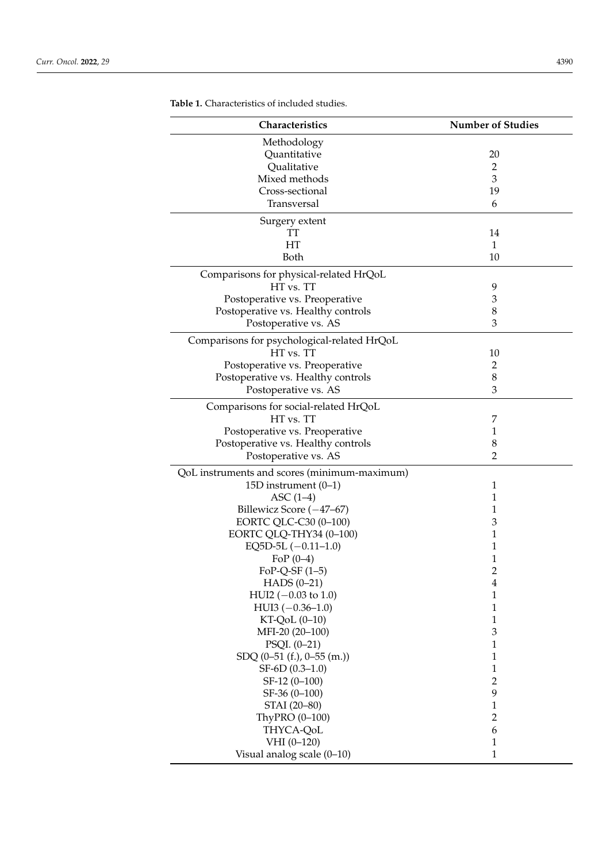| Characteristics                              | <b>Number of Studies</b>  |
|----------------------------------------------|---------------------------|
| Methodology                                  |                           |
| Quantitative                                 | 20                        |
| Qualitative                                  | $\overline{2}$            |
| Mixed methods                                | 3                         |
| Cross-sectional                              | 19                        |
| Transversal                                  | 6                         |
|                                              |                           |
| Surgery extent                               |                           |
| ТT                                           | 14                        |
| HT                                           | $\mathbf{1}$              |
| Both                                         | 10                        |
| Comparisons for physical-related HrQoL       |                           |
| HT vs. TT                                    | 9                         |
| Postoperative vs. Preoperative               | $\ensuremath{\mathsf{3}}$ |
| Postoperative vs. Healthy controls           | 8                         |
| Postoperative vs. AS                         | 3                         |
|                                              |                           |
| Comparisons for psychological-related HrQoL  |                           |
| HT vs. TT                                    | 10                        |
| Postoperative vs. Preoperative               | 2                         |
| Postoperative vs. Healthy controls           | 8                         |
| Postoperative vs. AS                         | 3                         |
| Comparisons for social-related HrQoL         |                           |
| HT vs. TT                                    | 7                         |
| Postoperative vs. Preoperative               | 1                         |
| Postoperative vs. Healthy controls           | 8                         |
| Postoperative vs. AS                         | 2                         |
| QoL instruments and scores (minimum-maximum) |                           |
| 15D instrument $(0-1)$                       | $\mathbf{1}$              |
| ASC $(1-4)$                                  | 1                         |
| Billewicz Score $(-47-67)$                   | 1                         |
| EORTC QLC-C30 (0-100)                        | 3                         |
| EORTC QLQ-THY34 (0-100)                      | 1                         |
| EQ5D-5L $(-0.11-1.0)$                        | 1                         |
| Fo $P(0-4)$                                  | 1                         |
| $FoP-Q-SF(1-5)$                              | $\overline{c}$            |
| HADS $(0-21)$                                | $\overline{4}$            |
| $HUI2 (-0.03 to 1.0)$                        | $\mathbf{1}$              |
| $HUI3 (-0.36-1.0)$                           | $\mathbf 1$               |
| KT-QoL (0-10)                                | $\mathbf{1}$              |
| MFI-20 (20-100)                              | 3                         |
| PSQI. (0-21)                                 | $\mathbf 1$               |
| SDQ $(0-51$ (f.), $0-55$ (m.))               | $\mathbf 1$               |
| $SF-6D(0.3-1.0)$                             | $\mathbf{1}$              |
| SF-12 (0-100)                                | $\mathbf{2}$              |
| SF-36 (0-100)                                | 9                         |
| STAI (20-80)                                 | $\mathbf{1}$              |
| ThyPRO (0-100)                               | $\mathbf{2}$              |
| THYCA-QoL                                    | 6                         |
|                                              | $\mathbf{1}$              |
| VHI (0-120)<br>Visual analog scale (0-10)    | $\mathbf{1}$              |
|                                              |                           |

<span id="page-4-0"></span>**Table 1.** Characteristics of included studies.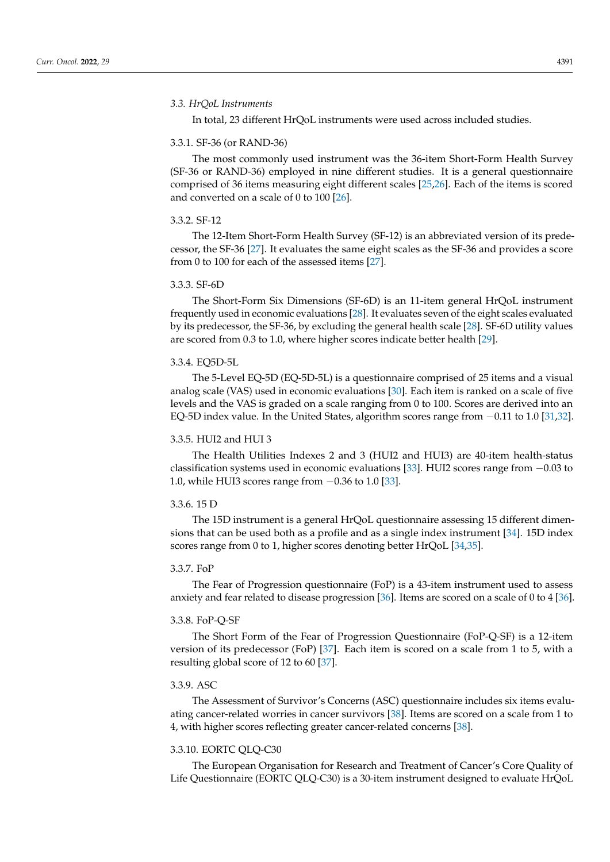#### *3.3. HrQoL Instruments*

In total, 23 different HrQoL instruments were used across included studies.

#### 3.3.1. SF-36 (or RAND-36)

The most commonly used instrument was the 36-item Short-Form Health Survey (SF-36 or RAND-36) employed in nine different studies. It is a general questionnaire comprised of 36 items measuring eight different scales [\[25,](#page-33-11)[26\]](#page-33-12). Each of the items is scored and converted on a scale of 0 to 100 [\[26\]](#page-33-12).

## 3.3.2. SF-12

The 12-Item Short-Form Health Survey (SF-12) is an abbreviated version of its predecessor, the SF-36 [\[27\]](#page-33-13). It evaluates the same eight scales as the SF-36 and provides a score from 0 to 100 for each of the assessed items [\[27\]](#page-33-13).

## 3.3.3. SF-6D

The Short-Form Six Dimensions (SF-6D) is an 11-item general HrQoL instrument frequently used in economic evaluations [\[28\]](#page-33-14). It evaluates seven of the eight scales evaluated by its predecessor, the SF-36, by excluding the general health scale [\[28\]](#page-33-14). SF-6D utility values are scored from 0.3 to 1.0, where higher scores indicate better health [\[29\]](#page-33-15).

#### 3.3.4. EQ5D-5L

The 5-Level EQ-5D (EQ-5D-5L) is a questionnaire comprised of 25 items and a visual analog scale (VAS) used in economic evaluations [\[30\]](#page-33-16). Each item is ranked on a scale of five levels and the VAS is graded on a scale ranging from 0 to 100. Scores are derived into an EQ-5D index value. In the United States, algorithm scores range from −0.11 to 1.0 [\[31](#page-33-17)[,32\]](#page-33-18).

### 3.3.5. HUI2 and HUI 3

The Health Utilities Indexes 2 and 3 (HUI2 and HUI3) are 40-item health-status classification systems used in economic evaluations [\[33\]](#page-33-19). HUI2 scores range from −0.03 to 1.0, while HUI3 scores range from −0.36 to 1.0 [\[33\]](#page-33-19).

### 3.3.6. 15 D

The 15D instrument is a general HrQoL questionnaire assessing 15 different dimensions that can be used both as a profile and as a single index instrument [\[34\]](#page-33-20). 15D index scores range from 0 to 1, higher scores denoting better HrQoL [\[34,](#page-33-20)[35\]](#page-33-21).

#### 3.3.7. FoP

The Fear of Progression questionnaire (FoP) is a 43-item instrument used to assess anxiety and fear related to disease progression [\[36\]](#page-34-0). Items are scored on a scale of 0 to 4 [\[36\]](#page-34-0).

#### 3.3.8. FoP-Q-SF

The Short Form of the Fear of Progression Questionnaire (FoP-Q-SF) is a 12-item version of its predecessor (FoP) [\[37\]](#page-34-1). Each item is scored on a scale from 1 to 5, with a resulting global score of 12 to 60 [\[37\]](#page-34-1).

#### 3.3.9. ASC

The Assessment of Survivor's Concerns (ASC) questionnaire includes six items evaluating cancer-related worries in cancer survivors [\[38\]](#page-34-2). Items are scored on a scale from 1 to 4, with higher scores reflecting greater cancer-related concerns [\[38\]](#page-34-2).

#### 3.3.10. EORTC QLQ-C30

The European Organisation for Research and Treatment of Cancer's Core Quality of Life Questionnaire (EORTC QLQ-C30) is a 30-item instrument designed to evaluate HrQoL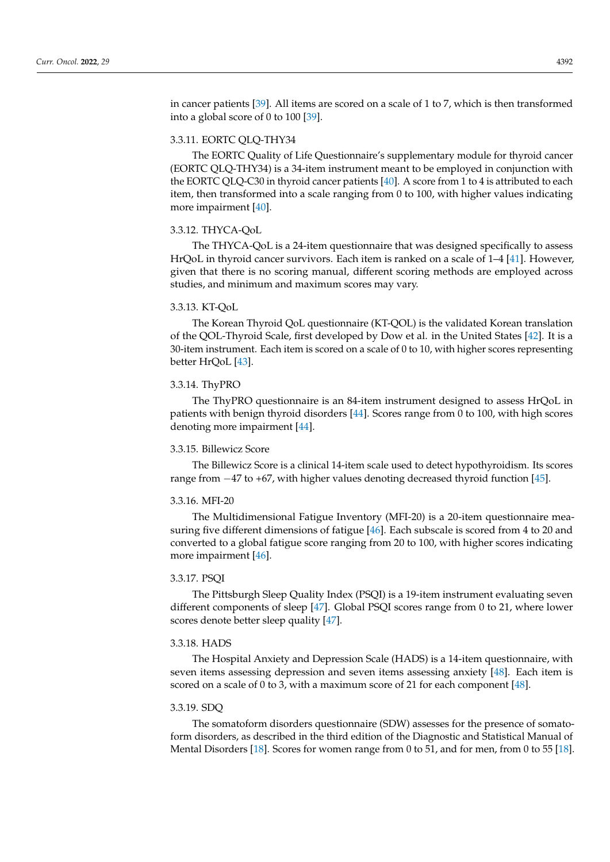in cancer patients [\[39\]](#page-34-3). All items are scored on a scale of 1 to 7, which is then transformed into a global score of 0 to 100 [\[39\]](#page-34-3).

## 3.3.11. EORTC QLQ-THY34

The EORTC Quality of Life Questionnaire's supplementary module for thyroid cancer (EORTC QLQ-THY34) is a 34-item instrument meant to be employed in conjunction with the EORTC QLQ-C30 in thyroid cancer patients [\[40\]](#page-34-4). A score from 1 to 4 is attributed to each item, then transformed into a scale ranging from 0 to 100, with higher values indicating more impairment [\[40\]](#page-34-4).

## 3.3.12. THYCA-QoL

The THYCA-QoL is a 24-item questionnaire that was designed specifically to assess HrQoL in thyroid cancer survivors. Each item is ranked on a scale of 1–4 [\[41\]](#page-34-5). However, given that there is no scoring manual, different scoring methods are employed across studies, and minimum and maximum scores may vary.

## 3.3.13. KT-QoL

The Korean Thyroid QoL questionnaire (KT-QOL) is the validated Korean translation of the QOL-Thyroid Scale, first developed by Dow et al. in the United States [\[42\]](#page-34-6). It is a 30-item instrument. Each item is scored on a scale of 0 to 10, with higher scores representing better HrQoL [\[43\]](#page-34-7).

### 3.3.14. ThyPRO

The ThyPRO questionnaire is an 84-item instrument designed to assess HrQoL in patients with benign thyroid disorders [\[44\]](#page-34-8). Scores range from 0 to 100, with high scores denoting more impairment [\[44\]](#page-34-8).

#### 3.3.15. Billewicz Score

The Billewicz Score is a clinical 14-item scale used to detect hypothyroidism. Its scores range from −47 to +67, with higher values denoting decreased thyroid function [\[45\]](#page-34-9).

#### 3.3.16. MFI-20

The Multidimensional Fatigue Inventory (MFI-20) is a 20-item questionnaire measuring five different dimensions of fatigue [\[46\]](#page-34-10). Each subscale is scored from 4 to 20 and converted to a global fatigue score ranging from 20 to 100, with higher scores indicating more impairment [\[46\]](#page-34-10).

### 3.3.17. PSQI

The Pittsburgh Sleep Quality Index (PSQI) is a 19-item instrument evaluating seven different components of sleep [\[47\]](#page-34-11). Global PSQI scores range from 0 to 21, where lower scores denote better sleep quality [\[47\]](#page-34-11).

#### 3.3.18. HADS

The Hospital Anxiety and Depression Scale (HADS) is a 14-item questionnaire, with seven items assessing depression and seven items assessing anxiety [\[48\]](#page-34-12). Each item is scored on a scale of 0 to 3, with a maximum score of 21 for each component [\[48\]](#page-34-12).

#### 3.3.19. SDQ

The somatoform disorders questionnaire (SDW) assesses for the presence of somatoform disorders, as described in the third edition of the Diagnostic and Statistical Manual of Mental Disorders [\[18\]](#page-33-22). Scores for women range from 0 to 51, and for men, from 0 to 55 [18].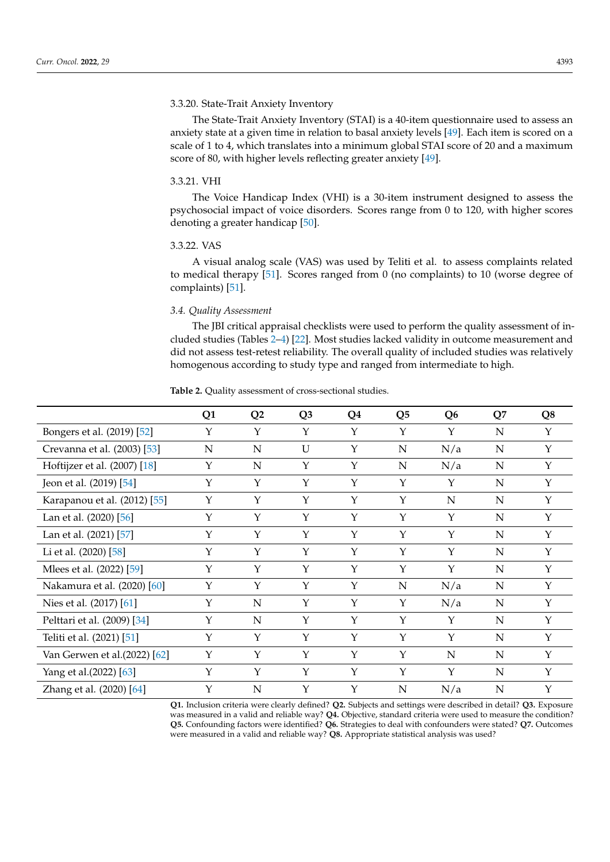## 3.3.20. State-Trait Anxiety Inventory

The State-Trait Anxiety Inventory (STAI) is a 40-item questionnaire used to assess an anxiety state at a given time in relation to basal anxiety levels [\[49\]](#page-34-13). Each item is scored on a scale of 1 to 4, which translates into a minimum global STAI score of 20 and a maximum score of 80, with higher levels reflecting greater anxiety [\[49\]](#page-34-13).

### 3.3.21. VHI

The Voice Handicap Index (VHI) is a 30-item instrument designed to assess the psychosocial impact of voice disorders. Scores range from 0 to 120, with higher scores denoting a greater handicap [\[50\]](#page-34-14).

#### 3.3.22. VAS

A visual analog scale (VAS) was used by Teliti et al. to assess complaints related to medical therapy [\[51\]](#page-34-15). Scores ranged from 0 (no complaints) to 10 (worse degree of complaints) [\[51\]](#page-34-15).

#### *3.4. Quality Assessment*

The JBI critical appraisal checklists were used to perform the quality assessment of included studies (Tables [2](#page-7-0)[–4\)](#page-8-0) [\[22\]](#page-33-8). Most studies lacked validity in outcome measurement and did not assess test-retest reliability. The overall quality of included studies was relatively homogenous according to study type and ranged from intermediate to high.

|                               | Q1          | Q <sub>2</sub> | Q <sub>3</sub> | Q4           | Q <sub>5</sub> | Q <sub>6</sub> | Q7 | Q <sub>8</sub> |
|-------------------------------|-------------|----------------|----------------|--------------|----------------|----------------|----|----------------|
| Bongers et al. (2019) [52]    | $\mathbf Y$ | $\mathbf Y$    | Y              | $\mathbf Y$  | $\mathbf Y$    | $\mathbf Y$    | N  | Y              |
| Crevanna et al. (2003) [53]   | N           | N              | U              | $\mathbf Y$  | N              | N/a            | N  | Y              |
| Hoftijzer et al. (2007) [18]  | Υ           | N              | Y              | $\mathbf Y$  | N              | N/a            | N  | Y              |
| Jeon et al. (2019) [54]       | Y           | Y              | Y              | $\mathbf Y$  | $\mathbf Y$    | Υ              | N  | Y              |
| Karapanou et al. (2012) [55]  | $\mathbf Y$ | $\mathbf Y$    | Y              | $\mathbf{Y}$ | $\mathbf{Y}$   | $\mathbf N$    | N  | Y              |
| Lan et al. (2020) [56]        | Y           | Y              | Y              | $\mathbf{Y}$ | $\mathbf{Y}$   | Y              | N  | Y              |
| Lan et al. (2021) [57]        | Y           | Y              | Y              | $\mathbf{Y}$ | $\mathbf{Y}$   | $\mathbf{Y}$   | N  | Y              |
| Li et al. (2020) [58]         | $\mathbf Y$ | $\mathbf Y$    | Y              | $\mathbf{Y}$ | $\mathbf{Y}$   | Y              | N  | Y              |
| Mlees et al. (2022) [59]      | Y           | $\mathbf Y$    | Y              | $\mathbf{Y}$ | $\mathbf{Y}$   | $\mathbf{Y}$   | N  | Y              |
| Nakamura et al. (2020) [60]   | $\mathbf Y$ | $\mathbf Y$    | Y              | Y            | N              | N/a            | N  | Y              |
| Nies et al. (2017) [61]       | Y           | N              | Y              | Y            | Y              | N/a            | N  | Y              |
| Pelttari et al. (2009) [34]   | $\mathbf Y$ | N              | Y              | $\mathbf Y$  | $\mathbf{Y}$   | $\mathbf Y$    | N  | $\mathbf Y$    |
| Teliti et al. (2021) [51]     | $\mathbf Y$ | $\mathbf Y$    | Y              | $\mathbf Y$  | Y              | $\mathbf Y$    | N  | Y              |
| Van Gerwen et al. (2022) [62] | Y           | $\mathbf{Y}$   | Y              | $\mathbf{Y}$ | $\mathbf{Y}$   | N              | N  | Y              |
| Yang et al. (2022) [63]       | Y           | Y              | Y              | Y            | Y              | $\mathbf Y$    | N  | Y              |
| Zhang et al. (2020) [64]      | Y           | N              | Y              | $\mathbf{Y}$ | N              | N/a            | N  | $\mathbf Y$    |

<span id="page-7-0"></span>**Table 2.** Quality assessment of cross-sectional studies.

**Q1.** Inclusion criteria were clearly defined? **Q2.** Subjects and settings were described in detail? **Q3.** Exposure was measured in a valid and reliable way? **Q4.** Objective, standard criteria were used to measure the condition? **Q5.** Confounding factors were identified? **Q6.** Strategies to deal with confounders were stated? **Q7.** Outcomes were measured in a valid and reliable way? **Q8.** Appropriate statistical analysis was used?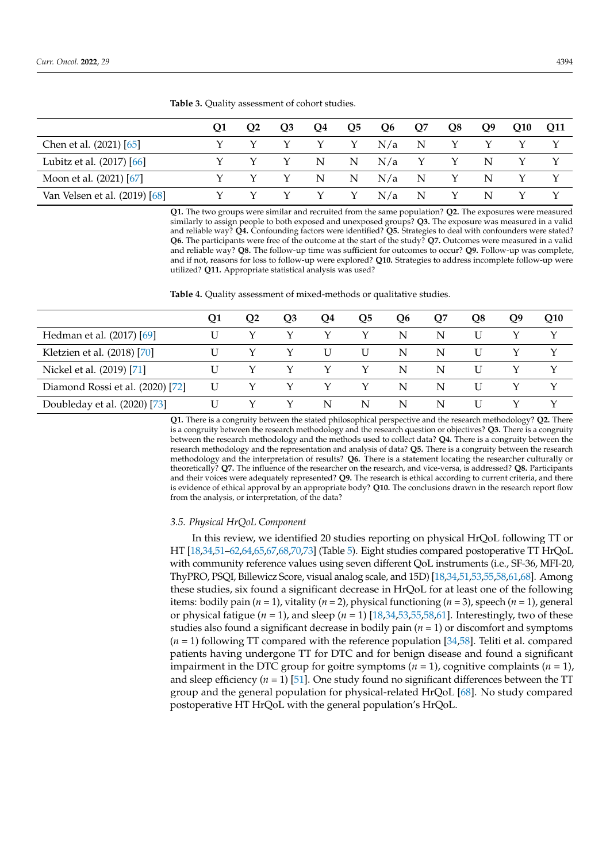**Q1 Q2 Q3 Q4 Q5 Q6 Q7 Q8 Q9 Q10 Q11** Chen et al. (2021) [\[65\]](#page-35-5)  $Y \ Y \ Y \ Y \ Y \ Y \ N/a \ N \ Y \ Y \ Y$ Lubitz et al. (2017) [\[66\]](#page-35-6) Y Y Y N N N/a Y Y N Y Y Moon et al. (2021) [\[67\]](#page-35-7)  $Y \ Y \ Y \ N \ N \ N/2 \ N \ Y \ N \ Y \ Y$ Van Velsen et al. (2019) [\[68\]](#page-35-8) Y Y Y Y Y N/a N Y N Y Y

**Table 3.** Quality assessment of cohort studies.

**Q1.** The two groups were similar and recruited from the same population? **Q2.** The exposures were measured similarly to assign people to both exposed and unexposed groups? **Q3.** The exposure was measured in a valid and reliable way? **Q4.** Confounding factors were identified? **Q5.** Strategies to deal with confounders were stated? **Q6.** The participants were free of the outcome at the start of the study? **Q7.** Outcomes were measured in a valid and reliable way? **Q8.** The follow-up time was sufficient for outcomes to occur? **Q9.** Follow-up was complete, and if not, reasons for loss to follow-up were explored? **Q10.** Strategies to address incomplete follow-up were utilized? **Q11.** Appropriate statistical analysis was used?

<span id="page-8-0"></span>**Table 4.** Quality assessment of mixed-methods or qualitative studies.

|                                  | O1 | O <sub>2</sub> | Q3 | Q4 | Q <sub>5</sub> | Q6 | Q7 | Q8 | Q9 | Q10 |
|----------------------------------|----|----------------|----|----|----------------|----|----|----|----|-----|
| Hedman et al. (2017) [69]        |    |                |    | Y  |                | N  | N  |    |    |     |
| Kletzien et al. (2018) [70]      |    |                |    | U  | U              | N  | N  | U  |    |     |
| Nickel et al. (2019) [71]        |    |                |    | Y  | Y              | N  | N  | U  |    |     |
| Diamond Rossi et al. (2020) [72] | U  |                |    | Y  | Y              | N  | N  |    |    |     |
| Doubleday et al. (2020) [73]     |    |                |    | N  | N              | N  | N  |    |    |     |

**Q1.** There is a congruity between the stated philosophical perspective and the research methodology? **Q2.** There is a congruity between the research methodology and the research question or objectives? **Q3.** There is a congruity between the research methodology and the methods used to collect data? **Q4.** There is a congruity between the research methodology and the representation and analysis of data? **Q5.** There is a congruity between the research methodology and the interpretation of results? **Q6.** There is a statement locating the researcher culturally or theoretically? **Q7.** The influence of the researcher on the research, and vice-versa, is addressed? **Q8.** Participants and their voices were adequately represented? **Q9.** The research is ethical according to current criteria, and there is evidence of ethical approval by an appropriate body? **Q10.** The conclusions drawn in the research report flow from the analysis, or interpretation, of the data?

#### *3.5. Physical HrQoL Component*

In this review, we identified 20 studies reporting on physical HrQoL following TT or HT [\[18,](#page-33-22)[34,](#page-33-20)[51–](#page-34-15)[62](#page-35-2)[,64](#page-35-4)[,65](#page-35-5)[,67](#page-35-7)[,68](#page-35-8)[,70,](#page-35-10)[73\]](#page-35-13) (Table [5\)](#page-9-0). Eight studies compared postoperative TT HrQoL with community reference values using seven different QoL instruments (i.e., SF-36, MFI-20, ThyPRO, PSQI, Billewicz Score, visual analog scale, and 15D) [\[18](#page-33-22)[,34](#page-33-20)[,51](#page-34-15)[,53](#page-34-17)[,55](#page-34-19)[,58](#page-34-22)[,61](#page-35-1)[,68\]](#page-35-8). Among these studies, six found a significant decrease in HrQoL for at least one of the following items: bodily pain (*n* = 1), vitality (*n* = 2), physical functioning (*n* = 3), speech (*n* = 1), general or physical fatigue (*n* = 1), and sleep (*n* = 1) [\[18](#page-33-22)[,34](#page-33-20)[,53,](#page-34-17)[55,](#page-34-19)[58,](#page-34-22)[61\]](#page-35-1). Interestingly, two of these studies also found a significant decrease in bodily pain (*n* = 1) or discomfort and symptoms (*n* = 1) following TT compared with the reference population [\[34](#page-33-20)[,58\]](#page-34-22). Teliti et al. compared patients having undergone TT for DTC and for benign disease and found a significant impairment in the DTC group for goitre symptoms  $(n = 1)$ , cognitive complaints  $(n = 1)$ , and sleep efficiency  $(n = 1)$  [\[51\]](#page-34-15). One study found no significant differences between the TT group and the general population for physical-related HrQoL [\[68\]](#page-35-8). No study compared postoperative HT HrQoL with the general population's HrQoL.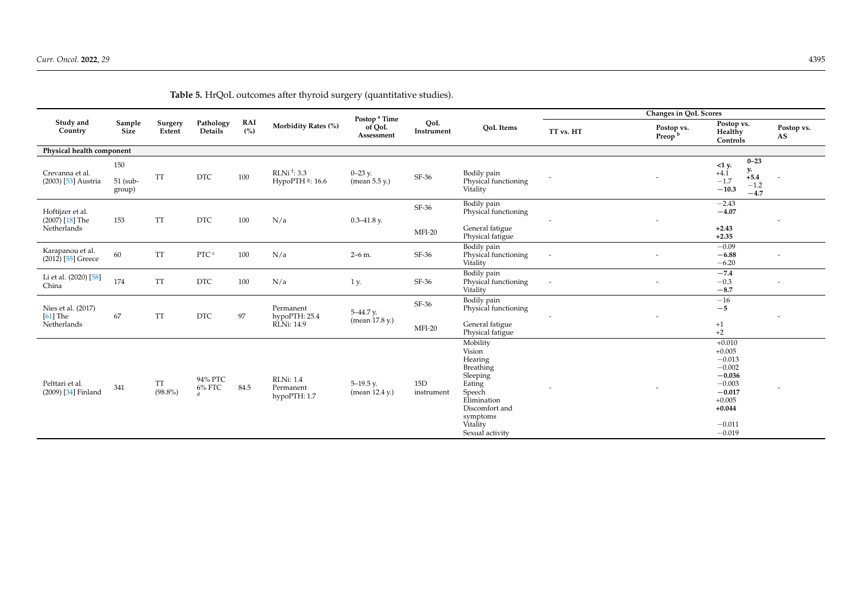<span id="page-9-0"></span>

|                                          |                    |                     |                      |                   |                            | Postop <sup>a</sup> Time      |                   |                                                 |                          | Changes in QoL Scores            |                                                           |                              |
|------------------------------------------|--------------------|---------------------|----------------------|-------------------|----------------------------|-------------------------------|-------------------|-------------------------------------------------|--------------------------|----------------------------------|-----------------------------------------------------------|------------------------------|
| Study and<br>Country                     | Sample<br>Size     | Surgery<br>Extent   | Pathology<br>Details | <b>RAI</b><br>(%) | Morbidity Rates (%)        | of QoL<br>Assessment          | QoL<br>Instrument | OoL Items                                       | TT vs. HT                | Postop vs.<br>Preop <sup>b</sup> | Postop vs.<br>Healthy<br>Controls                         | Postop vs.<br>AS             |
| Physical health component                |                    |                     |                      |                   |                            |                               |                   |                                                 |                          |                                  |                                                           |                              |
|                                          | 150                |                     |                      |                   | $RLNi$ <sup>f</sup> : 3.3  |                               |                   |                                                 |                          |                                  | $0 - 23$<br>$<1 y$ .<br>у.                                |                              |
| Crevanna et al.<br>(2003) [53] Austria   | 51 (sub-<br>group) | <b>TT</b>           | <b>DTC</b>           | 100               | HypoPTH 8: 16.6            | $0 - 23$ y.<br>(mean 5.5 y.)  | SF-36             | Bodily pain<br>Physical functioning<br>Vitality |                          | $\overline{\phantom{a}}$         | $+4.1$<br>$+5.4$<br>$-1.7$<br>$-1.2$<br>$-10.3$<br>$-4.7$ |                              |
| Hoftijzer et al.<br>(2007) [18] The      | 153                | TT                  | <b>DTC</b>           | 100               | N/a                        | $0.3 - 41.8$ y.               | SF-36             | Bodily pain<br>Physical functioning             |                          |                                  | $-2.43$<br>$-4.07$                                        |                              |
| Netherlands                              |                    |                     |                      |                   |                            |                               | $MFI-20$          | General fatigue<br>Physical fatigue             |                          |                                  | $+2.43$<br>$+2.35$                                        |                              |
| Karapanou et al.<br>$(2012)$ [55] Greece | 60                 | $\operatorname{TT}$ | PTC c                | 100               | N/a                        | $2 - 6$ m.                    | SF-36             | Bodily pain<br>Physical functioning<br>Vitality |                          |                                  | $-0.09$<br>$-6.88$<br>$-6.20$                             | $\overline{a}$               |
| Li et al. (2020) [58]<br>China           | 174                | TT                  | <b>DTC</b>           | 100               | N/a                        | 1 y.                          | SF-36             | Bodily pain<br>Physical functioning<br>Vitality |                          | $\overline{\phantom{a}}$         | $-7.4$<br>$-0.3$<br>$-8.7$                                | $\qquad \qquad \blacksquare$ |
| Nies et al. (2017)<br>$[61]$ The         | 67                 | TT                  | <b>DTC</b>           | 97                | Permanent<br>hypoPTH: 25.4 | $5-44.7$ y.                   | SF-36             | Bodily pain<br>Physical functioning             | $\overline{\phantom{a}}$ |                                  | $-16$<br>$-5$                                             |                              |
| Netherlands                              |                    |                     |                      |                   | RLNi: 14.9                 | (mean 17.8 y.)                | $MFI-20$          | General fatigue<br>Physical fatigue             |                          |                                  | $+1$<br>$+2$                                              |                              |
|                                          |                    |                     |                      |                   |                            |                               |                   | Mobility<br>Vision                              |                          |                                  | $+0.010$<br>$+0.005$                                      |                              |
|                                          |                    |                     |                      |                   |                            |                               |                   | Hearing                                         |                          |                                  | $-0.013$                                                  |                              |
|                                          |                    |                     |                      |                   |                            |                               |                   | Breathing                                       |                          |                                  | $-0.002$                                                  |                              |
|                                          |                    |                     | 94% PTC              |                   | <b>RLNi: 1.4</b>           |                               |                   | Sleeping                                        |                          |                                  | $-0.036$                                                  |                              |
| Pelttari et al.<br>(2009) [34] Finland   | 341                | TT<br>$(98.8\%)$    | 6% FTC               | 84.5              | Permanent                  | $5-19.5$ y.<br>(mean 12.4 y.) | 15D<br>instrument | Eating<br>Speech                                | $\overline{\phantom{a}}$ |                                  | $-0.003$<br>$-0.017$                                      | $\overline{\phantom{a}}$     |
|                                          |                    |                     |                      |                   | hypoPTH: 1.7               |                               |                   | Elimination                                     |                          |                                  | $+0.005$                                                  |                              |
|                                          |                    |                     |                      |                   |                            |                               |                   | Discomfort and                                  |                          |                                  | $+0.044$                                                  |                              |
|                                          |                    |                     |                      |                   |                            |                               |                   | symptoms                                        |                          |                                  |                                                           |                              |
|                                          |                    |                     |                      |                   |                            |                               |                   | Vitality                                        |                          |                                  | $-0.011$                                                  |                              |
|                                          |                    |                     |                      |                   |                            |                               |                   | Sexual activity                                 |                          |                                  | $-0.019$                                                  |                              |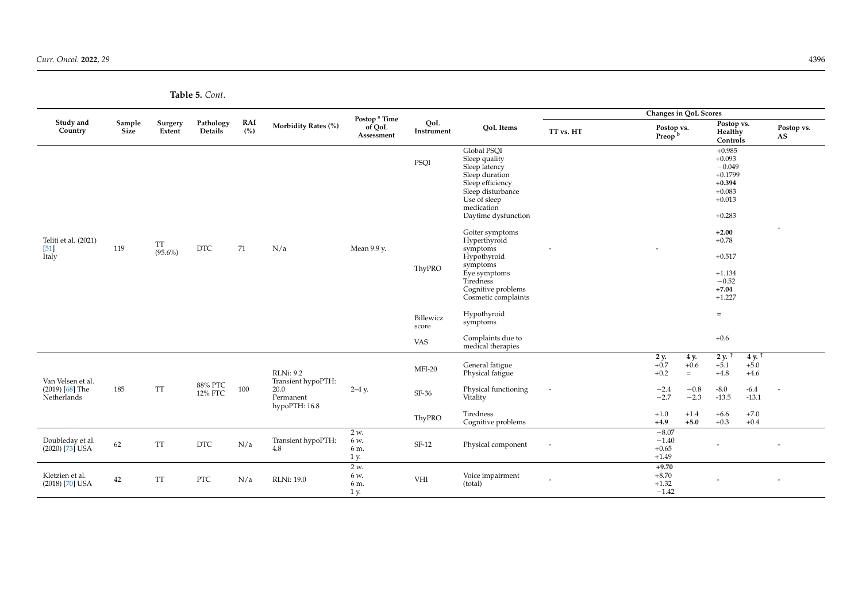|                                         |                |                   |                             |            |                                        |                                                  |                    |                                                                                                                                                               |                | Changes in QoL Scores                          |                                                                                               |                          |
|-----------------------------------------|----------------|-------------------|-----------------------------|------------|----------------------------------------|--------------------------------------------------|--------------------|---------------------------------------------------------------------------------------------------------------------------------------------------------------|----------------|------------------------------------------------|-----------------------------------------------------------------------------------------------|--------------------------|
| Study and<br>Country                    | Sample<br>Size | Surgery<br>Extent | Pathology<br><b>Details</b> | RAI<br>(%) | Morbidity Rates (%)                    | Postop <sup>a</sup> Time<br>of QoL<br>Assessment | QoL<br>Instrument  | <b>QoL</b> Items                                                                                                                                              | TT vs. HT      | Postop vs.<br>Preop <sup>b</sup>               | Postop vs.<br><b>Healthy</b><br>Controls                                                      | Postop vs.<br>AS         |
|                                         |                |                   |                             |            |                                        |                                                  | <b>PSQI</b>        | Global PSQI<br>Sleep quality<br>Sleep latency<br>Sleep duration<br>Sleep efficiency<br>Sleep disturbance<br>Use of sleep<br>medication<br>Daytime dysfunction |                |                                                | $+0.985$<br>$+0.093$<br>$-0.049$<br>$+0.1799$<br>$+0.394$<br>$+0.083$<br>$+0.013$<br>$+0.283$ |                          |
| Teliti et al. (2021)<br>$[51]$<br>Italy | 119            | TT<br>$(95.6\%)$  | <b>DTC</b>                  | 71         | N/a                                    | Mean 9.9 y.                                      | ThyPRO             | Goiter symptoms<br>Hyperthyroid<br>symptoms<br>Hypothyroid<br>symptoms<br>Eye symptoms<br>Tiredness<br>Cognitive problems<br>Cosmetic complaints              |                |                                                | $+2.00$<br>$+0.78$<br>$+0.517$<br>$+1.134$<br>$-0.52$<br>$+7.04$<br>$+1.227$                  | $\overline{\phantom{a}}$ |
|                                         |                |                   |                             |            |                                        |                                                  | Billewicz<br>score | Hypothyroid<br>symptoms                                                                                                                                       |                |                                                | $\equiv$                                                                                      |                          |
|                                         |                |                   |                             |            |                                        |                                                  | <b>VAS</b>         | Complaints due to<br>medical therapies                                                                                                                        |                |                                                | $+0.6$                                                                                        |                          |
| Van Velsen et al.                       |                |                   |                             |            | <b>RLNi: 9.2</b><br>Transient hypoPTH: |                                                  | $MFI-20$           | General fatigue<br>Physical fatigue                                                                                                                           |                | $2 y. +0.7$<br>4 y.<br>$+0.6$<br>$+0.2$<br>$=$ | $2 y.$ <sup>1</sup><br>$+5.1$<br>$+5.0$<br>$+4.8$<br>$+4.6$                                   | 4 y. $\bar{\uparrow}$    |
| (2019) [68] The<br>Netherlands          | 185            | <b>TT</b>         | 88% PTC<br>12% FTC          | 100        | 20.0<br>Permanent<br>hypoPTH: 16.8     | $2-4$ y.                                         | SF-36              | Physical functioning<br>Vitality                                                                                                                              | $\overline{a}$ | $-0.8$<br>$-2.4$<br>$-2.7$<br>$-2.3$           | $-8.0$<br>$-6.4$<br>$-13.1$<br>$-13.5$                                                        |                          |
|                                         |                |                   |                             |            |                                        |                                                  | ThyPRO             | Tiredness<br>Cognitive problems                                                                                                                               |                | $+1.0$<br>$+1.4$<br>$+4.9$<br>$+5.0$           | $+7.0$<br>$+6.6$<br>$+0.4$<br>$+0.3$                                                          |                          |
| Doubleday et al.<br>$(2020)$ [73] USA   | 62             | <b>TT</b>         | <b>DTC</b>                  | N/a        | Transient hypoPTH:<br>4.8              | 2 w.<br>6 w.<br>6 m.<br>1 y.                     | SF-12              | Physical component                                                                                                                                            | $\overline{a}$ | $-8.07$<br>$-1.40$<br>$+0.65$<br>$+1.49$       |                                                                                               |                          |
| Kletzien et al.<br>$(2018)$ [70] USA    | 42             | TT                | <b>PTC</b>                  | N/a        | <b>RLNi: 19.0</b>                      | 2 w.<br>6 w.<br>6 m.<br>1 y.                     | <b>VHI</b>         | Voice impairment<br>(total)                                                                                                                                   |                | $+9.70$<br>$+8.70$<br>$+1.32$<br>$-1.42$       |                                                                                               |                          |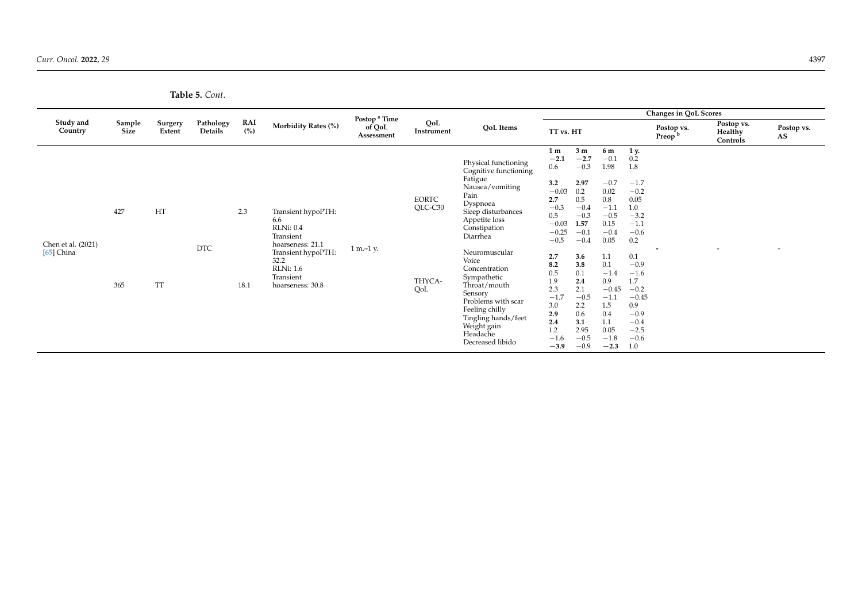|                                    |                       |                   |                      |                   |                                                                                                                                                                   | Postop <sup>a</sup> Time |                                          |                                                                                                                                                                                                                                                                                                                                                                       |                                                                                                                                                                                                                                                                                                                                                                                                                  |                                                                                                                                                                                                                                                                                                                                                                                                              | <b>Changes in QoL Scores</b>     |                                   |                          |
|------------------------------------|-----------------------|-------------------|----------------------|-------------------|-------------------------------------------------------------------------------------------------------------------------------------------------------------------|--------------------------|------------------------------------------|-----------------------------------------------------------------------------------------------------------------------------------------------------------------------------------------------------------------------------------------------------------------------------------------------------------------------------------------------------------------------|------------------------------------------------------------------------------------------------------------------------------------------------------------------------------------------------------------------------------------------------------------------------------------------------------------------------------------------------------------------------------------------------------------------|--------------------------------------------------------------------------------------------------------------------------------------------------------------------------------------------------------------------------------------------------------------------------------------------------------------------------------------------------------------------------------------------------------------|----------------------------------|-----------------------------------|--------------------------|
| Study and<br>Country               | Sample<br><b>Size</b> | Surgery<br>Extent | Pathology<br>Details | <b>RAI</b><br>(%) | Morbidity Rates (%)                                                                                                                                               | of QoL<br>Assessment     | QoL<br>Instrument                        | <b>QoL</b> Items                                                                                                                                                                                                                                                                                                                                                      | TT vs. HT                                                                                                                                                                                                                                                                                                                                                                                                        |                                                                                                                                                                                                                                                                                                                                                                                                              | Postop vs.<br>Preop <sup>b</sup> | Postop vs.<br>Healthy<br>Controls | Postop vs.<br>AS         |
| Chen et al. (2021)<br>$[65]$ China | 427<br>365            | HT<br><b>TT</b>   | <b>DTC</b>           | 2.3<br>18.1       | Transient hypoPTH:<br>6.6<br><b>RLNi: 0.4</b><br>Transient<br>hoarseness: 21.1<br>Transient hypoPTH:<br>32.2<br><b>RLNi: 1.6</b><br>Transient<br>hoarseness: 30.8 | $1 m-1 y$ .              | <b>EORTC</b><br>QLC-C30<br>THYCA-<br>QoL | Physical functioning<br>Cognitive functioning<br>Fatigue<br>Nausea/vomiting<br>Pain<br>Dyspnoea<br>Sleep disturbances<br>Appetite loss<br>Constipation<br>Diarrhea<br>Neuromuscular<br>Voice<br>Concentration<br>Sympathetic<br>Throat/mouth<br>Sensory<br>Problems with scar<br>Feeling chilly<br>Tingling hands/feet<br>Weight gain<br>Headache<br>Decreased libido | 3 <sub>m</sub><br>1 <sub>m</sub><br>$-2.1$<br>$-2.7$<br>0.6<br>$-0.3$<br>3.2<br>2.97<br>$-0.03$<br>0.2<br>0.5<br>2.7<br>$-0.3$<br>$-0.4$<br>0.5<br>$-0.3$<br>$-0.03$<br>1.57<br>$-0.25$<br>$-0.1$<br>$-0.5$<br>$-0.4$<br>2.7<br>3.6<br>8.2<br>3.8<br>0.5<br>0.1<br>1.9<br>2.4<br>2.3<br>2.1<br>$-1.7$<br>$-0.5$<br>3.0<br>2.2<br>2.9<br>0.6<br>2.4<br>3.1<br>1.2<br>2.95<br>$-1.6$<br>$-0.5$<br>$-3.9$<br>$-0.9$ | 1 y.<br>6 m<br>$-0.1$<br>0.2<br>1.98<br>1.8<br>$-0.7$<br>$-1.7$<br>0.02<br>$-0.2$<br>0.05<br>0.8<br>$-1.1$<br>1.0<br>$-0.5$<br>$-3.2$<br>0.15<br>$-1.1$<br>$-0.4$<br>$-0.6$<br>0.05<br>0.2<br>0.1<br>1.1<br>0.1<br>$-0.9$<br>$-1.4$<br>$-1.6$<br>1.7<br>0.9<br>$-0.45$<br>$-0.2$<br>$-1.1$<br>$-0.45$<br>1.5<br>0.9<br>$-0.9$<br>0.4<br>1.1<br>$-0.4$<br>0.05<br>$-2.5$<br>$-1.8$<br>$-0.6$<br>$-2.3$<br>1.0 |                                  | $\overline{\phantom{a}}$          | $\overline{\phantom{a}}$ |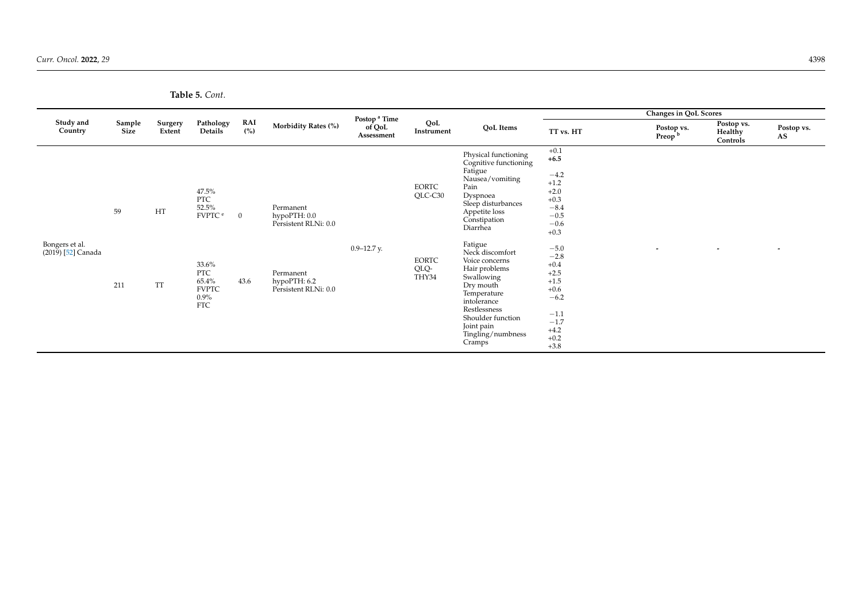|                                      |                |                   |                                                                    |                |                                                   | Postop <sup>a</sup> Time |                               |                                                                                                                                                                                                          |                                                                                                                      | Changes in QoL Scores            |                                   |                          |
|--------------------------------------|----------------|-------------------|--------------------------------------------------------------------|----------------|---------------------------------------------------|--------------------------|-------------------------------|----------------------------------------------------------------------------------------------------------------------------------------------------------------------------------------------------------|----------------------------------------------------------------------------------------------------------------------|----------------------------------|-----------------------------------|--------------------------|
| Study and<br>Country                 | Sample<br>Size | Surgery<br>Extent | Pathology<br>Details                                               | RAI<br>(%)     | Morbidity Rates (%)                               | of QoL<br>Assessment     | QoL<br>Instrument             | <b>QoL</b> Items                                                                                                                                                                                         | TT vs. HT                                                                                                            | Postop vs.<br>Preop <sup>1</sup> | Postop vs.<br>Healthy<br>Controls | Postop vs.<br>AS         |
|                                      | 59             | HT                | 47.5%<br><b>PTC</b><br>52.5%<br>FVPTC <sup>e</sup>                 | $\overline{0}$ | Permanent<br>hypoPTH: 0.0<br>Persistent RLNi: 0.0 |                          | EORTC<br>QLC-C30              | Physical functioning<br>Cognitive functioning<br>Fatigue<br>Nausea/vomiting<br>Pain<br>Dyspnoea<br>Sleep disturbances<br>Appetite loss<br>Constipation<br>Diarrhea                                       | $+0.1$<br>$+6.5$<br>$-4.2$<br>$+1.2$<br>$+2.0$<br>$+0.3$<br>$-8.4$<br>$-0.5$<br>$-0.6$<br>$+0.3$                     |                                  |                                   |                          |
| Bongers et al.<br>(2019) [52] Canada | 211            | <b>TT</b>         | 33.6%<br><b>PTC</b><br>65.4%<br><b>FVPTC</b><br>0.9%<br><b>FTC</b> | 43.6           | Permanent<br>hypoPTH: 6.2<br>Persistent RLNi: 0.0 | $0.9 - 12.7$ y.          | <b>EORTC</b><br>QLQ-<br>THY34 | Fatigue<br>Neck discomfort<br>Voice concerns<br>Hair problems<br>Swallowing<br>Dry mouth<br>Temperature<br>intolerance<br>Restlessness<br>Shoulder function<br>Joint pain<br>Tingling/numbness<br>Cramps | $-5.0$<br>$-2.8$<br>$+0.4$<br>$+2.5$<br>$+1.5$<br>$+0.6$<br>$-6.2$<br>$-1.1$<br>$-1.7$<br>$+4.2$<br>$+0.2$<br>$+3.8$ | $\overline{\phantom{a}}$         | $\overline{\phantom{a}}$          | $\overline{\phantom{a}}$ |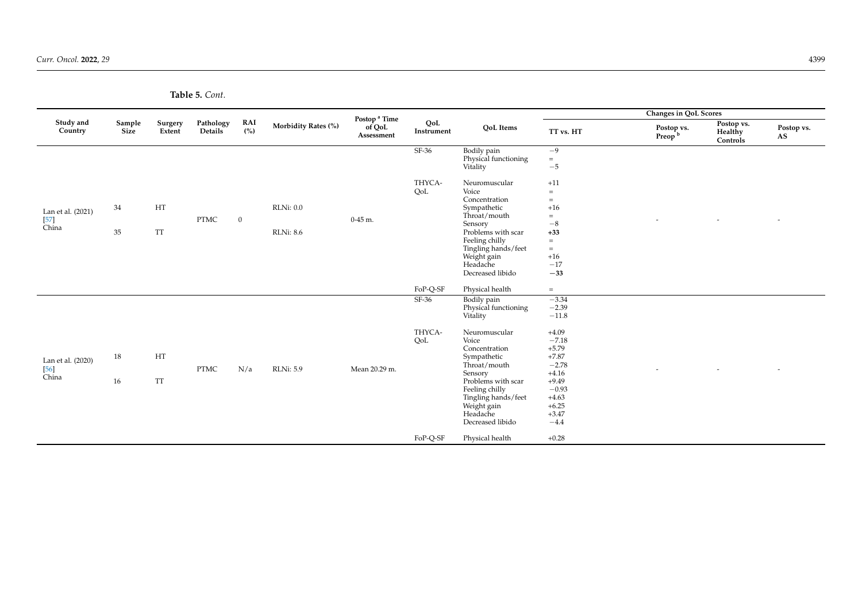|                                                                                                            |                |                   |                      |                |                                      | Postop <sup>a</sup> Time            |                   |                                                                                                                                                                                                 |                                                                                                                        | Changes in QoL Scores            |                                   |                  |
|------------------------------------------------------------------------------------------------------------|----------------|-------------------|----------------------|----------------|--------------------------------------|-------------------------------------|-------------------|-------------------------------------------------------------------------------------------------------------------------------------------------------------------------------------------------|------------------------------------------------------------------------------------------------------------------------|----------------------------------|-----------------------------------|------------------|
| Study and<br>Country<br>34<br>Lan et al. (2021)<br>$[57]$<br>China<br>Lan et al. (2020)<br>$[56]$<br>China | Sample<br>Size | Surgery<br>Extent | Pathology<br>Details | RAI<br>(%)     | Morbidity Rates (%)                  | of QoL<br>Assessment                | QoL<br>Instrument | <b>QoL</b> Items                                                                                                                                                                                | TT vs. HT                                                                                                              | Postop vs.<br>Preop <sup>b</sup> | Postop vs.<br>Healthy<br>Controls | Postop vs.<br>AS |
|                                                                                                            |                |                   |                      |                |                                      |                                     | SF-36             | Bodily pain<br>Physical functioning<br>Vitality                                                                                                                                                 | $-9$<br>$=$ .<br>$-5$                                                                                                  |                                  |                                   |                  |
|                                                                                                            | 35             | HT<br><b>TT</b>   | <b>PTMC</b>          | $\overline{0}$ | <b>RLNi: 0.0</b><br><b>RLNi: 8.6</b> | $0-45$ m.                           | THYCA-<br>QoL     | Neuromuscular<br>Voice<br>Concentration<br>Sympathetic<br>Throat/mouth<br>Sensory<br>Problems with scar<br>Feeling chilly<br>Tingling hands/feet<br>Weight gain<br>Headache<br>Decreased libido | $+11$<br>$\equiv$<br>$\equiv$<br>$+16$<br>$\equiv$<br>$-8$<br>$+33$<br>$\equiv$<br>$\equiv$<br>$+16$<br>$-17$<br>$-33$ |                                  |                                   |                  |
|                                                                                                            |                |                   |                      |                |                                      |                                     | FoP-Q-SF          | Physical health                                                                                                                                                                                 | $=$ .                                                                                                                  |                                  |                                   |                  |
|                                                                                                            |                |                   |                      |                |                                      |                                     | SF-36             | Bodily pain<br>Physical functioning<br>Vitality                                                                                                                                                 | $-3.34$<br>$-2.39$<br>$-11.8$                                                                                          |                                  |                                   |                  |
|                                                                                                            | 18<br>16       | HT<br><b>TT</b>   | <b>PTMC</b>          | N/a            | <b>RLNi: 5.9</b>                     | Mean 20.29 m.                       | THYCA-<br>QoL     | Neuromuscular<br>Voice<br>Concentration<br>Sympathetic<br>Throat/mouth<br>Sensory<br>Problems with scar<br>Feeling chilly<br>Tingling hands/feet<br>Weight gain<br>Headache                     | $+4.09$<br>$-7.18$<br>$+5.79$<br>$+7.87$<br>$-2.78$<br>$+4.16$<br>$+9.49$<br>$-0.93$<br>$+4.63$<br>$+6.25$<br>$+3.47$  |                                  |                                   |                  |
|                                                                                                            |                |                   |                      |                | FoP-Q-SF                             | Decreased libido<br>Physical health | $-4.4$<br>$+0.28$ |                                                                                                                                                                                                 |                                                                                                                        |                                  |                                   |                  |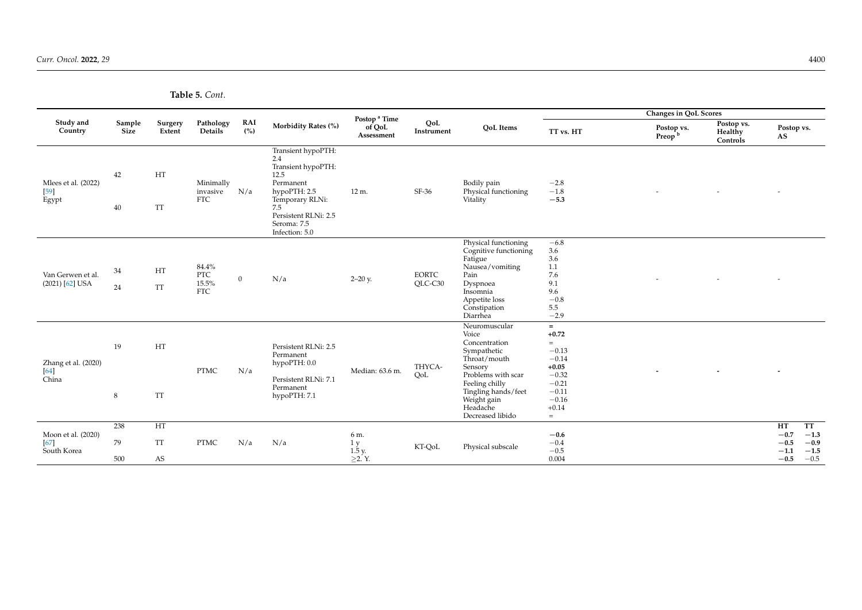|                                                                                                                                                                                                |                |                   |                                            |                |                                                                                                                                                                         |                                                     |                         |                                                                                                                                                                                                 |                                                                                                                          | Changes in QoL Scores            |                                   |                                                                                          |
|------------------------------------------------------------------------------------------------------------------------------------------------------------------------------------------------|----------------|-------------------|--------------------------------------------|----------------|-------------------------------------------------------------------------------------------------------------------------------------------------------------------------|-----------------------------------------------------|-------------------------|-------------------------------------------------------------------------------------------------------------------------------------------------------------------------------------------------|--------------------------------------------------------------------------------------------------------------------------|----------------------------------|-----------------------------------|------------------------------------------------------------------------------------------|
| Study and<br>Country<br>42<br>Mlees et al. (2022)<br>$[59]$<br>Egypt<br>40<br>34<br>Van Gerwen et al.<br>$(2021)$ $[62]$ USA<br>24<br>19<br>Zhang et al. (2020)<br>$[64]$<br>China<br>8<br>238 | Sample<br>Size | Surgery<br>Extent | Pathology<br>Details                       | RAI<br>(%)     | Morbidity Rates (%)                                                                                                                                                     | Postop <sup>a</sup> Time<br>of QoL<br>Assessment    | QoL<br>Instrument       | OoL Items                                                                                                                                                                                       | TT vs. HT                                                                                                                | Postop vs.<br>Preop <sup>b</sup> | Postop vs.<br>Healthy<br>Controls | Postop vs.<br>AS                                                                         |
|                                                                                                                                                                                                |                | HT<br><b>TT</b>   | Minimally<br>invasive<br><b>FTC</b>        | N/a            | Transient hypoPTH:<br>2.4<br>Transient hypoPTH:<br>12.5<br>Permanent<br>hypoPTH: 2.5<br>Temporary RLNi:<br>7.5<br>Persistent RLNi: 2.5<br>Seroma: 7.5<br>Infection: 5.0 | 12 m.                                               | SF-36                   | Bodily pain<br>Physical functioning<br>Vitality                                                                                                                                                 | $-2.8$<br>$-1.8$<br>$-5.3$                                                                                               |                                  |                                   |                                                                                          |
|                                                                                                                                                                                                |                | HT<br><b>TT</b>   | 84.4%<br><b>PTC</b><br>15.5%<br><b>FTC</b> | $\overline{0}$ | N/a                                                                                                                                                                     | $2 - 20$ y.                                         | <b>EORTC</b><br>QLC-C30 | Physical functioning<br>Cognitive functioning<br>Fatigue<br>Nausea/vomiting<br>Pain<br>Dyspnoea<br>Insomnia<br>Appetite loss<br>Constipation<br>Diarrhea                                        | $-6.8$<br>3.6<br>3.6<br>1.1<br>7.6<br>9.1<br>9.6<br>$-0.8$<br>5.5<br>$-2.9$                                              |                                  |                                   |                                                                                          |
|                                                                                                                                                                                                |                | HT<br>TT          | <b>PTMC</b>                                | N/a            | Persistent RLNi: 2.5<br>Permanent<br>hypoPTH: 0.0<br>Persistent RLNi: 7.1<br>Permanent<br>hypoPTH: 7.1                                                                  | Median: 63.6 m.                                     | THYCA-<br>QoL           | Neuromuscular<br>Voice<br>Concentration<br>Sympathetic<br>Throat/mouth<br>Sensory<br>Problems with scar<br>Feeling chilly<br>Tingling hands/feet<br>Weight gain<br>Headache<br>Decreased libido | $=$<br>$+0.72$<br>$=$ .<br>$-0.13$<br>$-0.14$<br>$+0.05$<br>$-0.32$<br>$-0.21$<br>$-0.11$<br>$-0.16$<br>$+0.14$<br>$=$ . |                                  |                                   |                                                                                          |
| Moon et al. (2020)<br>$[67]$<br>South Korea                                                                                                                                                    | 79<br>500      | HT<br>TT<br>AS    | <b>PTMC</b>                                | N/a            | N/a                                                                                                                                                                     | 6 m.<br>1 <sub>y</sub><br>$1.5 y$ .<br>$\geq$ 2. Y. | KT-QoL                  | Physical subscale                                                                                                                                                                               | $-0.6$<br>$-0.4$<br>$-0.5$<br>0.004                                                                                      |                                  |                                   | HT<br>TT<br>$-0.7$<br>$-1.3$<br>$-0.9$<br>$-0.5$<br>$-1.5$<br>$-1.1$<br>$-0.5$<br>$-0.5$ |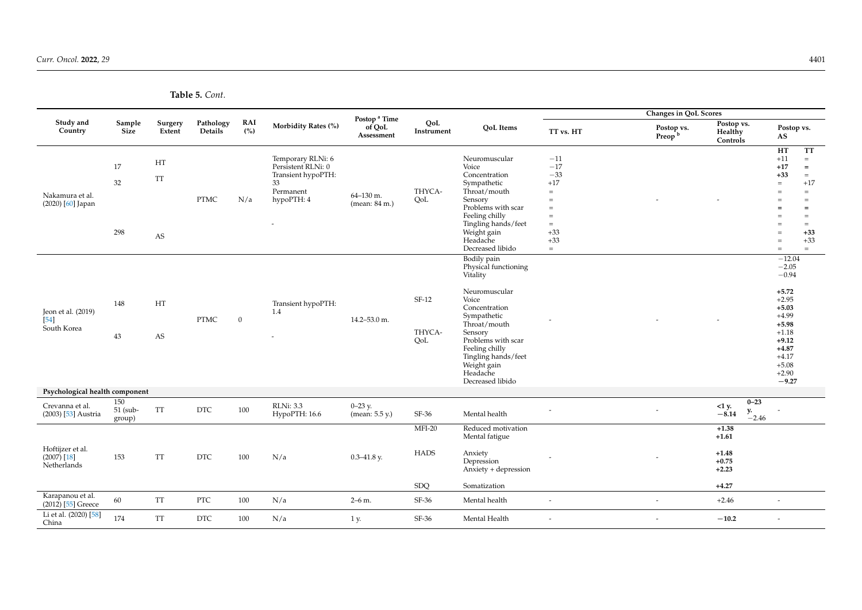**Study and Country Sample Size Surgery Extent Pathology Details RAI**<br>(%) **(%) Morbidity Rates (%) Postop <sup>a</sup> Time of QoL Assessment QoL Instrument QoL Items Changes in QoL Scores TT vs. HT Postop vs. Preop <sup>b</sup> Postop vs. Healthy Controls Postop vs. AS** Nakamura et al. (2020) [\[60\]](#page-35-22) Japan 17 32 298 HT TT AS PTMC N/a Temporary RLNi: 6 Persistent RLNi: 0 Transient hypoPTH: 33 Permanent hypoPTH: 4 - 64–130 m. (mean: 84 m.) THYCA-QoL Neuromuscular Voice Concentration Sympathetic Throat/mouth Sensory Problems with scar Feeling chilly Tingling hands/feet Weight gain Headache Decreased libido −11  $-17$ −33 +17 = = = = = +33 +33 = - - **HT** +11 **+17 +33** = = = **=** = = = = = **TT** = **=** = +17 = = **=** = = **+33** +33  $=$ Jeon et al. (2019) [\[54\]](#page-34-32) South Korea 148 43 HT AS PTMC 0 Transient hypoPTH: 1.4 - 14.2–53.0 m. SF-12 THYCA-QoL Bodily pain Physical functioning Vitality Neuromuscular Voice Concentration Sympathetic Throat/mouth Sensory Problems with scar Feeling chilly Tingling hands/feet Weight gain Headache Decreased libido - - -  $-12.04$ −2.05  $-0.94$ **+5.72** +2.95 **+5.03** +4.99 **+5.98** +1.18 **+9.12 +4.87** +4.17  $+5.08$ +2.90 −**9.27 Psychological health component** Crevanna et al. (2003) [\[53\]](#page-34-24) Austria 150 51 (subgroup) TT DTC 100 RLNi: 3.3<br>HypoPTH: 16.6  $0-23$  y.<br>(mean: 5.5 y.)  $\mathsf{S}F\text{-}36$  Mental health  $\mathsf{S}F\text{-}36$  and  $\mathsf{S}F\text{-}36$ **<1 y.** −**8.14 0–23 y.**<br>−2.46 - Hoftijzer et al. (2007) [\[18\]](#page-33-23) **Netherlands** 153 TT DTC 100 N/a 0.3–41.8 y. MFI-20 HADS SDQ Reduced motivation Mental fatigue Anxiety Depression Anxiety + depression Somatization - - **+1.38 +1.61 +1.48 +0.75 +2.23 +4.27** Karapanou et al.<br>(2012) [55] Greece المسلم المسلم المسلم المسلم المسلم المسلم المسلم المسلم المسلم المسلم المسلم المسلم المسلم المسلم المسلم المسل<br>(2012) [\[55\]](#page-34-25) Greece 60 TT PTC 100 N/a 2–6 m. SF-36 Mental health - - - - - - - - - - - - - +2.46 -Li et al. (2020) [\[58\]](#page-34-26)<br>China China 174 TT DTC 100 N/a 1 y. SF-36 Mental Health - - <sup>−</sup>**10.2** -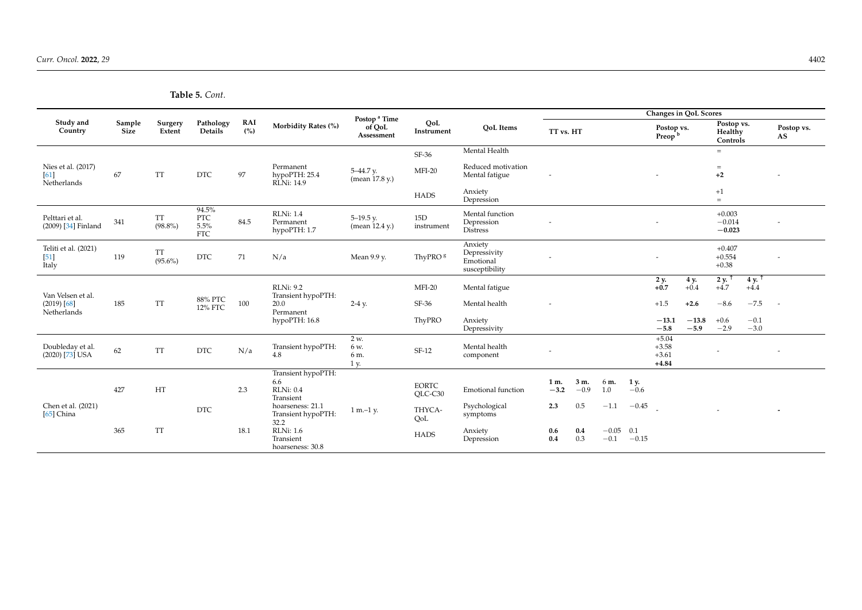|                                                   |                       |                         |                                           |            |                                                            |                                                  |                         |                                                        |                          |                |                   |                    |                                          | Changes in QoL Scores |                                   |                  |                  |
|---------------------------------------------------|-----------------------|-------------------------|-------------------------------------------|------------|------------------------------------------------------------|--------------------------------------------------|-------------------------|--------------------------------------------------------|--------------------------|----------------|-------------------|--------------------|------------------------------------------|-----------------------|-----------------------------------|------------------|------------------|
| Study and<br>Country                              | Sample<br><b>Size</b> | Surgery<br>Extent       | Pathology<br><b>Details</b>               | RAI<br>(%) | Morbidity Rates (%)                                        | Postop <sup>a</sup> Time<br>of QoL<br>Assessment | QoL<br>Instrument       | <b>QoL</b> Items                                       | TT vs. HT                |                |                   |                    | Postop vs.<br>Preop <sup>b</sup>         |                       | Postop vs.<br>Healthy<br>Controls |                  | Postop vs.<br>AS |
|                                                   |                       |                         |                                           |            |                                                            |                                                  | SF-36                   | Mental Health                                          |                          |                |                   |                    |                                          |                       | $\equiv$                          |                  |                  |
| Nies et al. (2017)<br>[61]<br>Netherlands         | 67                    | <b>TT</b>               | <b>DTC</b>                                | 97         | Permanent<br>hypoPTH: 25.4<br>RLNi: 14.9                   | $5-44.7$ y.<br>(mean 17.8 y.)                    | $MFI-20$                | Reduced motivation<br>Mental fatigue                   | $\overline{a}$           |                |                   |                    |                                          |                       | $=$<br>$+2$                       |                  |                  |
|                                                   |                       |                         |                                           |            |                                                            |                                                  | <b>HADS</b>             | Anxiety<br>Depression                                  |                          |                |                   |                    |                                          |                       | $+1$<br>$=$ $\,$                  |                  |                  |
| Pelttari et al.<br>(2009) [34] Finland            | 341                   | <b>TT</b><br>$(98.8\%)$ | 94.5%<br><b>PTC</b><br>5.5%<br><b>FTC</b> | 84.5       | <b>RLNi: 1.4</b><br>Permanent<br>hypoPTH: 1.7              | $5-19.5$ y.<br>(mean 12.4 y.)                    | 15D<br>instrument       | Mental function<br>Depression<br><b>Distress</b>       |                          |                |                   |                    |                                          |                       | $+0.003$<br>$-0.014$<br>$-0.023$  |                  |                  |
| Teliti et al. (2021)<br>$[51]$<br>Italy           | 119                   | TT<br>$(95.6\%)$        | <b>DTC</b>                                | 71         | N/a                                                        | Mean 9.9 v.                                      | ThyPRO <sup>8</sup>     | Anxiety<br>Depressivity<br>Emotional<br>susceptibility | $\overline{\phantom{a}}$ |                |                   |                    |                                          |                       | $+0.407$<br>$+0.554$<br>$+0.38$   |                  |                  |
|                                                   |                       |                         |                                           |            | <b>RLNi: 9.2</b>                                           |                                                  | MFI-20                  | Mental fatigue                                         |                          |                |                   |                    | $2 y. +0.7$                              | $4y. +0.4$            | $2 y. 7 + 4.7$                    | $4y.†+4.4$       |                  |
| Van Velsen et al.<br>$(2019)$ [68]<br>Netherlands | 185                   | <b>TT</b>               | 88% PTC<br>12% FTC                        | 100        | Transient hypoPTH:<br>20.0<br>Permanent                    | $2-4$ y.                                         | $SF-36$                 | Mental health                                          | $\overline{\phantom{a}}$ |                |                   |                    | $+1.5$                                   | $+2.6$                | $-8.6$                            | $-7.5$           | $\sim$           |
|                                                   |                       |                         |                                           |            | hypoPTH: 16.8                                              |                                                  | ThyPRO                  | Anxiety<br>Depressivity                                |                          |                |                   |                    | $-13.1$<br>$-5.8$                        | $-13.8$<br>$-5.9$     | $+0.6$<br>$-2.9$                  | $-0.1$<br>$-3.0$ |                  |
| Doubleday et al.<br>$(2020)$ [73] USA             | 62                    | <b>TT</b>               | <b>DTC</b>                                | N/a        | Transient hypoPTH:<br>4.8                                  | 2 w.<br>6 w.<br>6 m.<br>1 y.                     | SF-12                   | Mental health<br>component                             |                          |                |                   |                    | $+5.04$<br>$+3.58$<br>$+3.61$<br>$+4.84$ |                       |                                   |                  |                  |
|                                                   | 427                   | HT                      |                                           | 2.3        | Transient hypoPTH:<br>6.6<br><b>RLNi: 0.4</b><br>Transient |                                                  | <b>EORTC</b><br>OLC-C30 | <b>Emotional</b> function                              | 1 m.<br>$-3.2$           | 3 m.<br>$-0.9$ | 6 m.<br>1.0       | 1 y.<br>$-0.6$     |                                          |                       |                                   |                  |                  |
| Chen et al. (2021)<br>$[65]$ China                |                       |                         | <b>DTC</b>                                |            | hoarseness: 21.1<br>Transient hypoPTH:<br>32.2             | $1 m - 1 y$ .                                    | THYCA-<br>QoL           | Psychological<br>symptoms                              | 2.3                      | 0.5            | $-1.1$            | $-0.45$            |                                          |                       |                                   |                  |                  |
|                                                   | 365                   | <b>TT</b>               |                                           | 18.1       | <b>RLNi: 1.6</b><br>Transient<br>hoarseness: 30.8          |                                                  | <b>HADS</b>             | Anxiety<br>Depression                                  | 0.6<br>0.4               | 0.4<br>0.3     | $-0.05$<br>$-0.1$ | $0.1\,$<br>$-0.15$ |                                          |                       |                                   |                  |                  |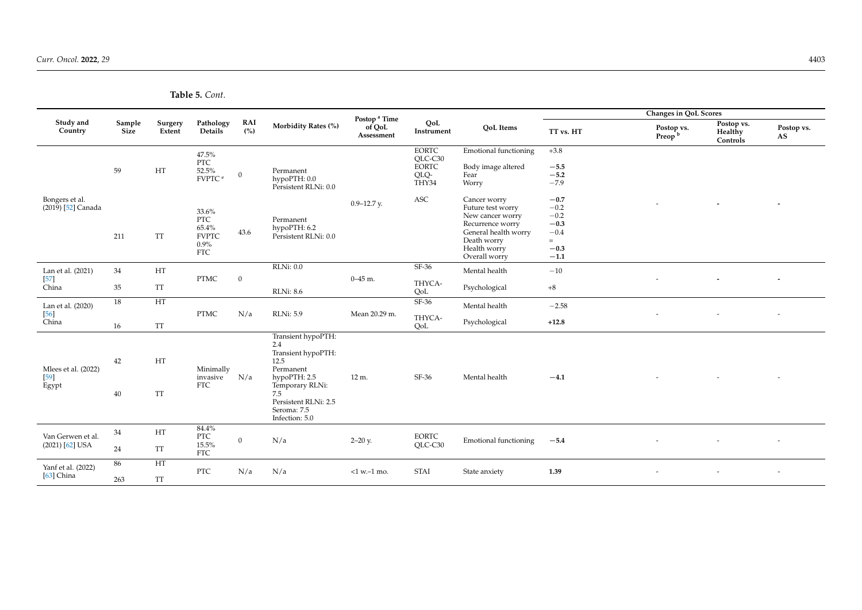|                                                                                                                                                                            |                |                   |                                                                       |                   |                                                                                                                                                                         |                                                  |                                                          |                                                                                                                                                   |                                                                             | Changes in QoL Scores            |                                   |                  |
|----------------------------------------------------------------------------------------------------------------------------------------------------------------------------|----------------|-------------------|-----------------------------------------------------------------------|-------------------|-------------------------------------------------------------------------------------------------------------------------------------------------------------------------|--------------------------------------------------|----------------------------------------------------------|---------------------------------------------------------------------------------------------------------------------------------------------------|-----------------------------------------------------------------------------|----------------------------------|-----------------------------------|------------------|
| Study and<br>Country<br>59<br>Bongers et al.<br>(2019) [52] Canada<br>Lan et al. (2021)<br>34<br>$[57]$<br>China<br>35<br>18<br>Lan et al. (2020)<br>$[56]$<br>China<br>16 | Sample<br>Size | Surgery<br>Extent | Pathology<br>Details                                                  | <b>RAI</b><br>(%) | Morbidity Rates (%)                                                                                                                                                     | Postop <sup>a</sup> Time<br>of QoL<br>Assessment | QoL<br>Instrument                                        | <b>QoL</b> Items                                                                                                                                  | TT vs. HT                                                                   | Postop vs.<br>Preop <sup>b</sup> | Postop vs.<br>Healthy<br>Controls | Postop vs.<br>AS |
|                                                                                                                                                                            |                | HT                | 47.5%<br><b>PTC</b><br>52.5%<br>FVPTC <sup>e</sup>                    | $\mathbf{0}$      | Permanent<br>hypoPTH: 0.0<br>Persistent RLNi: 0.0                                                                                                                       |                                                  | <b>EORTC</b><br>QLC-C30<br><b>EORTC</b><br>QLQ-<br>THY34 | <b>Emotional functioning</b><br>Body image altered<br>Fear<br>Worry                                                                               | $+3.8$<br>$-5.5$<br>$-5.2$<br>$-7.9$                                        |                                  |                                   |                  |
|                                                                                                                                                                            | 211            | <b>TT</b>         | 33.6%<br><b>PTC</b><br>65.4%<br><b>FVPTC</b><br>$0.9\%$<br><b>FTC</b> | 43.6              | Permanent<br>hypoPTH: 6.2<br>Persistent RLNi: 0.0                                                                                                                       | $0.9 - 12.7$ y.                                  | ASC                                                      | Cancer worry<br>Future test worry<br>New cancer worry<br>Recurrence worry<br>General health worry<br>Death worry<br>Health worry<br>Overall worry | $-0.7$<br>$-0.2$<br>$-0.2$<br>$-0.3$<br>$-0.4$<br>$=$ .<br>$-0.3$<br>$-1.1$ |                                  |                                   |                  |
|                                                                                                                                                                            |                | HT                |                                                                       |                   | <b>RLNi: 0.0</b>                                                                                                                                                        |                                                  | SF-36                                                    | Mental health                                                                                                                                     | $-10$                                                                       |                                  |                                   |                  |
|                                                                                                                                                                            |                | <b>TT</b>         | <b>PTMC</b>                                                           | $\mathbf{0}$      | <b>RLNi: 8.6</b>                                                                                                                                                        | $0 - 45$ m.                                      | THYCA-<br>QoL                                            | Psychological                                                                                                                                     | $+8$                                                                        |                                  |                                   |                  |
|                                                                                                                                                                            |                | HT                |                                                                       |                   |                                                                                                                                                                         |                                                  | SF-36                                                    | Mental health                                                                                                                                     | $-2.58$                                                                     |                                  |                                   |                  |
|                                                                                                                                                                            |                | <b>TT</b>         | <b>PTMC</b>                                                           | N/a               | <b>RLNi: 5.9</b>                                                                                                                                                        | Mean 20.29 m.                                    | THYCA-<br>QoL                                            | Psychological                                                                                                                                     | $+12.8$                                                                     |                                  |                                   |                  |
| Mlees et al. (2022)<br>$[59]$<br>Egypt                                                                                                                                     | 42<br>40       | HT<br><b>TT</b>   | Minimally<br>invasive<br><b>FTC</b>                                   | N/a               | Transient hypoPTH:<br>2.4<br>Transient hypoPTH:<br>12.5<br>Permanent<br>hypoPTH: 2.5<br>Temporary RLNi:<br>7.5<br>Persistent RLNi: 2.5<br>Seroma: 7.5<br>Infection: 5.0 | 12 m.                                            | SF-36                                                    | Mental health                                                                                                                                     | $-4.1$                                                                      |                                  |                                   |                  |
| Van Gerwen et al.<br>$(2021)$ [62] USA                                                                                                                                     | 34<br>24       | HT<br><b>TT</b>   | 84.4%<br><b>PTC</b><br>15.5%<br><b>FTC</b>                            | $\mathbf{0}$      | N/a                                                                                                                                                                     | $2 - 20$ y.                                      | <b>EORTC</b><br>OLC-C30                                  | <b>Emotional functioning</b>                                                                                                                      | $-5.4$                                                                      |                                  |                                   |                  |
| Yanf et al. (2022)                                                                                                                                                         | 86             | HT                | <b>PTC</b>                                                            | N/a               | N/a                                                                                                                                                                     | $<1$ w.-1 mo.                                    | <b>STAI</b>                                              |                                                                                                                                                   |                                                                             |                                  |                                   |                  |
| [63] China                                                                                                                                                                 | 263            | <b>TT</b>         |                                                                       |                   |                                                                                                                                                                         |                                                  |                                                          | State anxiety                                                                                                                                     | 1.39                                                                        |                                  |                                   |                  |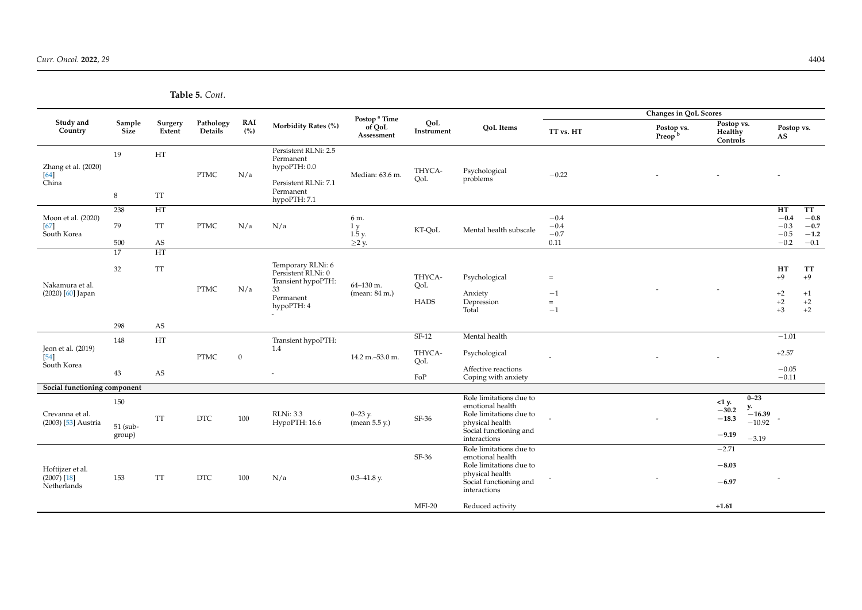|                                                  |                           |                   |                      |                   |                                                                                                        | Postop <sup>a</sup> Time     |                              |                                                                                                                                     |                            | Changes in QoL Scores            |                                           |                                                   |                            |
|--------------------------------------------------|---------------------------|-------------------|----------------------|-------------------|--------------------------------------------------------------------------------------------------------|------------------------------|------------------------------|-------------------------------------------------------------------------------------------------------------------------------------|----------------------------|----------------------------------|-------------------------------------------|---------------------------------------------------|----------------------------|
| Study and<br>Country                             | Sample<br>Size            | Surgery<br>Extent | Pathology<br>Details | <b>RAI</b><br>(%) | Morbidity Rates (%)                                                                                    | of QoL<br>Assessment         | QoL<br>Instrument            | OoL Items                                                                                                                           | TT vs. HT                  | Postop vs.<br>Preop <sup>b</sup> | Postop vs.<br>Healthy<br>Controls         | AS                                                | Postop vs.                 |
| Zhang et al. (2020)<br>$[64]$<br>China           | 19<br>8                   | HT<br><b>TT</b>   | <b>PTMC</b>          | N/a               | Persistent RLNi: 2.5<br>Permanent<br>hypoPTH: 0.0<br>Persistent RLNi: 7.1<br>Permanent<br>hypoPTH: 7.1 | Median: 63.6 m.              | THYCA-<br>QoL                | Psychological<br>problems                                                                                                           | $-0.22$                    |                                  |                                           |                                                   |                            |
| Moon et al. (2020)                               | 238                       | HT                |                      |                   |                                                                                                        |                              |                              |                                                                                                                                     | $-0.4$                     |                                  |                                           | HT<br>$-0.4$                                      | TT<br>$-0.8$               |
| $[67]$<br>South Korea                            | 79                        | <b>TT</b>         | <b>PTMC</b>          | N/a               | N/a                                                                                                    | 6 m.<br>1y<br>$1.5 y$ .      | KT-QoL                       | Mental health subscale                                                                                                              | $-0.4$<br>$-0.7$           |                                  |                                           | $-0.3$<br>$-0.5$                                  | $-0.7$<br>$-1.2$           |
|                                                  | 500<br>17                 | AS<br>HT          |                      |                   |                                                                                                        | $\geq$ 2 y.                  |                              |                                                                                                                                     | 0.11                       |                                  |                                           | $-0.2$                                            | $-0.1$                     |
| Nakamura et al.<br>(2020) [60] Japan             | 32                        | <b>TT</b>         | <b>PTMC</b>          | N/a               | Temporary RLNi: 6<br>Persistent RLNi: 0<br>Transient hypoPTH:<br>33<br>Permanent<br>hypoPTH: 4         | 64-130 m.<br>(mean: 84 m.)   | THYCA-<br>QoL<br><b>HADS</b> | Psychological<br>Anxiety<br>Depression                                                                                              | $\equiv$<br>$^{-1}$<br>$=$ |                                  |                                           | HT<br>$+9$<br>$+2$<br>+2                          | TT<br>$+9$<br>$+1$<br>$+2$ |
|                                                  | 298                       | AS                |                      |                   |                                                                                                        |                              |                              | Total                                                                                                                               | $-1$                       |                                  |                                           | $+3$                                              | $+2$                       |
| Jeon et al. (2019)<br>$[54]$<br>South Korea      | 148                       | HT                | <b>PTMC</b>          | $\mathbf{0}$      | Transient hypoPTH:<br>1.4                                                                              | 14.2 m.-53.0 m.              | SF-12<br>THYCA-<br>QoL       | Mental health<br>Psychological<br>Affective reactions                                                                               |                            |                                  |                                           | $-1.01$<br>$+2.57$<br>$-0.05$                     |                            |
|                                                  | 43                        | AS                |                      |                   |                                                                                                        |                              | FoP                          | Coping with anxiety                                                                                                                 |                            |                                  |                                           | $-0.11$                                           |                            |
| Social functioning component                     |                           |                   |                      |                   |                                                                                                        |                              |                              |                                                                                                                                     |                            |                                  |                                           |                                                   |                            |
| Crevanna et al.<br>(2003) [53] Austria           | 150<br>51 (sub-<br>group) | <b>TT</b>         | <b>DTC</b>           | 100               | <b>RLNi: 3.3</b><br>HypoPTH: 16.6                                                                      | $0 - 23$ y.<br>(mean 5.5 y.) | SF-36                        | Role limitations due to<br>emotional health<br>Role limitations due to<br>physical health<br>Social functioning and<br>interactions |                            |                                  | $<1 y$ .<br>$-30.2$<br>$-18.3$<br>$-9.19$ | $0 - 23$<br>у.<br>$-16.39$<br>$-10.92$<br>$-3.19$ |                            |
| Hoftijzer et al.<br>$(2007)$ [18]<br>Netherlands | 153                       | TT                | <b>DTC</b>           | 100               | N/a                                                                                                    | $0.3 - 41.8$ y.              | SF-36                        | Role limitations due to<br>emotional health<br>Role limitations due to<br>physical health<br>Social functioning and<br>interactions |                            |                                  | $-2.71$<br>$-8.03$<br>$-6.97$             |                                                   |                            |
|                                                  |                           |                   |                      |                   |                                                                                                        |                              | MFI-20                       | Reduced activity                                                                                                                    |                            |                                  | $+1.61$                                   |                                                   |                            |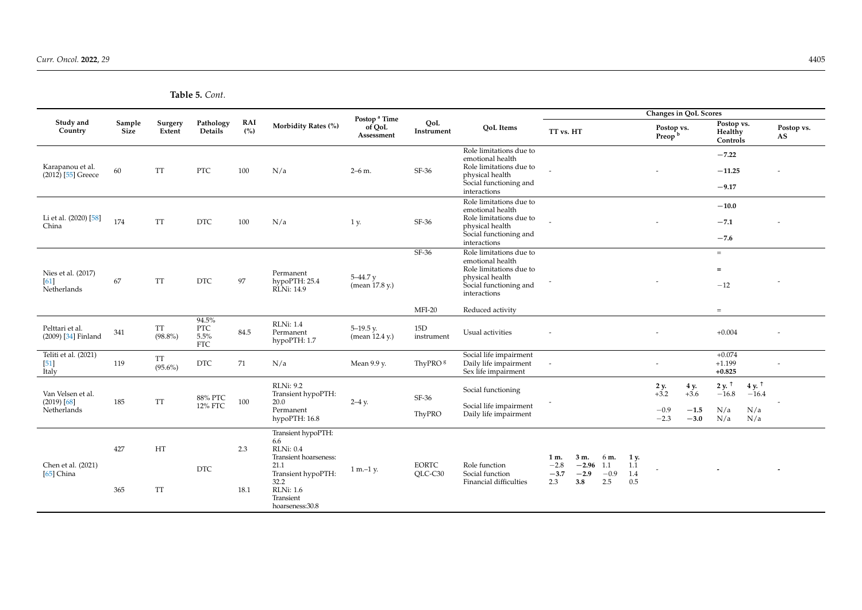|                                                    |                |                   |                                           |                   |                                                                                        | Postop <sup>a</sup> Time      |                     |                                                                                                                     | <b>Changes in QoL Scores</b> |                 |               |             |                                  |                  |                                   |                            |                          |
|----------------------------------------------------|----------------|-------------------|-------------------------------------------|-------------------|----------------------------------------------------------------------------------------|-------------------------------|---------------------|---------------------------------------------------------------------------------------------------------------------|------------------------------|-----------------|---------------|-------------|----------------------------------|------------------|-----------------------------------|----------------------------|--------------------------|
| Study and<br>Country                               | Sample<br>Size | Surgery<br>Extent | Pathology<br>Details                      | <b>RAI</b><br>(%) | Morbidity Rates (%)                                                                    | of QoL<br>Assessment          | QoL<br>Instrument   | <b>QoL</b> Items                                                                                                    | TT vs. HT                    |                 |               |             | Postop vs.<br>Preop <sup>b</sup> |                  | Postop vs.<br>Healthy<br>Controls |                            | Postop vs.<br>AS         |
| Karapanou et al.<br>$(2012)$ [55] Greece           | 60             | <b>TT</b>         | <b>PTC</b>                                | 100               | N/a                                                                                    | $2-6$ m.                      | SF-36               | Role limitations due to<br>emotional health<br>Role limitations due to<br>physical health<br>Social functioning and |                              |                 |               |             |                                  |                  | $-7.22$<br>$-11.25$               |                            | $\overline{\phantom{a}}$ |
|                                                    |                |                   |                                           |                   |                                                                                        |                               |                     | interactions                                                                                                        |                              |                 |               |             |                                  |                  | $-9.17$                           |                            |                          |
| Li et al. (2020) [58]                              | 174            | <b>TT</b>         | <b>DTC</b>                                | 100               | N/a                                                                                    | 1 y.                          | SF-36               | Role limitations due to<br>emotional health<br>Role limitations due to                                              |                              |                 |               |             |                                  |                  | $-10.0$<br>$-7.1$                 |                            |                          |
| China                                              |                |                   |                                           |                   |                                                                                        |                               |                     | physical health<br>Social functioning and<br>interactions                                                           |                              |                 |               |             |                                  |                  | $-7.6$                            |                            |                          |
| Nies et al. (2017)                                 |                |                   |                                           |                   | Permanent                                                                              | $5 - 44.7$ y                  | SF-36               | Role limitations due to<br>emotional health<br>Role limitations due to<br>physical health                           |                              |                 |               |             |                                  |                  | $=$<br>$=$                        |                            |                          |
| [61]<br>Netherlands                                | 67             | <b>TT</b>         | <b>DTC</b>                                | 97                | hypoPTH: 25.4<br>RLNi: 14.9                                                            | (mean 17.8 y.)                |                     | Social functioning and<br>interactions                                                                              |                              |                 |               |             |                                  |                  | $-12$                             |                            |                          |
|                                                    |                |                   |                                           |                   |                                                                                        |                               | $MFI-20$            | Reduced activity                                                                                                    |                              |                 |               |             |                                  |                  | $=$ $\,$                          |                            |                          |
| Pelttari et al.<br>(2009) [34] Finland             | 341            | TT<br>$(98.8\%)$  | 94.5%<br><b>PTC</b><br>5.5%<br><b>FTC</b> | 84.5              | <b>RLNi: 1.4</b><br>Permanent<br>hypoPTH: 1.7                                          | $5-19.5$ v.<br>(mean 12.4 y.) | 15D<br>instrument   | Usual activities                                                                                                    |                              |                 |               |             |                                  |                  | $+0.004$                          |                            |                          |
| Teliti et al. (2021)<br>$\left[51\right]$<br>Italy | 119            | TT<br>$(95.6\%)$  | <b>DTC</b>                                | 71                | N/a                                                                                    | Mean 9.9 y.                   | ThyPRO <sup>8</sup> | Social life impairment<br>Daily life impairment<br>Sex life impairment                                              |                              |                 |               |             | $\overline{\phantom{a}}$         |                  | $+0.074$<br>$+1.199$<br>$+0.825$  |                            |                          |
| Van Velsen et al.<br>$(2019)$ [68]                 | 185            | <b>TT</b>         | 88% PTC                                   | 100               | <b>RLNi: 9.2</b><br>Transient hypoPTH:<br>20.0                                         | $2 - 4$ y.                    | SF-36               | Social functioning                                                                                                  |                              |                 |               |             | $2 y. +3.2$                      | 4 y.<br>$+3.6$   | 2 y. $\uparrow$<br>$-16.8$        | 4 y. $\uparrow$<br>$-16.4$ |                          |
| Netherlands                                        |                |                   | 12% FTC                                   |                   | Permanent<br>hypoPTH: 16.8                                                             |                               | ThyPRO              | Social life impairment<br>Daily life impairment                                                                     |                              |                 |               |             | $-0.9$<br>$-2.3$                 | $-1.5$<br>$-3.0$ | N/a<br>N/a                        | N/a<br>N/a                 |                          |
|                                                    | 427            | HT                |                                           | 2.3               | Transient hypoPTH:<br>6.6<br><b>RLNi: 0.4</b><br>Transient hoarseness:                 |                               | <b>EORTC</b>        | Role function                                                                                                       | 1 m.<br>$-2.8$               | 3 m.<br>$-2.96$ | 6 m.<br>1.1   | 1 y.<br>1.1 |                                  |                  |                                   |                            |                          |
| Chen et al. (2021)<br>$[65]$ China                 | 365            | <b>TT</b>         | <b>DTC</b>                                | 18.1              | 21.1<br>Transient hypoPTH:<br>32.2<br><b>RLNi: 1.6</b><br>Transient<br>hoarseness:30.8 | $1 m-1 y$ .                   | OLC-C30             | Social function<br>Financial difficulties                                                                           | $-3.7$<br>2.3                | $-2.9$<br>3.8   | $-0.9$<br>2.5 | 1.4<br>0.5  |                                  |                  |                                   |                            |                          |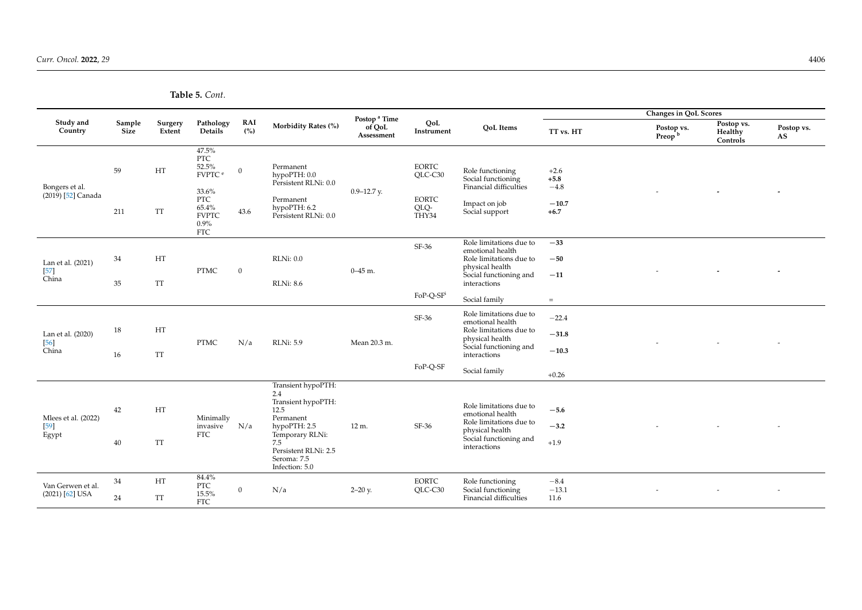|                                        |                |                   |                                                                                                            |                      |                                                                                                                                                                         | Postop <sup>a</sup> Time |                                                          |                                                                                                                                                      |                                                 | Changes in QoL Scores            |                                   |                  |
|----------------------------------------|----------------|-------------------|------------------------------------------------------------------------------------------------------------|----------------------|-------------------------------------------------------------------------------------------------------------------------------------------------------------------------|--------------------------|----------------------------------------------------------|------------------------------------------------------------------------------------------------------------------------------------------------------|-------------------------------------------------|----------------------------------|-----------------------------------|------------------|
| Study and<br>Country                   | Sample<br>Size | Surgery<br>Extent | Pathology<br><b>Details</b>                                                                                | RAI<br>(%)           | Morbidity Rates (%)                                                                                                                                                     | of QoL<br>Assessment     | QoL<br>Instrument                                        | <b>QoL</b> Items                                                                                                                                     | TT vs. HT                                       | Postop vs.<br>Preop <sup>b</sup> | Postop vs.<br>Healthy<br>Controls | Postop vs.<br>AS |
| Bongers et al.<br>(2019) [52] Canada   | 59<br>211      | HT<br><b>TT</b>   | 47.5%<br>PTC<br>52.5%<br>FVPTC <sup>e</sup><br>33.6%<br>PTC<br>65.4%<br><b>FVPTC</b><br>0.9%<br><b>FTC</b> | $\mathbf{0}$<br>43.6 | Permanent<br>hypoPTH: 0.0<br>Persistent RLNi: 0.0<br>Permanent<br>hypoPTH: 6.2<br>Persistent RLNi: 0.0                                                                  | $0.9 - 12.7$ y.          | <b>EORTC</b><br>QLC-C30<br><b>EORTC</b><br>QLQ-<br>THY34 | Role functioning<br>Social functioning<br>Financial difficulties<br>Impact on job<br>Social support                                                  | $+2.6$<br>$+5.8$<br>$-4.8$<br>$-10.7$<br>$+6.7$ |                                  |                                   |                  |
| Lan et al. (2021)<br>$[57]$<br>China   | 34<br>35       | HT<br><b>TT</b>   | <b>PTMC</b>                                                                                                | $\overline{0}$       | <b>RLNi: 0.0</b><br><b>RLNi: 8.6</b>                                                                                                                                    | $0 - 45$ m.              | $SF-36$<br>FoP-Q-SF <sup>i</sup>                         | Role limitations due to<br>emotional health<br>Role limitations due to<br>physical health<br>Social functioning and<br>interactions<br>Social family | $-33$<br>$-50$<br>$-11$<br>$=$ $\,$             |                                  |                                   |                  |
| Lan et al. (2020)<br>$[56]$<br>China   | 18<br>16       | HT<br><b>TT</b>   | <b>PTMC</b>                                                                                                | N/a                  | <b>RLNi: 5.9</b>                                                                                                                                                        | Mean 20.3 m.             | SF-36<br>FoP-Q-SF                                        | Role limitations due to<br>emotional health<br>Role limitations due to<br>physical health<br>Social functioning and<br>interactions<br>Social family | $-22.4$<br>$-31.8$<br>$-10.3$<br>$+0.26$        |                                  |                                   |                  |
| Mlees et al. (2022)<br>$[59]$<br>Egypt | 42<br>40       | HT<br><b>TT</b>   | Minimally<br>invasive<br><b>FTC</b>                                                                        | N/a                  | Transient hypoPTH:<br>2.4<br>Transient hypoPTH:<br>12.5<br>Permanent<br>hypoPTH: 2.5<br>Temporary RLNi:<br>7.5<br>Persistent RLNi: 2.5<br>Seroma: 7.5<br>Infection: 5.0 | 12 m.                    | SF-36                                                    | Role limitations due to<br>emotional health<br>Role limitations due to<br>physical health<br>Social functioning and<br>interactions                  | $-5.6$<br>$-3.2$<br>$+1.9$                      |                                  |                                   |                  |
| Van Gerwen et al.<br>$(2021)$ [62] USA | 34<br>24       | HT<br><b>TT</b>   | 84.4%<br><b>PTC</b><br>15.5%<br><b>FTC</b>                                                                 | $\mathbf{0}$         | N/a                                                                                                                                                                     | $2 - 20$ y.              | <b>EORTC</b><br>QLC-C30                                  | Role functioning<br>Social functioning<br>Financial difficulties                                                                                     | $-8.4$<br>$-13.1$<br>11.6                       |                                  |                                   |                  |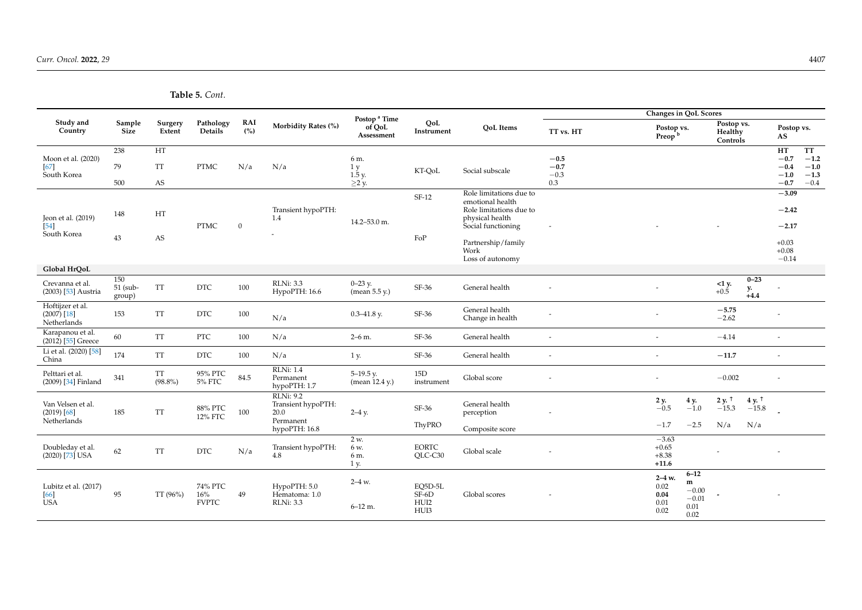|                                                  |                           |                         |                                |                   |                                                | Postop <sup>a</sup> Time        |                                    | <b>Changes in QoL Scores</b>                                                                                    |                            |                                            |                                                     |                                   |                               |                               |                        |
|--------------------------------------------------|---------------------------|-------------------------|--------------------------------|-------------------|------------------------------------------------|---------------------------------|------------------------------------|-----------------------------------------------------------------------------------------------------------------|----------------------------|--------------------------------------------|-----------------------------------------------------|-----------------------------------|-------------------------------|-------------------------------|------------------------|
| Study and<br>Country                             | Sample<br><b>Size</b>     | Surgery<br>Extent       | Pathology<br>Details           | <b>RAI</b><br>(%) | Morbidity Rates (%)                            | of QoL<br>Assessment            | QoL<br>Instrument                  | OoL Items                                                                                                       | TT vs. HT                  | Postop vs.<br>Preop <sup>b</sup>           |                                                     | Postop vs.<br>Healthy<br>Controls |                               | Postop vs.<br>AS              |                        |
| Moon et al. (2020)<br>$[67]$                     | 238<br>79                 | HT<br><b>TT</b>         | <b>PTMC</b>                    | N/a               | N/a                                            | 6 m.<br>1 <sub>y</sub>          | KT-QoL                             | Social subscale                                                                                                 | $-0.5$<br>$-0.7$<br>$-0.3$ |                                            |                                                     |                                   |                               | HT<br>$-0.7$<br>$-0.4$        | TT<br>$-1.2$<br>$-1.0$ |
| South Korea                                      | 500                       | AS                      |                                |                   |                                                | 1.5 <sub>V</sub><br>$\geq$ 2 y. |                                    |                                                                                                                 | 0.3                        |                                            |                                                     |                                   |                               | $-1.0$<br>$-0.7$              | $-1.3$<br>$-0.4$       |
| Jeon et al. (2019)<br>$[54]$                     | 148                       | HT                      | <b>PTMC</b>                    | $\mathbf{0}$      | Transient hypoPTH:<br>1.4                      | 14.2-53.0 m.                    | SF-12                              | Role limitations due to<br>emotional health<br>Role limitations due to<br>physical health<br>Social functioning |                            |                                            |                                                     |                                   |                               | $-3.09$<br>$-2.42$<br>$-2.17$ |                        |
| South Korea                                      | 43                        | $\mathbf{A}\mathbf{S}$  |                                |                   |                                                |                                 | $\rm FoP$                          | Partnership/family<br>Work<br>Loss of autonomy                                                                  |                            |                                            |                                                     |                                   |                               | $+0.03$<br>$+0.08$<br>$-0.14$ |                        |
| Global HrQoL                                     |                           |                         |                                |                   |                                                |                                 |                                    |                                                                                                                 |                            |                                            |                                                     |                                   |                               |                               |                        |
| Crevanna et al.<br>(2003) [53] Austria           | 150<br>51 (sub-<br>group) | <b>TT</b>               | <b>DTC</b>                     | 100               | <b>RLNi: 3.3</b><br>HypoPTH: 16.6              | $0 - 23$ y.<br>(mean 5.5 y.)    | SF-36                              | General health                                                                                                  |                            |                                            |                                                     | $<1 y$ .<br>$+0.5$                | $0 - 23$<br>у.<br>$+4.4$      |                               |                        |
| Hoftijzer et al.<br>$(2007)$ [18]<br>Netherlands | 153                       | <b>TT</b>               | <b>DTC</b>                     | 100               | N/a                                            | $0.3 - 41.8$ y.                 | SF-36                              | General health<br>Change in health                                                                              |                            |                                            |                                                     | $-5.75$<br>$-2.62$                |                               | $\overline{\phantom{a}}$      |                        |
| Karapanou et al.<br>$(2012)$ [55] Greece         | 60                        | <b>TT</b>               | <b>PTC</b>                     | 100               | N/a                                            | $2-6$ m.                        | SF-36                              | General health                                                                                                  | $\sim$                     | $\overline{\phantom{a}}$                   |                                                     | $-4.14$                           |                               | $\overline{\phantom{a}}$      |                        |
| Li et al. (2020) [58]<br>China                   | 174                       | TT                      | <b>DTC</b>                     | 100               | N/a                                            | 1 y.                            | SF-36                              | General health                                                                                                  | $\overline{a}$             | $\overline{\phantom{a}}$                   |                                                     | $-11.7$                           |                               | $\overline{\phantom{a}}$      |                        |
| Pelttari et al.<br>(2009) [34] Finland           | 341                       | <b>TT</b><br>$(98.8\%)$ | 95% PTC<br>5% FTC              | 84.5              | <b>RLNi: 1.4</b><br>Permanent<br>hypoPTH: 1.7  | $5-19.5$ y.<br>(mean 12.4 y.)   | 15D<br>instrument                  | Global score                                                                                                    |                            |                                            |                                                     | $-0.002$                          |                               |                               |                        |
| Van Velsen et al.<br>(2019) [68]                 | 185                       | <b>TT</b>               | 88% PTC<br>12% FTC             | 100               | <b>RLNi: 9.2</b><br>Transient hypoPTH:<br>20.0 | $2-4$ y.                        | SF-36                              | General health<br>perception                                                                                    |                            | 2 y.<br>$-0.5$                             | 4 y.<br>$-1.0$                                      | 2 y.<br>$-15.3$                   | 4 y. $^{\uparrow}$<br>$-15.8$ |                               |                        |
| Netherlands                                      |                           |                         |                                |                   | Permanent<br>hypoPTH: 16.8                     |                                 | ThyPRO                             | Composite score                                                                                                 |                            | $-1.7$                                     | $-2.5$                                              | N/a                               | N/a                           |                               |                        |
| Doubleday et al.<br>$(2020)$ [73] USA            | 62                        | <b>TT</b>               | <b>DTC</b>                     | N/a               | Transient hypoPTH:<br>4.8                      | 2 w.<br>6 w.<br>6 m.<br>1 y.    | <b>EORTC</b><br>OLC-C30            | Global scale                                                                                                    |                            | $-3.63$<br>$+0.65$<br>$+8.38$<br>$+11.6$   |                                                     |                                   |                               |                               |                        |
| Lubitz et al. (2017)<br>[66]<br><b>USA</b>       | 95                        | TT (96%)                | 74% PTC<br>16%<br><b>FVPTC</b> | 49                | HypoPTH: 5.0<br>Hematoma: 1.0<br>RLNi: 3.3     | $2 - 4$ w.<br>$6 - 12$ m.       | EQ5D-5L<br>$SF-6D$<br>HUI2<br>HUI3 | Global scores                                                                                                   |                            | $2 - 4$ w.<br>0.02<br>0.04<br>0.01<br>0.02 | $6 - 12$<br>m<br>$-0.00$<br>$-0.01$<br>0.01<br>0.02 |                                   |                               |                               |                        |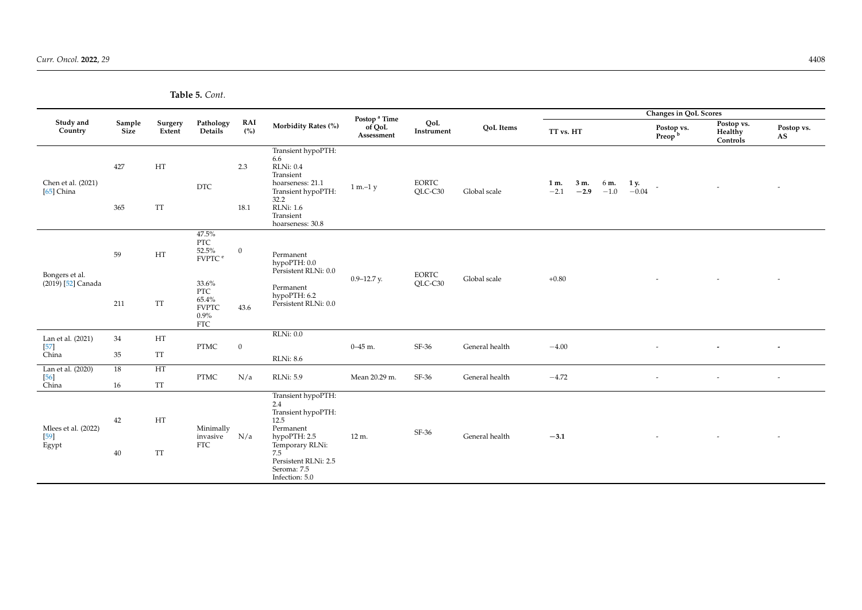|                                        |                |                                                          |                                                                    |                |                                                                                                                                                                         | Postop <sup>a</sup> Time |                         |                  |                                                    | Changes in QoL Scores            |                                   |                          |
|----------------------------------------|----------------|----------------------------------------------------------|--------------------------------------------------------------------|----------------|-------------------------------------------------------------------------------------------------------------------------------------------------------------------------|--------------------------|-------------------------|------------------|----------------------------------------------------|----------------------------------|-----------------------------------|--------------------------|
| Study and<br>Country                   | Sample<br>Size | Surgery<br>Extent                                        | Pathology<br><b>Details</b>                                        | RAI<br>(%)     | Morbidity Rates (%)                                                                                                                                                     | of QoL<br>Assessment     | QoL<br>Instrument       | <b>QoL</b> Items | TT vs. HT                                          | Postop vs.<br>Preop <sup>b</sup> | Postop vs.<br>Healthy<br>Controls | Postop vs.<br>AS         |
| Chen et al. (2021)<br>[65] China       | 427<br>365     | HT<br><b>TT</b>                                          | <b>DTC</b>                                                         | 2.3<br>18.1    | Transient hypoPTH:<br>6.6<br><b>RLNi: 0.4</b><br>Transient<br>hoarseness: 21.1<br>Transient hypoPTH:<br>32.2<br><b>RLNi: 1.6</b><br>Transient                           | $1 m-1 y$                | <b>EORTC</b><br>OLC-C30 | Global scale     | 3 m.<br>1 m.<br>6 m.<br>$-2.1$<br>$-2.9$<br>$-1.0$ | 1 y.<br>$-0.04$                  |                                   |                          |
|                                        |                |                                                          |                                                                    |                | hoarseness: 30.8                                                                                                                                                        |                          |                         |                  |                                                    |                                  |                                   |                          |
| Bongers et al.<br>$(2019)$ [52] Canada | 59             | 47.5%<br><b>PTC</b><br>52.5%<br>HT<br>FVPTC <sup>e</sup> |                                                                    | $\mathbf{0}$   | Permanent<br>hypoPTH: 0.0<br>Persistent RLNi: 0.0                                                                                                                       |                          | <b>EORTC</b>            |                  |                                                    |                                  |                                   |                          |
|                                        | 211            | <b>TT</b>                                                | 33.6%<br><b>PTC</b><br>65.4%<br><b>FVPTC</b><br>0.9%<br><b>FTC</b> | 43.6           | Permanent<br>hypoPTH: 6.2<br>Persistent RLNi: 0.0                                                                                                                       | $0.9 - 12.7$ y.          | OLC-C30                 | Global scale     | $+0.80$                                            |                                  |                                   |                          |
| Lan et al. (2021)                      | 34             | HT                                                       |                                                                    |                | RLNi: 0.0                                                                                                                                                               |                          |                         |                  |                                                    |                                  |                                   |                          |
| $[57]$<br>China                        | 35             | <b>TT</b>                                                | <b>PTMC</b>                                                        | $\overline{0}$ | <b>RLNi: 8.6</b>                                                                                                                                                        | $0 - 45$ m.              | SF-36                   | General health   | $-4.00$                                            |                                  |                                   |                          |
| Lan et al. (2020)                      | 18             | HT                                                       | <b>PTMC</b>                                                        | N/a            | <b>RLNi: 5.9</b>                                                                                                                                                        | Mean 20.29 m.            | SF-36                   | General health   | $-4.72$                                            | $\overline{\phantom{a}}$         | $\overline{\phantom{a}}$          | $\overline{\phantom{a}}$ |
| $[56]$<br>China                        | 16             | <b>TT</b>                                                |                                                                    |                |                                                                                                                                                                         |                          |                         |                  |                                                    |                                  |                                   |                          |
| Mlees et al. (2022)<br>$[59]$<br>Egypt | 42<br>40       | HT<br><b>TT</b>                                          | Minimally<br>invasive<br><b>FTC</b>                                | N/a            | Transient hypoPTH:<br>2.4<br>Transient hypoPTH:<br>12.5<br>Permanent<br>hypoPTH: 2.5<br>Temporary RLNi:<br>7.5<br>Persistent RLNi: 2.5<br>Seroma: 7.5<br>Infection: 5.0 | 12 m.                    | SF-36                   | General health   | $-3.1$                                             |                                  |                                   |                          |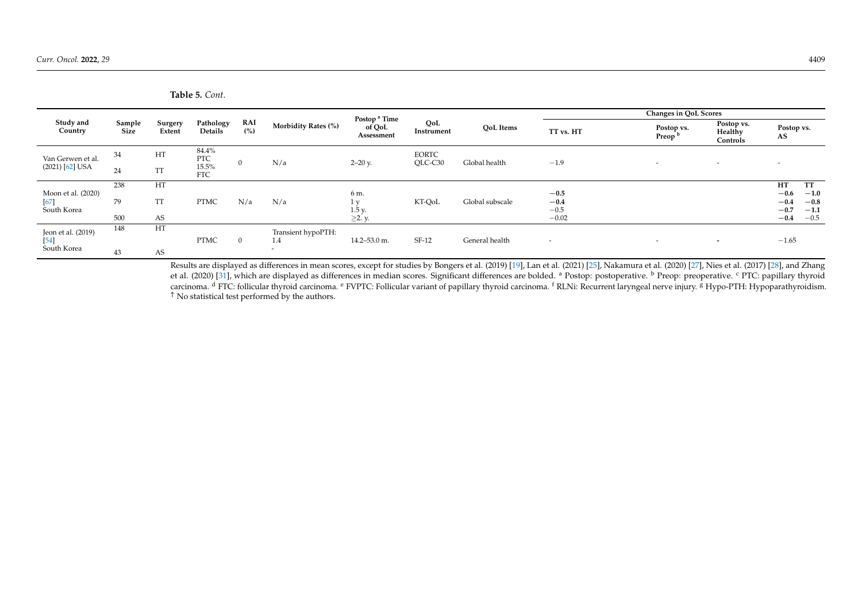|  | Table 5. Cont. |
|--|----------------|
|--|----------------|

|                       |                       | Surgery<br>Extent |                      | RAI<br>(%) | Morbidity Rates (%)      | Postop <sup>a</sup> Time |                   |                  |                          | <b>Changes in QoL Scores</b>     |                                   |                          |
|-----------------------|-----------------------|-------------------|----------------------|------------|--------------------------|--------------------------|-------------------|------------------|--------------------------|----------------------------------|-----------------------------------|--------------------------|
| Study and<br>Country  | Sample<br><b>Size</b> |                   | Pathology<br>Details |            |                          | of QoL<br>Assessment     | QoL<br>Instrument | <b>QoL</b> Items | TT vs. HT                | Postop vs.<br>Preop <sup>t</sup> | Postop vs.<br>Healthy<br>Controls | Postop vs.<br>AS         |
| Van Gerwen et al.     | 34                    | HT                | 84.4%<br>PTC         |            | N/a                      | $2 - 20$ y.              | EORTC<br>QLC-C30  | Global health    | $-1.9$                   | $\overline{\phantom{0}}$         | $\overline{\phantom{0}}$          | $\overline{\phantom{0}}$ |
| $(2021)$ [62] USA     | 24                    | <b>TT</b>         | 15.5%<br><b>FTC</b>  |            |                          |                          |                   |                  |                          |                                  |                                   |                          |
|                       | 238                   | HT                |                      |            |                          |                          |                   |                  |                          |                                  |                                   | HT<br>TT                 |
| Moon et al. (2020)    |                       |                   |                      |            |                          | 6 m.                     |                   |                  | $-0.5$                   |                                  |                                   | $-0.6$<br>$-1.0$         |
| [67]                  | 79                    | <b>TT</b>         | <b>PTMC</b>          | N/a        | N/a                      | 1y                       | KT-QoL            | Global subscale  | $-0.4$                   |                                  |                                   | $-0.8$<br>$-0.4$         |
| South Korea           |                       |                   |                      |            |                          | $1.5y$ .                 |                   |                  | $-0.5$                   |                                  |                                   | $-0.7$<br>$-1.1$         |
|                       | 500                   | AS                |                      |            |                          | $\geq$ 2. y.             |                   |                  | $-0.02$                  |                                  |                                   | $-0.5$<br>$-0.4$         |
| Jeon et al. (2019)    | 148                   | HT                |                      |            | Transient hypoPTH:       |                          |                   |                  |                          |                                  |                                   |                          |
| $[54]$<br>South Korea |                       |                   | <b>PTMC</b>          | $\Omega$   | 1.4                      | 14.2-53.0 m.             | SF-12             | General health   | $\overline{\phantom{0}}$ | $\overline{\phantom{0}}$         | $\overline{\phantom{a}}$          | $-1.65$                  |
|                       |                       |                   |                      |            | $\overline{\phantom{0}}$ |                          |                   |                  |                          |                                  |                                   |                          |
|                       | 43                    | AS                |                      |            |                          |                          |                   |                  |                          |                                  |                                   |                          |

Results are displayed as differences in mean scores, except for studies by Bongers et al. (2019) [\[19\]](#page-33-25), Lan et al. (2021) [\[25\]](#page-33-26), Nakamura et al. (2020) [\[27\]](#page-33-27), Nies et al. (2017) [\[28\]](#page-33-28), and Zhang et al. (2020) [\[31\]](#page-33-29), which are displayed as differences in median scores. Significant differences are bolded. <sup>a</sup> Postop: postoperative. <sup>b</sup> Preop: preoperative. <sup>c</sup> PTC: papillary thyroid carcinoma. <sup>d</sup> FTC: follicular thyroid carcinoma. <sup>e</sup> FVPTC: Follicular variant of papillary thyroid carcinoma. <sup>f</sup> RLNi: Recurrent laryngeal nerve injury. <sup>g</sup> Hypo-PTH: Hypoparathyroidism. <sup>↑</sup> No statistical test performed by the authors.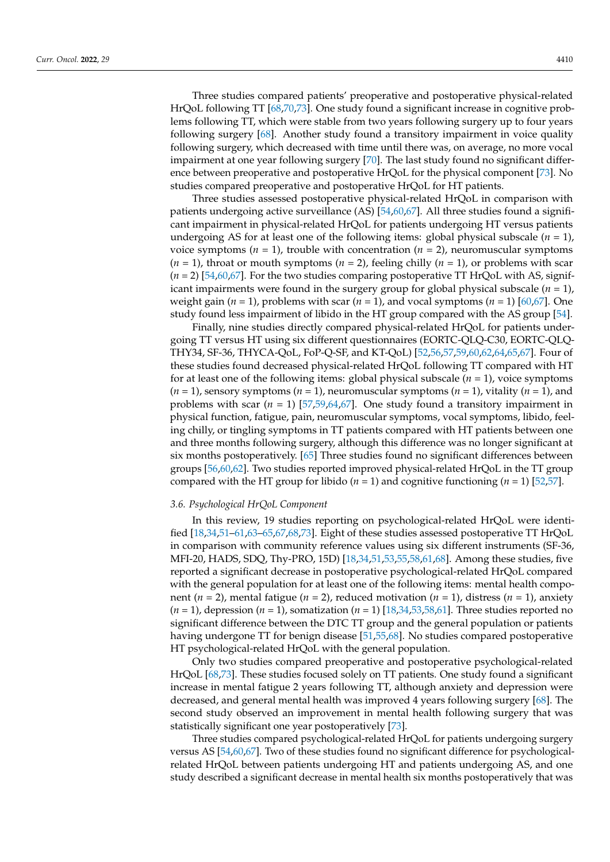Three studies compared patients' preoperative and postoperative physical-related HrQoL following TT [\[68](#page-35-8)[,70](#page-35-10)[,73\]](#page-35-13). One study found a significant increase in cognitive problems following TT, which were stable from two years following surgery up to four years following surgery [\[68\]](#page-35-8). Another study found a transitory impairment in voice quality following surgery, which decreased with time until there was, on average, no more vocal impairment at one year following surgery [\[70\]](#page-35-10). The last study found no significant difference between preoperative and postoperative HrQoL for the physical component [\[73\]](#page-35-13). No studies compared preoperative and postoperative HrQoL for HT patients.

Three studies assessed postoperative physical-related HrQoL in comparison with patients undergoing active surveillance (AS) [\[54,](#page-34-18)[60,](#page-35-0)[67\]](#page-35-7). All three studies found a significant impairment in physical-related HrQoL for patients undergoing HT versus patients undergoing AS for at least one of the following items: global physical subscale  $(n = 1)$ , voice symptoms ( $n = 1$ ), trouble with concentration ( $n = 2$ ), neuromuscular symptoms  $(n = 1)$ , throat or mouth symptoms  $(n = 2)$ , feeling chilly  $(n = 1)$ , or problems with scar  $(n = 2)$  [\[54](#page-34-18)[,60](#page-35-0)[,67\]](#page-35-7). For the two studies comparing postoperative TT HrQoL with AS, significant impairments were found in the surgery group for global physical subscale  $(n = 1)$ , weight gain ( $n = 1$ ), problems with scar ( $n = 1$ ), and vocal symptoms ( $n = 1$ ) [\[60](#page-35-0)[,67\]](#page-35-7). One study found less impairment of libido in the HT group compared with the AS group [\[54\]](#page-34-18).

Finally, nine studies directly compared physical-related HrQoL for patients undergoing TT versus HT using six different questionnaires (EORTC-QLQ-C30, EORTC-QLQ-THY34, SF-36, THYCA-QoL, FoP-Q-SF, and KT-QoL) [\[52](#page-34-16)[,56](#page-34-20)[,57](#page-34-21)[,59](#page-34-23)[,60](#page-35-0)[,62](#page-35-2)[,64,](#page-35-4)[65,](#page-35-5)[67\]](#page-35-7). Four of these studies found decreased physical-related HrQoL following TT compared with HT for at least one of the following items: global physical subscale (*n* = 1), voice symptoms (*n* = 1), sensory symptoms (*n* = 1), neuromuscular symptoms (*n* = 1), vitality (*n* = 1), and problems with scar  $(n = 1)$  [\[57](#page-34-21)[,59](#page-34-23)[,64](#page-35-4)[,67\]](#page-35-7). One study found a transitory impairment in physical function, fatigue, pain, neuromuscular symptoms, vocal symptoms, libido, feeling chilly, or tingling symptoms in TT patients compared with HT patients between one and three months following surgery, although this difference was no longer significant at six months postoperatively. [\[65\]](#page-35-5) Three studies found no significant differences between groups [\[56,](#page-34-20)[60](#page-35-0)[,62\]](#page-35-2). Two studies reported improved physical-related HrQoL in the TT group compared with the HT group for libido  $(n = 1)$  and cognitive functioning  $(n = 1)$  [\[52](#page-34-16)[,57\]](#page-34-21).

#### *3.6. Psychological HrQoL Component*

In this review, 19 studies reporting on psychological-related HrQoL were identified [\[18,](#page-33-22)[34,](#page-33-20)[51](#page-34-15)[–61,](#page-35-1)[63](#page-35-3)[–65](#page-35-5)[,67](#page-35-7)[,68](#page-35-8)[,73\]](#page-35-13). Eight of these studies assessed postoperative TT HrQoL in comparison with community reference values using six different instruments (SF-36, MFI-20, HADS, SDQ, Thy-PRO, 15D) [\[18,](#page-33-22)[34,](#page-33-20)[51,](#page-34-15)[53,](#page-34-17)[55,](#page-34-19)[58,](#page-34-22)[61,](#page-35-1)[68\]](#page-35-8). Among these studies, five reported a significant decrease in postoperative psychological-related HrQoL compared with the general population for at least one of the following items: mental health component (*n* = 2), mental fatigue (*n* = 2), reduced motivation (*n* = 1), distress (*n* = 1), anxiety  $(n = 1)$ , depression  $(n = 1)$ , somatization  $(n = 1)$  [\[18](#page-33-22)[,34](#page-33-20)[,53,](#page-34-17)[58,](#page-34-22)[61\]](#page-35-1). Three studies reported no significant difference between the DTC TT group and the general population or patients having undergone TT for benign disease [\[51](#page-34-15)[,55](#page-34-19)[,68\]](#page-35-8). No studies compared postoperative HT psychological-related HrQoL with the general population.

Only two studies compared preoperative and postoperative psychological-related HrQoL [\[68](#page-35-8)[,73\]](#page-35-13). These studies focused solely on TT patients. One study found a significant increase in mental fatigue 2 years following TT, although anxiety and depression were decreased, and general mental health was improved 4 years following surgery [\[68\]](#page-35-8). The second study observed an improvement in mental health following surgery that was statistically significant one year postoperatively [\[73\]](#page-35-13).

Three studies compared psychological-related HrQoL for patients undergoing surgery versus AS [\[54,](#page-34-18)[60,](#page-35-0)[67\]](#page-35-7). Two of these studies found no significant difference for psychologicalrelated HrQoL between patients undergoing HT and patients undergoing AS, and one study described a significant decrease in mental health six months postoperatively that was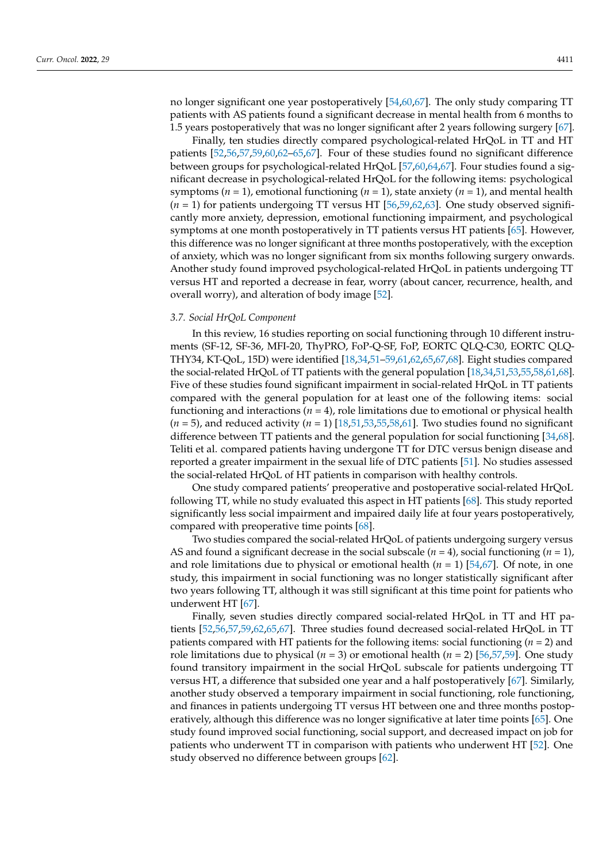no longer significant one year postoperatively [\[54](#page-34-18)[,60](#page-35-0)[,67\]](#page-35-7). The only study comparing TT patients with AS patients found a significant decrease in mental health from 6 months to 1.5 years postoperatively that was no longer significant after 2 years following surgery [\[67\]](#page-35-7).

Finally, ten studies directly compared psychological-related HrQoL in TT and HT patients [\[52,](#page-34-16)[56,](#page-34-20)[57,](#page-34-21)[59,](#page-34-23)[60,](#page-35-0)[62](#page-35-2)[–65,](#page-35-5)[67\]](#page-35-7). Four of these studies found no significant difference between groups for psychological-related HrQoL [\[57,](#page-34-21)[60,](#page-35-0)[64,](#page-35-4)[67\]](#page-35-7). Four studies found a significant decrease in psychological-related HrQoL for the following items: psychological symptoms ( $n = 1$ ), emotional functioning ( $n = 1$ ), state anxiety ( $n = 1$ ), and mental health (*n* = 1) for patients undergoing TT versus HT [\[56](#page-34-20)[,59](#page-34-23)[,62](#page-35-2)[,63\]](#page-35-3). One study observed significantly more anxiety, depression, emotional functioning impairment, and psychological symptoms at one month postoperatively in TT patients versus HT patients [\[65\]](#page-35-5). However, this difference was no longer significant at three months postoperatively, with the exception of anxiety, which was no longer significant from six months following surgery onwards. Another study found improved psychological-related HrQoL in patients undergoing TT versus HT and reported a decrease in fear, worry (about cancer, recurrence, health, and overall worry), and alteration of body image [\[52\]](#page-34-16).

#### *3.7. Social HrQoL Component*

In this review, 16 studies reporting on social functioning through 10 different instruments (SF-12, SF-36, MFI-20, ThyPRO, FoP-Q-SF, FoP, EORTC QLQ-C30, EORTC QLQ-THY34, KT-QoL, 15D) were identified [\[18,](#page-33-22)[34](#page-33-20)[,51](#page-34-15)[–59](#page-34-23)[,61,](#page-35-1)[62,](#page-35-2)[65](#page-35-5)[,67,](#page-35-7)[68\]](#page-35-8). Eight studies compared the social-related HrQoL of TT patients with the general population [\[18,](#page-33-22)[34,](#page-33-20)[51](#page-34-15)[,53,](#page-34-17)[55](#page-34-19)[,58,](#page-34-22)[61](#page-35-1)[,68\]](#page-35-8). Five of these studies found significant impairment in social-related HrQoL in TT patients compared with the general population for at least one of the following items: social functioning and interactions (*n* = 4), role limitations due to emotional or physical health (*n* = 5), and reduced activity (*n* = 1) [\[18,](#page-33-22)[51,](#page-34-15)[53,](#page-34-17)[55,](#page-34-19)[58,](#page-34-22)[61\]](#page-35-1). Two studies found no significant difference between TT patients and the general population for social functioning [\[34,](#page-33-20)[68\]](#page-35-8). Teliti et al. compared patients having undergone TT for DTC versus benign disease and reported a greater impairment in the sexual life of DTC patients [\[51\]](#page-34-15). No studies assessed the social-related HrQoL of HT patients in comparison with healthy controls.

One study compared patients' preoperative and postoperative social-related HrQoL following TT, while no study evaluated this aspect in HT patients [\[68\]](#page-35-8). This study reported significantly less social impairment and impaired daily life at four years postoperatively, compared with preoperative time points [\[68\]](#page-35-8).

Two studies compared the social-related HrQoL of patients undergoing surgery versus AS and found a significant decrease in the social subscale (*n* = 4), social functioning (*n* = 1), and role limitations due to physical or emotional health  $(n = 1)$  [\[54](#page-34-18)[,67\]](#page-35-7). Of note, in one study, this impairment in social functioning was no longer statistically significant after two years following TT, although it was still significant at this time point for patients who underwent HT [\[67\]](#page-35-7).

Finally, seven studies directly compared social-related HrQoL in TT and HT patients [\[52,](#page-34-16)[56,](#page-34-20)[57,](#page-34-21)[59,](#page-34-23)[62,](#page-35-2)[65,](#page-35-5)[67\]](#page-35-7). Three studies found decreased social-related HrQoL in TT patients compared with HT patients for the following items: social functioning (*n* = 2) and role limitations due to physical (*n* = 3) or emotional health (*n* = 2) [\[56,](#page-34-20)[57,](#page-34-21)[59\]](#page-34-23). One study found transitory impairment in the social HrQoL subscale for patients undergoing TT versus HT, a difference that subsided one year and a half postoperatively [\[67\]](#page-35-7). Similarly, another study observed a temporary impairment in social functioning, role functioning, and finances in patients undergoing TT versus HT between one and three months postoperatively, although this difference was no longer significative at later time points [\[65\]](#page-35-5). One study found improved social functioning, social support, and decreased impact on job for patients who underwent TT in comparison with patients who underwent HT [\[52\]](#page-34-16). One study observed no difference between groups [\[62\]](#page-35-2).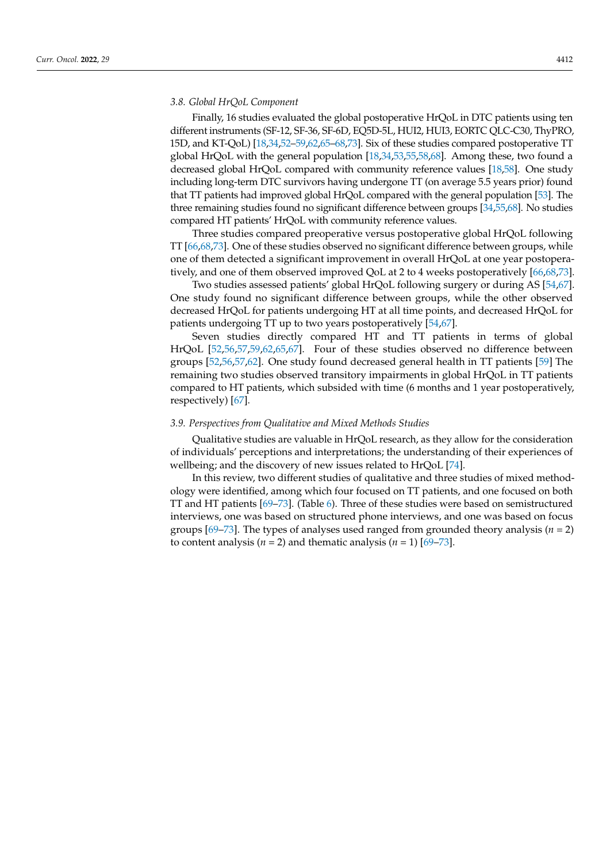#### *3.8. Global HrQoL Component*

Finally, 16 studies evaluated the global postoperative HrQoL in DTC patients using ten different instruments (SF-12, SF-36, SF-6D, EQ5D-5L, HUI2, HUI3, EORTC QLC-C30, ThyPRO, 15D, and KT-QoL) [\[18](#page-33-22)[,34](#page-33-20)[,52–](#page-34-16)[59](#page-34-23)[,62](#page-35-2)[,65](#page-35-5)[–68](#page-35-8)[,73\]](#page-35-13). Six of these studies compared postoperative TT global HrQoL with the general population [\[18](#page-33-22)[,34](#page-33-20)[,53](#page-34-17)[,55,](#page-34-19)[58,](#page-34-22)[68\]](#page-35-8). Among these, two found a decreased global HrQoL compared with community reference values [\[18](#page-33-22)[,58\]](#page-34-22). One study including long-term DTC survivors having undergone TT (on average 5.5 years prior) found that TT patients had improved global HrQoL compared with the general population [\[53\]](#page-34-17). The three remaining studies found no significant difference between groups [\[34](#page-33-20)[,55,](#page-34-19)[68\]](#page-35-8). No studies compared HT patients' HrQoL with community reference values.

Three studies compared preoperative versus postoperative global HrQoL following TT [\[66](#page-35-6)[,68,](#page-35-8)[73\]](#page-35-13). One of these studies observed no significant difference between groups, while one of them detected a significant improvement in overall HrQoL at one year postoperatively, and one of them observed improved QoL at 2 to 4 weeks postoperatively [\[66](#page-35-6)[,68](#page-35-8)[,73\]](#page-35-13).

Two studies assessed patients' global HrQoL following surgery or during AS [\[54,](#page-34-18)[67\]](#page-35-7). One study found no significant difference between groups, while the other observed decreased HrQoL for patients undergoing HT at all time points, and decreased HrQoL for patients undergoing TT up to two years postoperatively [\[54](#page-34-18)[,67\]](#page-35-7).

Seven studies directly compared HT and TT patients in terms of global HrQoL [\[52](#page-34-16)[,56,](#page-34-20)[57](#page-34-21)[,59,](#page-34-23)[62,](#page-35-2)[65,](#page-35-5)[67\]](#page-35-7). Four of these studies observed no difference between groups [\[52,](#page-34-16)[56,](#page-34-20)[57,](#page-34-21)[62\]](#page-35-2). One study found decreased general health in TT patients [\[59\]](#page-34-23) The remaining two studies observed transitory impairments in global HrQoL in TT patients compared to HT patients, which subsided with time (6 months and 1 year postoperatively, respectively) [\[67\]](#page-35-7).

#### *3.9. Perspectives from Qualitative and Mixed Methods Studies*

Qualitative studies are valuable in HrQoL research, as they allow for the consideration of individuals' perceptions and interpretations; the understanding of their experiences of wellbeing; and the discovery of new issues related to HrQoL [\[74\]](#page-35-25).

In this review, two different studies of qualitative and three studies of mixed methodology were identified, among which four focused on TT patients, and one focused on both TT and HT patients [\[69–](#page-35-9)[73\]](#page-35-13). (Table [6\)](#page-27-0). Three of these studies were based on semistructured interviews, one was based on structured phone interviews, and one was based on focus groups [\[69](#page-35-9)[–73\]](#page-35-13). The types of analyses used ranged from grounded theory analysis (*n* = 2) to content analysis ( $n = 2$ ) and thematic analysis ( $n = 1$ ) [\[69](#page-35-9)[–73\]](#page-35-13).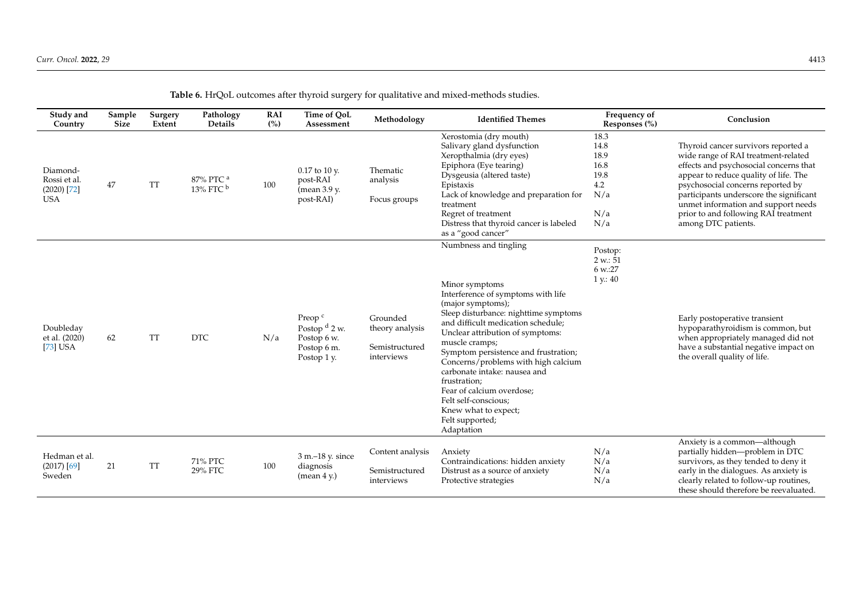<span id="page-27-0"></span>

| Study and<br>Country                                    | Sample<br><b>Size</b> | Surgery<br>Extent | Pathology<br><b>Details</b>                | <b>RAI</b><br>(%) | Time of QoL<br>Assessment                                                          | Methodology                                                 | <b>Identified Themes</b>                                                                                                                                                                                                                                                                                                                                                                                                                                                             | Frequency of<br>Responses (%)                                    | Conclusion                                                                                                                                                                                                                                                                                                                                          |
|---------------------------------------------------------|-----------------------|-------------------|--------------------------------------------|-------------------|------------------------------------------------------------------------------------|-------------------------------------------------------------|--------------------------------------------------------------------------------------------------------------------------------------------------------------------------------------------------------------------------------------------------------------------------------------------------------------------------------------------------------------------------------------------------------------------------------------------------------------------------------------|------------------------------------------------------------------|-----------------------------------------------------------------------------------------------------------------------------------------------------------------------------------------------------------------------------------------------------------------------------------------------------------------------------------------------------|
| Diamond-<br>Rossi et al.<br>$(2020)$ [72]<br><b>USA</b> | 47                    | TT                | 87% PTC <sup>a</sup><br>13% FTC $^{\rm b}$ | 100               | $0.17$ to 10 v.<br>post-RAI<br>(mean 3.9 y.<br>post-RAI)                           | Thematic<br>analysis<br>Focus groups                        | Xerostomia (dry mouth)<br>Salivary gland dysfunction<br>Xeropthalmia (dry eyes)<br>Epiphora (Eye tearing)<br>Dysgeusia (altered taste)<br>Epistaxis<br>Lack of knowledge and preparation for<br>treatment<br>Regret of treatment<br>Distress that thyroid cancer is labeled<br>as a "good cancer"                                                                                                                                                                                    | 18.3<br>14.8<br>18.9<br>16.8<br>19.8<br>4.2<br>N/a<br>N/a<br>N/a | Thyroid cancer survivors reported a<br>wide range of RAI treatment-related<br>effects and psychosocial concerns that<br>appear to reduce quality of life. The<br>psychosocial concerns reported by<br>participants underscore the significant<br>unmet information and support needs<br>prior to and following RAI treatment<br>among DTC patients. |
| Doubleday<br>et al. (2020)<br>$[73]$ USA                | 62                    | <b>TT</b>         | <b>DTC</b>                                 | N/a               | Preop <sup>c</sup><br>Postop $d$ 2 w.<br>Postop 6 w.<br>Postop 6 m.<br>Postop 1 y. | Grounded<br>theory analysis<br>Semistructured<br>interviews | Numbness and tingling<br>Minor symptoms<br>Interference of symptoms with life<br>(major symptoms);<br>Sleep disturbance: nighttime symptoms<br>and difficult medication schedule;<br>Unclear attribution of symptoms:<br>muscle cramps;<br>Symptom persistence and frustration;<br>Concerns/problems with high calcium<br>carbonate intake: nausea and<br>frustration;<br>Fear of calcium overdose;<br>Felt self-conscious;<br>Knew what to expect;<br>Felt supported;<br>Adaptation | Postop:<br>2 w.: 51<br>6 w.:27<br>1 y: 40                        | Early postoperative transient<br>hypoparathyroidism is common, but<br>when appropriately managed did not<br>have a substantial negative impact on<br>the overall quality of life.                                                                                                                                                                   |
| Hedman et al.<br>$(2017)$ [69]<br>Sweden                | 21                    | TT                | 71% PTC<br>29% FTC                         | 100               | $3 m - 18 y$ . since<br>diagnosis<br>mean 4 y.)                                    | Content analysis<br>Semistructured<br>interviews            | Anxiety<br>Contraindications: hidden anxiety<br>Distrust as a source of anxiety<br>Protective strategies                                                                                                                                                                                                                                                                                                                                                                             | N/a<br>N/a<br>N/a<br>N/a                                         | Anxiety is a common-although<br>partially hidden-problem in DTC<br>survivors, as they tended to deny it<br>early in the dialogues. As anxiety is<br>clearly related to follow-up routines,<br>these should therefore be reevaluated.                                                                                                                |

## **Table 6.** HrQoL outcomes after thyroid surgery for qualitative and mixed-methods studies.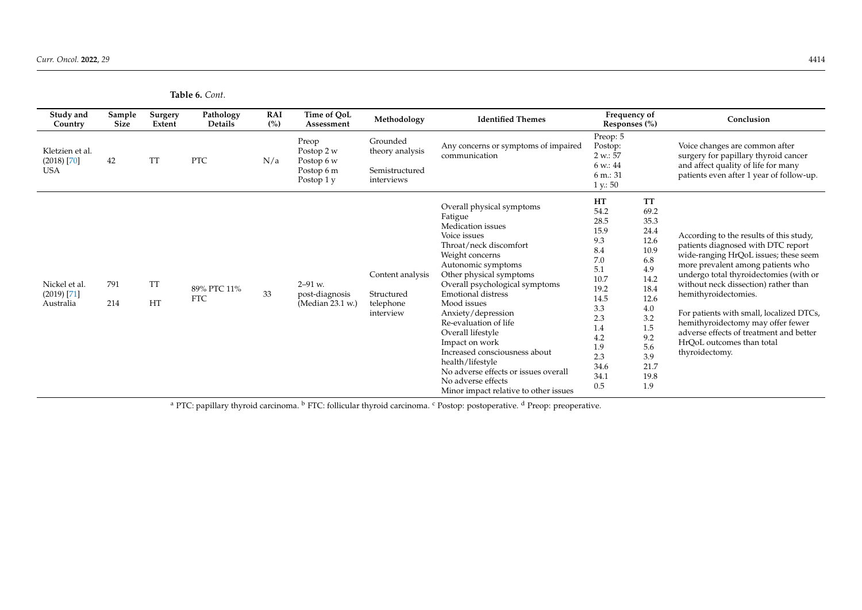**Study and Country Sample Size Surgery Extent Pathology Details RAI (%) Time of QoL Assumed Methodology Methodology Identified Themes Frequency of Responses (%) Conclusion** Kletzien et al. (2018) [\[70\]](#page-35-17) USA 42 TT PTC N/a Preop Postop 2 w Postop 6 w Postop 6 m Postop 1 y Grounded theory analysis Semistructured interviews Any concerns or symptoms of impaired communication Preop: 5 Postop: 2 w.: 57 6 w.: 44 6 m.: 31 1 y.: 50 Voice changes are common after surgery for papillary thyroid cancer and affect quality of life for many patients even after 1 year of follow-up. Nickel et al. (2019) [\[71\]](#page-35-28) Australia 791 214 TT HT 89% PTC 11%  $\frac{89\% \text{ P1C}}{11\%}$  33 2–91 w. post-diagnosis (Median 23.1 w.) Content analysis Structured telephone interview Overall physical symptoms Fatigue Medication issues Voice issues Throat/neck discomfort Weight concerns Autonomic symptoms Other physical symptoms Overall psychological symptoms Emotional distress Mood issues Anxiety/depression Re-evaluation of life Overall lifestyle Impact on work Increased consciousness about health/lifestyle No adverse effects or issues overall No adverse effects Minor impact relative to other issues **HT** 54.2 28.5 15.9 9.3 8.4 7.0 5.1 10.7 19.2 14.5 3.3 2.3 1.4 4.2 1.9 2.3 34.6 34.1 0.5 **TT** 69.2 35.3 24.4 12.6 10.9 6.8 4.9 14.2 18.4 12.6 4.0 3.2 1.5 9.2 5.6 3.9 21.7 19.8 1.9 According to the results of this study, patients diagnosed with DTC report wide-ranging HrQoL issues; these seem more prevalent among patients who undergo total thyroidectomies (with or without neck dissection) rather than hemithyroidectomies. For patients with small, localized DTCs, hemithyroidectomy may offer fewer adverse effects of treatment and better HrQoL outcomes than total thyroidectomy.

<sup>a</sup> PTC: papillary thyroid carcinoma.  $\frac{b}{c}$  FTC: follicular thyroid carcinoma. <sup>c</sup> Postop: postoperative. <sup>d</sup> Preop: preoperative.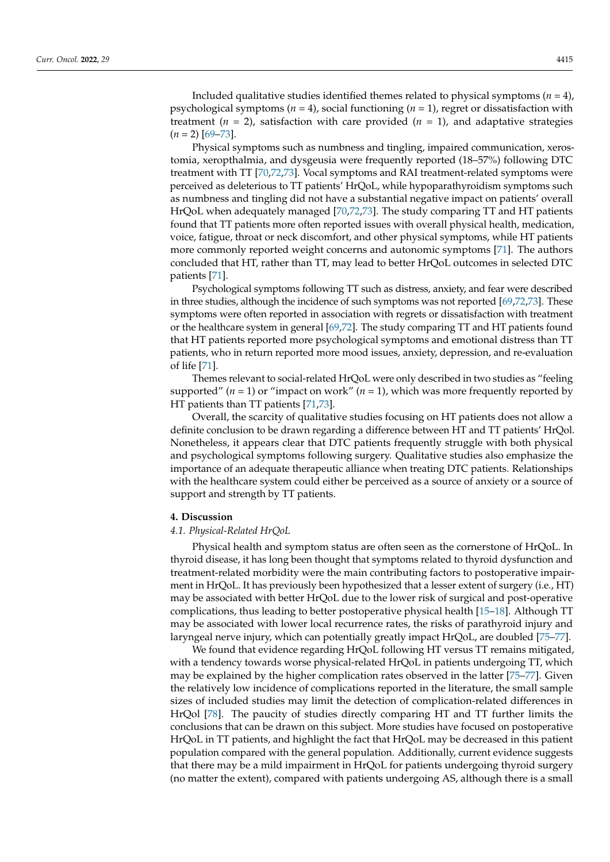Included qualitative studies identified themes related to physical symptoms  $(n = 4)$ , psychological symptoms (*n* = 4), social functioning (*n* = 1), regret or dissatisfaction with treatment ( $n = 2$ ), satisfaction with care provided ( $n = 1$ ), and adaptative strategies  $(n = 2)$  [\[69](#page-35-9)[–73\]](#page-35-13).

Physical symptoms such as numbness and tingling, impaired communication, xerostomia, xeropthalmia, and dysgeusia were frequently reported (18–57%) following DTC treatment with TT [\[70,](#page-35-10)[72,](#page-35-12)[73\]](#page-35-13). Vocal symptoms and RAI treatment-related symptoms were perceived as deleterious to TT patients' HrQoL, while hypoparathyroidism symptoms such as numbness and tingling did not have a substantial negative impact on patients' overall HrQoL when adequately managed [\[70,](#page-35-10)[72,](#page-35-12)[73\]](#page-35-13). The study comparing TT and HT patients found that TT patients more often reported issues with overall physical health, medication, voice, fatigue, throat or neck discomfort, and other physical symptoms, while HT patients more commonly reported weight concerns and autonomic symptoms [\[71\]](#page-35-11). The authors concluded that HT, rather than TT, may lead to better HrQoL outcomes in selected DTC patients [\[71\]](#page-35-11).

Psychological symptoms following TT such as distress, anxiety, and fear were described in three studies, although the incidence of such symptoms was not reported [\[69](#page-35-9)[,72](#page-35-12)[,73\]](#page-35-13). These symptoms were often reported in association with regrets or dissatisfaction with treatment or the healthcare system in general [\[69,](#page-35-9)[72\]](#page-35-12). The study comparing TT and HT patients found that HT patients reported more psychological symptoms and emotional distress than TT patients, who in return reported more mood issues, anxiety, depression, and re-evaluation of life [\[71\]](#page-35-11).

Themes relevant to social-related HrQoL were only described in two studies as "feeling supported" ( $n = 1$ ) or "impact on work" ( $n = 1$ ), which was more frequently reported by HT patients than TT patients [\[71](#page-35-11)[,73\]](#page-35-13).

Overall, the scarcity of qualitative studies focusing on HT patients does not allow a definite conclusion to be drawn regarding a difference between HT and TT patients' HrQol. Nonetheless, it appears clear that DTC patients frequently struggle with both physical and psychological symptoms following surgery. Qualitative studies also emphasize the importance of an adequate therapeutic alliance when treating DTC patients. Relationships with the healthcare system could either be perceived as a source of anxiety or a source of support and strength by TT patients.

#### **4. Discussion**

#### *4.1. Physical-Related HrQoL*

Physical health and symptom status are often seen as the cornerstone of HrQoL. In thyroid disease, it has long been thought that symptoms related to thyroid dysfunction and treatment-related morbidity were the main contributing factors to postoperative impairment in HrQoL. It has previously been hypothesized that a lesser extent of surgery (i.e., HT) may be associated with better HrQoL due to the lower risk of surgical and post-operative complications, thus leading to better postoperative physical health [\[15–](#page-33-4)[18\]](#page-33-22). Although TT may be associated with lower local recurrence rates, the risks of parathyroid injury and laryngeal nerve injury, which can potentially greatly impact HrQoL, are doubled [\[75–](#page-35-29)[77\]](#page-35-30).

We found that evidence regarding HrQoL following HT versus TT remains mitigated, with a tendency towards worse physical-related HrQoL in patients undergoing TT, which may be explained by the higher complication rates observed in the latter [\[75–](#page-35-29)[77\]](#page-35-30). Given the relatively low incidence of complications reported in the literature, the small sample sizes of included studies may limit the detection of complication-related differences in HrQol [\[78\]](#page-35-31). The paucity of studies directly comparing HT and TT further limits the conclusions that can be drawn on this subject. More studies have focused on postoperative HrQoL in TT patients, and highlight the fact that HrQoL may be decreased in this patient population compared with the general population. Additionally, current evidence suggests that there may be a mild impairment in HrQoL for patients undergoing thyroid surgery (no matter the extent), compared with patients undergoing AS, although there is a small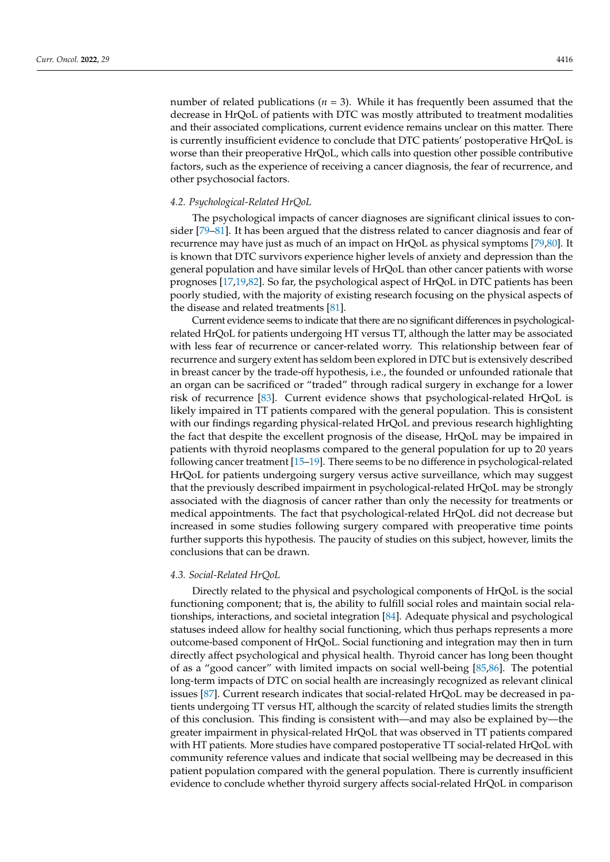number of related publications  $(n = 3)$ . While it has frequently been assumed that the decrease in HrQoL of patients with DTC was mostly attributed to treatment modalities and their associated complications, current evidence remains unclear on this matter. There is currently insufficient evidence to conclude that DTC patients' postoperative HrQoL is worse than their preoperative HrQoL, which calls into question other possible contributive factors, such as the experience of receiving a cancer diagnosis, the fear of recurrence, and other psychosocial factors.

#### *4.2. Psychological-Related HrQoL*

The psychological impacts of cancer diagnoses are significant clinical issues to consider [\[79–](#page-35-32)[81\]](#page-35-33). It has been argued that the distress related to cancer diagnosis and fear of recurrence may have just as much of an impact on HrQoL as physical symptoms [\[79,](#page-35-32)[80\]](#page-35-34). It is known that DTC survivors experience higher levels of anxiety and depression than the general population and have similar levels of HrQoL than other cancer patients with worse prognoses [\[17,](#page-33-30)[19,](#page-33-5)[82\]](#page-35-35). So far, the psychological aspect of HrQoL in DTC patients has been poorly studied, with the majority of existing research focusing on the physical aspects of the disease and related treatments [\[81\]](#page-35-33).

Current evidence seems to indicate that there are no significant differences in psychologicalrelated HrQoL for patients undergoing HT versus TT, although the latter may be associated with less fear of recurrence or cancer-related worry. This relationship between fear of recurrence and surgery extent has seldom been explored in DTC but is extensively described in breast cancer by the trade-off hypothesis, i.e., the founded or unfounded rationale that an organ can be sacrificed or "traded" through radical surgery in exchange for a lower risk of recurrence [\[83\]](#page-35-36). Current evidence shows that psychological-related HrQoL is likely impaired in TT patients compared with the general population. This is consistent with our findings regarding physical-related HrQoL and previous research highlighting the fact that despite the excellent prognosis of the disease, HrQoL may be impaired in patients with thyroid neoplasms compared to the general population for up to 20 years following cancer treatment [\[15–](#page-33-4)[19\]](#page-33-5). There seems to be no difference in psychological-related HrQoL for patients undergoing surgery versus active surveillance, which may suggest that the previously described impairment in psychological-related HrQoL may be strongly associated with the diagnosis of cancer rather than only the necessity for treatments or medical appointments. The fact that psychological-related HrQoL did not decrease but increased in some studies following surgery compared with preoperative time points further supports this hypothesis. The paucity of studies on this subject, however, limits the conclusions that can be drawn.

#### *4.3. Social-Related HrQoL*

Directly related to the physical and psychological components of HrQoL is the social functioning component; that is, the ability to fulfill social roles and maintain social relationships, interactions, and societal integration [\[84\]](#page-35-37). Adequate physical and psychological statuses indeed allow for healthy social functioning, which thus perhaps represents a more outcome-based component of HrQoL. Social functioning and integration may then in turn directly affect psychological and physical health. Thyroid cancer has long been thought of as a "good cancer" with limited impacts on social well-being [\[85,](#page-36-0)[86\]](#page-36-1). The potential long-term impacts of DTC on social health are increasingly recognized as relevant clinical issues [\[87\]](#page-36-2). Current research indicates that social-related HrQoL may be decreased in patients undergoing TT versus HT, although the scarcity of related studies limits the strength of this conclusion. This finding is consistent with—and may also be explained by—the greater impairment in physical-related HrQoL that was observed in TT patients compared with HT patients. More studies have compared postoperative TT social-related HrQoL with community reference values and indicate that social wellbeing may be decreased in this patient population compared with the general population. There is currently insufficient evidence to conclude whether thyroid surgery affects social-related HrQoL in comparison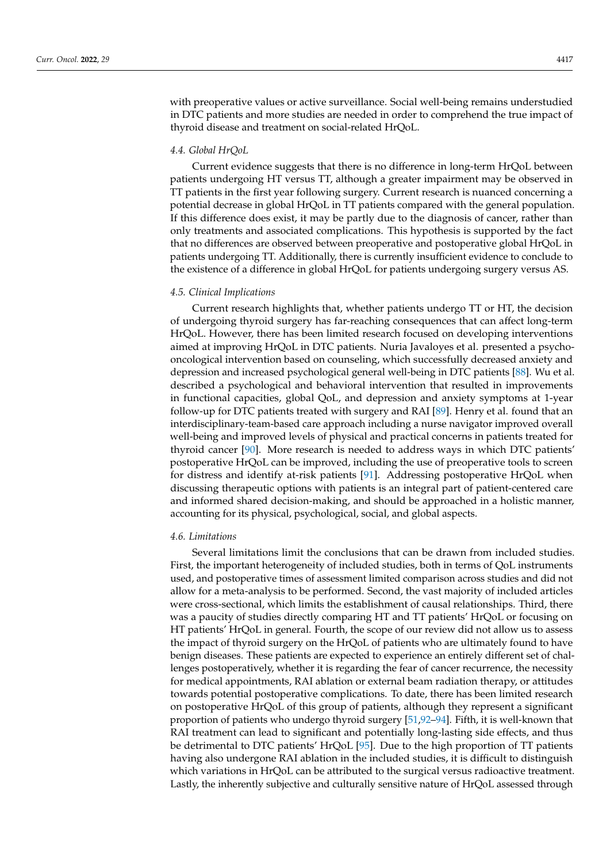with preoperative values or active surveillance. Social well-being remains understudied in DTC patients and more studies are needed in order to comprehend the true impact of thyroid disease and treatment on social-related HrQoL.

#### *4.4. Global HrQoL*

Current evidence suggests that there is no difference in long-term HrQoL between patients undergoing HT versus TT, although a greater impairment may be observed in TT patients in the first year following surgery. Current research is nuanced concerning a potential decrease in global HrQoL in TT patients compared with the general population. If this difference does exist, it may be partly due to the diagnosis of cancer, rather than only treatments and associated complications. This hypothesis is supported by the fact that no differences are observed between preoperative and postoperative global HrQoL in patients undergoing TT. Additionally, there is currently insufficient evidence to conclude to the existence of a difference in global HrQoL for patients undergoing surgery versus AS.

#### *4.5. Clinical Implications*

Current research highlights that, whether patients undergo TT or HT, the decision of undergoing thyroid surgery has far-reaching consequences that can affect long-term HrQoL. However, there has been limited research focused on developing interventions aimed at improving HrQoL in DTC patients. Nuria Javaloyes et al. presented a psychooncological intervention based on counseling, which successfully decreased anxiety and depression and increased psychological general well-being in DTC patients [\[88\]](#page-36-3). Wu et al. described a psychological and behavioral intervention that resulted in improvements in functional capacities, global QoL, and depression and anxiety symptoms at 1-year follow-up for DTC patients treated with surgery and RAI [\[89\]](#page-36-4). Henry et al. found that an interdisciplinary-team-based care approach including a nurse navigator improved overall well-being and improved levels of physical and practical concerns in patients treated for thyroid cancer [\[90\]](#page-36-5). More research is needed to address ways in which DTC patients' postoperative HrQoL can be improved, including the use of preoperative tools to screen for distress and identify at-risk patients [\[91\]](#page-36-6). Addressing postoperative HrQoL when discussing therapeutic options with patients is an integral part of patient-centered care and informed shared decision-making, and should be approached in a holistic manner, accounting for its physical, psychological, social, and global aspects.

## *4.6. Limitations*

Several limitations limit the conclusions that can be drawn from included studies. First, the important heterogeneity of included studies, both in terms of QoL instruments used, and postoperative times of assessment limited comparison across studies and did not allow for a meta-analysis to be performed. Second, the vast majority of included articles were cross-sectional, which limits the establishment of causal relationships. Third, there was a paucity of studies directly comparing HT and TT patients' HrQoL or focusing on HT patients' HrQoL in general. Fourth, the scope of our review did not allow us to assess the impact of thyroid surgery on the HrQoL of patients who are ultimately found to have benign diseases. These patients are expected to experience an entirely different set of challenges postoperatively, whether it is regarding the fear of cancer recurrence, the necessity for medical appointments, RAI ablation or external beam radiation therapy, or attitudes towards potential postoperative complications. To date, there has been limited research on postoperative HrQoL of this group of patients, although they represent a significant proportion of patients who undergo thyroid surgery [\[51,](#page-34-15)[92–](#page-36-7)[94\]](#page-36-8). Fifth, it is well-known that RAI treatment can lead to significant and potentially long-lasting side effects, and thus be detrimental to DTC patients' HrQoL [\[95\]](#page-36-9). Due to the high proportion of TT patients having also undergone RAI ablation in the included studies, it is difficult to distinguish which variations in HrQoL can be attributed to the surgical versus radioactive treatment. Lastly, the inherently subjective and culturally sensitive nature of HrQoL assessed through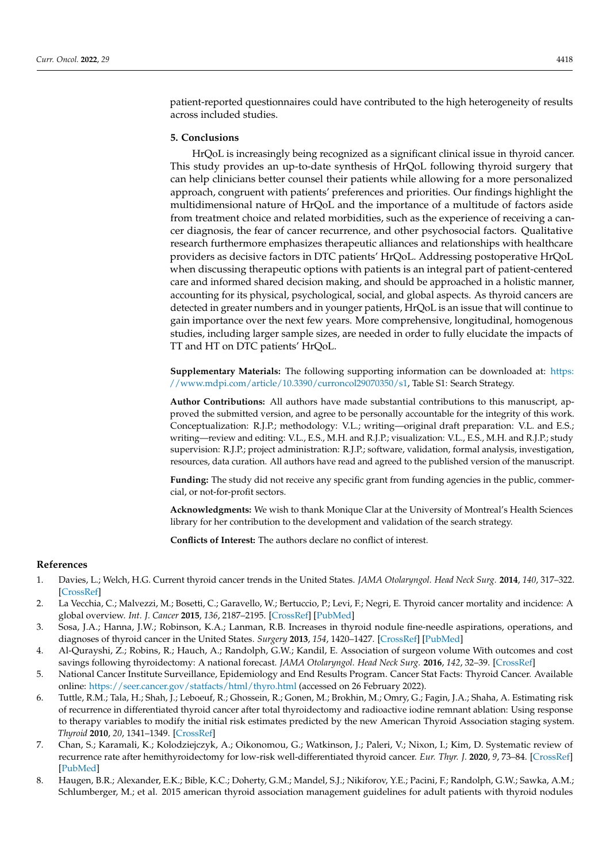patient-reported questionnaires could have contributed to the high heterogeneity of results across included studies.

#### **5. Conclusions**

HrQoL is increasingly being recognized as a significant clinical issue in thyroid cancer. This study provides an up-to-date synthesis of HrQoL following thyroid surgery that can help clinicians better counsel their patients while allowing for a more personalized approach, congruent with patients' preferences and priorities. Our findings highlight the multidimensional nature of HrQoL and the importance of a multitude of factors aside from treatment choice and related morbidities, such as the experience of receiving a cancer diagnosis, the fear of cancer recurrence, and other psychosocial factors. Qualitative research furthermore emphasizes therapeutic alliances and relationships with healthcare providers as decisive factors in DTC patients' HrQoL. Addressing postoperative HrQoL when discussing therapeutic options with patients is an integral part of patient-centered care and informed shared decision making, and should be approached in a holistic manner, accounting for its physical, psychological, social, and global aspects. As thyroid cancers are detected in greater numbers and in younger patients, HrQoL is an issue that will continue to gain importance over the next few years. More comprehensive, longitudinal, homogenous studies, including larger sample sizes, are needed in order to fully elucidate the impacts of TT and HT on DTC patients' HrQoL.

**Supplementary Materials:** The following supporting information can be downloaded at: [https:](https://www.mdpi.com/article/10.3390/curroncol29070350/s1) [//www.mdpi.com/article/10.3390/curroncol29070350/s1,](https://www.mdpi.com/article/10.3390/curroncol29070350/s1) Table S1: Search Strategy.

**Author Contributions:** All authors have made substantial contributions to this manuscript, approved the submitted version, and agree to be personally accountable for the integrity of this work. Conceptualization: R.J.P.; methodology: V.L.; writing—original draft preparation: V.L. and E.S.; writing—review and editing: V.L., E.S., M.H. and R.J.P.; visualization: V.L., E.S., M.H. and R.J.P.; study supervision: R.J.P.; project administration: R.J.P.; software, validation, formal analysis, investigation, resources, data curation. All authors have read and agreed to the published version of the manuscript.

**Funding:** The study did not receive any specific grant from funding agencies in the public, commercial, or not-for-profit sectors.

**Acknowledgments:** We wish to thank Monique Clar at the University of Montreal's Health Sciences library for her contribution to the development and validation of the search strategy.

**Conflicts of Interest:** The authors declare no conflict of interest.

### **References**

- <span id="page-32-0"></span>1. Davies, L.; Welch, H.G. Current thyroid cancer trends in the United States. *JAMA Otolaryngol. Head Neck Surg.* **2014**, *140*, 317–322. [\[CrossRef\]](http://doi.org/10.1001/jamaoto.2014.1)
- <span id="page-32-1"></span>2. La Vecchia, C.; Malvezzi, M.; Bosetti, C.; Garavello, W.; Bertuccio, P.; Levi, F.; Negri, E. Thyroid cancer mortality and incidence: A global overview. *Int. J. Cancer* **2015**, *136*, 2187–2195. [\[CrossRef\]](http://doi.org/10.1002/ijc.29251) [\[PubMed\]](http://www.ncbi.nlm.nih.gov/pubmed/25284703)
- <span id="page-32-2"></span>3. Sosa, J.A.; Hanna, J.W.; Robinson, K.A.; Lanman, R.B. Increases in thyroid nodule fine-needle aspirations, operations, and diagnoses of thyroid cancer in the United States. *Surgery* **2013**, *154*, 1420–1427. [\[CrossRef\]](http://doi.org/10.1016/j.surg.2013.07.006) [\[PubMed\]](http://www.ncbi.nlm.nih.gov/pubmed/24094448)
- <span id="page-32-3"></span>4. Al-Qurayshi, Z.; Robins, R.; Hauch, A.; Randolph, G.W.; Kandil, E. Association of surgeon volume With outcomes and cost savings following thyroidectomy: A national forecast. *JAMA Otolaryngol. Head Neck Surg.* **2016**, *142*, 32–39. [\[CrossRef\]](http://doi.org/10.1001/jamaoto.2015.2503)
- <span id="page-32-4"></span>5. National Cancer Institute Surveillance, Epidemiology and End Results Program. Cancer Stat Facts: Thyroid Cancer. Available online: <https://seer.cancer.gov/statfacts/html/thyro.html> (accessed on 26 February 2022).
- 6. Tuttle, R.M.; Tala, H.; Shah, J.; Leboeuf, R.; Ghossein, R.; Gonen, M.; Brokhin, M.; Omry, G.; Fagin, J.A.; Shaha, A. Estimating risk of recurrence in differentiated thyroid cancer after total thyroidectomy and radioactive iodine remnant ablation: Using response to therapy variables to modify the initial risk estimates predicted by the new American Thyroid Association staging system. *Thyroid* **2010**, *20*, 1341–1349. [\[CrossRef\]](http://doi.org/10.1089/thy.2010.0178)
- <span id="page-32-5"></span>7. Chan, S.; Karamali, K.; Kolodziejczyk, A.; Oikonomou, G.; Watkinson, J.; Paleri, V.; Nixon, I.; Kim, D. Systematic review of recurrence rate after hemithyroidectomy for low-risk well-differentiated thyroid cancer. *Eur. Thyr. J.* **2020**, *9*, 73–84. [\[CrossRef\]](http://doi.org/10.1159/000504961) [\[PubMed\]](http://www.ncbi.nlm.nih.gov/pubmed/32257956)
- <span id="page-32-6"></span>8. Haugen, B.R.; Alexander, E.K.; Bible, K.C.; Doherty, G.M.; Mandel, S.J.; Nikiforov, Y.E.; Pacini, F.; Randolph, G.W.; Sawka, A.M.; Schlumberger, M.; et al. 2015 american thyroid association management guidelines for adult patients with thyroid nodules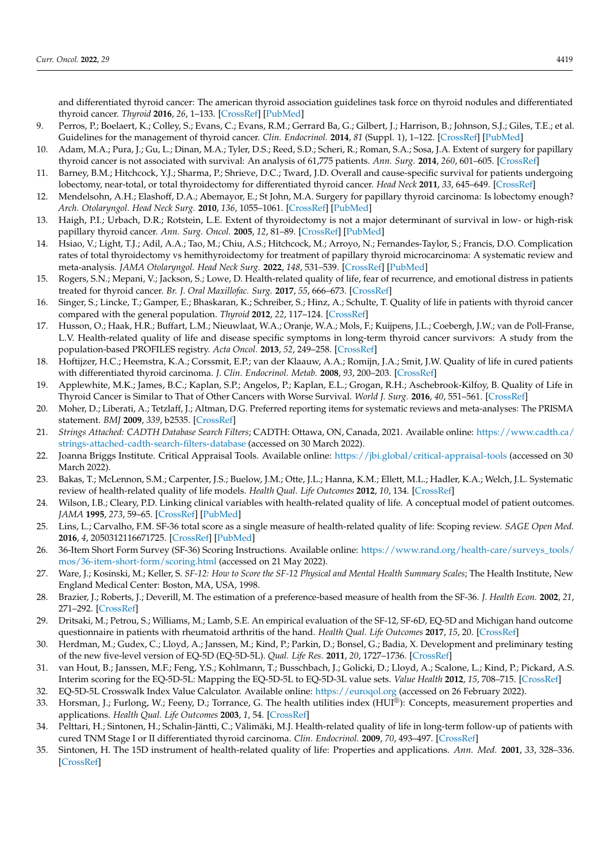<span id="page-33-23"></span>and differentiated thyroid cancer: The american thyroid association guidelines task force on thyroid nodules and differentiated thyroid cancer. *Thyroid* **2016**, *26*, 1–133. [\[CrossRef\]](http://doi.org/10.1089/thy.2015.0020) [\[PubMed\]](http://www.ncbi.nlm.nih.gov/pubmed/26462967)

- <span id="page-33-25"></span><span id="page-33-0"></span>9. Perros, P.; Boelaert, K.; Colley, S.; Evans, C.; Evans, R.M.; Gerrard Ba, G.; Gilbert, J.; Harrison, B.; Johnson, S.J.; Giles, T.E.; et al. Guidelines for the management of thyroid cancer. *Clin. Endocrinol.* **2014**, *81* (Suppl. 1), 1–122. [\[CrossRef\]](http://doi.org/10.1111/cen.12515) [\[PubMed\]](http://www.ncbi.nlm.nih.gov/pubmed/24989897)
- <span id="page-33-1"></span>10. Adam, M.A.; Pura, J.; Gu, L.; Dinan, M.A.; Tyler, D.S.; Reed, S.D.; Scheri, R.; Roman, S.A.; Sosa, J.A. Extent of surgery for papillary thyroid cancer is not associated with survival: An analysis of 61,775 patients. *Ann. Surg.* **2014**, *260*, 601–605. [\[CrossRef\]](http://doi.org/10.1097/SLA.0000000000000925)
- 11. Barney, B.M.; Hitchcock, Y.J.; Sharma, P.; Shrieve, D.C.; Tward, J.D. Overall and cause-specific survival for patients undergoing lobectomy, near-total, or total thyroidectomy for differentiated thyroid cancer. *Head Neck* **2011**, *33*, 645–649. [\[CrossRef\]](http://doi.org/10.1002/hed.21504)
- 12. Mendelsohn, A.H.; Elashoff, D.A.; Abemayor, E.; St John, M.A. Surgery for papillary thyroid carcinoma: Is lobectomy enough? *Arch. Otolaryngol. Head Neck Surg.* **2010**, *136*, 1055–1061. [\[CrossRef\]](http://doi.org/10.1001/archoto.2010.181) [\[PubMed\]](http://www.ncbi.nlm.nih.gov/pubmed/21079156)
- <span id="page-33-2"></span>13. Haigh, P.I.; Urbach, D.R.; Rotstein, L.E. Extent of thyroidectomy is not a major determinant of survival in low- or high-risk papillary thyroid cancer. *Ann. Surg. Oncol.* **2005**, *12*, 81–89. [\[CrossRef\]](http://doi.org/10.1007/s10434-004-1165-1) [\[PubMed\]](http://www.ncbi.nlm.nih.gov/pubmed/15827782)
- <span id="page-33-3"></span>14. Hsiao, V.; Light, T.J.; Adil, A.A.; Tao, M.; Chiu, A.S.; Hitchcock, M.; Arroyo, N.; Fernandes-Taylor, S.; Francis, D.O. Complication rates of total thyroidectomy vs hemithyroidectomy for treatment of papillary thyroid microcarcinoma: A systematic review and meta-analysis. *JAMA Otolaryngol. Head Neck Surg.* **2022**, *148*, 531–539. [\[CrossRef\]](http://doi.org/10.1001/jamaoto.2022.0621) [\[PubMed\]](http://www.ncbi.nlm.nih.gov/pubmed/35511129)
- <span id="page-33-26"></span><span id="page-33-4"></span>15. Rogers, S.N.; Mepani, V.; Jackson, S.; Lowe, D. Health-related quality of life, fear of recurrence, and emotional distress in patients treated for thyroid cancer. *Br. J. Oral Maxillofac. Surg.* **2017**, *55*, 666–673. [\[CrossRef\]](http://doi.org/10.1016/j.bjoms.2016.09.001)
- 16. Singer, S.; Lincke, T.; Gamper, E.; Bhaskaran, K.; Schreiber, S.; Hinz, A.; Schulte, T. Quality of life in patients with thyroid cancer compared with the general population. *Thyroid* **2012**, *22*, 117–124. [\[CrossRef\]](http://doi.org/10.1089/thy.2011.0139)
- <span id="page-33-30"></span><span id="page-33-28"></span><span id="page-33-27"></span>17. Husson, O.; Haak, H.R.; Buffart, L.M.; Nieuwlaat, W.A.; Oranje, W.A.; Mols, F.; Kuijpens, J.L.; Coebergh, J.W.; van de Poll-Franse, L.V. Health-related quality of life and disease specific symptoms in long-term thyroid cancer survivors: A study from the population-based PROFILES registry. *Acta Oncol.* **2013**, *52*, 249–258. [\[CrossRef\]](http://doi.org/10.3109/0284186X.2012.741326)
- <span id="page-33-22"></span>18. Hoftijzer, H.C.; Heemstra, K.A.; Corssmit, E.P.; van der Klaauw, A.A.; Romijn, J.A.; Smit, J.W. Quality of life in cured patients with differentiated thyroid carcinoma. *J. Clin. Endocrinol. Metab.* **2008**, *93*, 200–203. [\[CrossRef\]](http://doi.org/10.1210/jc.2007-1203)
- <span id="page-33-5"></span>19. Applewhite, M.K.; James, B.C.; Kaplan, S.P.; Angelos, P.; Kaplan, E.L.; Grogan, R.H.; Aschebrook-Kilfoy, B. Quality of Life in Thyroid Cancer is Similar to That of Other Cancers with Worse Survival. *World J. Surg.* **2016**, *40*, 551–561. [\[CrossRef\]](http://doi.org/10.1007/s00268-015-3300-5)
- <span id="page-33-29"></span><span id="page-33-6"></span>20. Moher, D.; Liberati, A.; Tetzlaff, J.; Altman, D.G. Preferred reporting items for systematic reviews and meta-analyses: The PRISMA statement. *BMJ* **2009**, *339*, b2535. [\[CrossRef\]](http://doi.org/10.1136/bmj.b2535)
- <span id="page-33-7"></span>21. *Strings Attached: CADTH Database Search Filters*; CADTH: Ottawa, ON, Canada, 2021. Available online: [https://www.cadth.ca/](https://www.cadth.ca/strings-attached-cadth-search-filters-database) [strings-attached-cadth-search-filters-database](https://www.cadth.ca/strings-attached-cadth-search-filters-database) (accessed on 30 March 2022).
- <span id="page-33-8"></span>22. Joanna Briggs Institute. Critical Appraisal Tools. Available online: <https://jbi.global/critical-appraisal-tools> (accessed on 30 March 2022).
- <span id="page-33-24"></span><span id="page-33-9"></span>23. Bakas, T.; McLennon, S.M.; Carpenter, J.S.; Buelow, J.M.; Otte, J.L.; Hanna, K.M.; Ellett, M.L.; Hadler, K.A.; Welch, J.L. Systematic review of health-related quality of life models. *Health Qual. Life Outcomes* **2012**, *10*, 134. [\[CrossRef\]](http://doi.org/10.1186/1477-7525-10-134)
- <span id="page-33-10"></span>24. Wilson, I.B.; Cleary, P.D. Linking clinical variables with health-related quality of life. A conceptual model of patient outcomes. *JAMA* **1995**, *273*, 59–65. [\[CrossRef\]](http://doi.org/10.1001/jama.1995.03520250075037) [\[PubMed\]](http://www.ncbi.nlm.nih.gov/pubmed/7996652)
- <span id="page-33-11"></span>25. Lins, L.; Carvalho, F.M. SF-36 total score as a single measure of health-related quality of life: Scoping review. *SAGE Open Med.* **2016**, *4*, 2050312116671725. [\[CrossRef\]](http://doi.org/10.1177/2050312116671725) [\[PubMed\]](http://www.ncbi.nlm.nih.gov/pubmed/27757230)
- <span id="page-33-12"></span>26. 36-Item Short Form Survey (SF-36) Scoring Instructions. Available online: [https://www.rand.org/health-care/surveys\\_tools/](https://www.rand.org/health-care/surveys_tools/mos/36-item-short-form/scoring.html) [mos/36-item-short-form/scoring.html](https://www.rand.org/health-care/surveys_tools/mos/36-item-short-form/scoring.html) (accessed on 21 May 2022).
- <span id="page-33-13"></span>27. Ware, J.; Kosinski, M.; Keller, S. *SF-12: How to Score the SF-12 Physical and Mental Health Summary Scales*; The Health Institute, New England Medical Center: Boston, MA, USA, 1998.
- <span id="page-33-14"></span>28. Brazier, J.; Roberts, J.; Deverill, M. The estimation of a preference-based measure of health from the SF-36. *J. Health Econ.* **2002**, *21*, 271–292. [\[CrossRef\]](http://doi.org/10.1016/S0167-6296(01)00130-8)
- <span id="page-33-15"></span>29. Dritsaki, M.; Petrou, S.; Williams, M.; Lamb, S.E. An empirical evaluation of the SF-12, SF-6D, EQ-5D and Michigan hand outcome questionnaire in patients with rheumatoid arthritis of the hand. *Health Qual. Life Outcomes* **2017**, *15*, 20. [\[CrossRef\]](http://doi.org/10.1186/s12955-016-0584-6)
- <span id="page-33-16"></span>30. Herdman, M.; Gudex, C.; Lloyd, A.; Janssen, M.; Kind, P.; Parkin, D.; Bonsel, G.; Badia, X. Development and preliminary testing of the new five-level version of EQ-5D (EQ-5D-5L). *Qual. Life Res.* **2011**, *20*, 1727–1736. [\[CrossRef\]](http://doi.org/10.1007/s11136-011-9903-x)
- <span id="page-33-17"></span>31. van Hout, B.; Janssen, M.F.; Feng, Y.S.; Kohlmann, T.; Busschbach, J.; Golicki, D.; Lloyd, A.; Scalone, L.; Kind, P.; Pickard, A.S. Interim scoring for the EQ-5D-5L: Mapping the EQ-5D-5L to EQ-5D-3L value sets. *Value Health* **2012**, *15*, 708–715. [\[CrossRef\]](http://doi.org/10.1016/j.jval.2012.02.008)
- <span id="page-33-18"></span>32. EQ-5D-5L Crosswalk Index Value Calculator. Available online: <https://euroqol.org> (accessed on 26 February 2022).
- <span id="page-33-19"></span>33. Horsman, J.; Furlong, W.; Feeny, D.; Torrance, G. The health utilities index (HUI®): Concepts, measurement properties and applications. *Health Qual. Life Outcomes* **2003**, *1*, 54. [\[CrossRef\]](http://doi.org/10.1186/1477-7525-1-54)
- <span id="page-33-20"></span>34. Pelttari, H.; Sintonen, H.; Schalin-Jäntti, C.; Välimäki, M.J. Health-related quality of life in long-term follow-up of patients with cured TNM Stage I or II differentiated thyroid carcinoma. *Clin. Endocrinol.* **2009**, *70*, 493–497. [\[CrossRef\]](http://doi.org/10.1111/j.1365-2265.2008.03366.x)
- <span id="page-33-21"></span>35. Sintonen, H. The 15D instrument of health-related quality of life: Properties and applications. *Ann. Med.* **2001**, *33*, 328–336. [\[CrossRef\]](http://doi.org/10.3109/07853890109002086)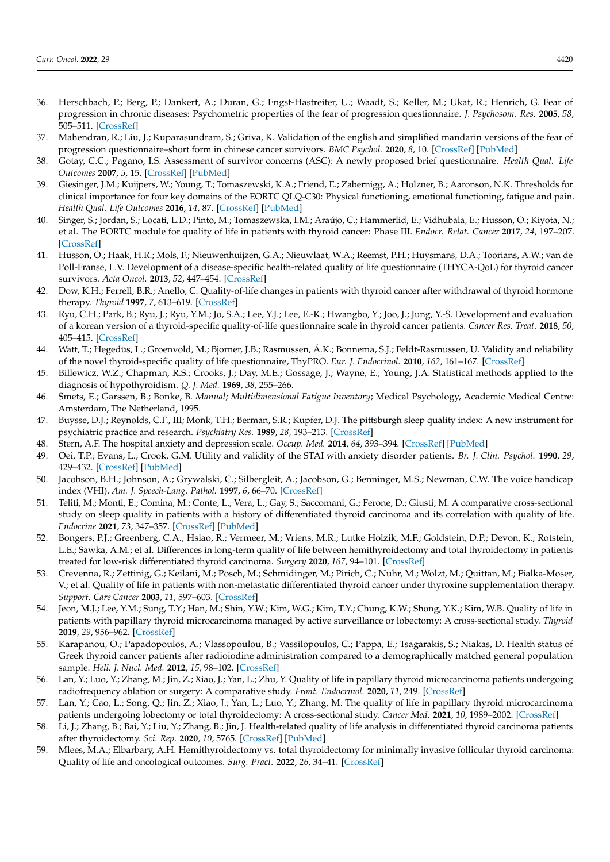- <span id="page-34-0"></span>36. Herschbach, P.; Berg, P.; Dankert, A.; Duran, G.; Engst-Hastreiter, U.; Waadt, S.; Keller, M.; Ukat, R.; Henrich, G. Fear of progression in chronic diseases: Psychometric properties of the fear of progression questionnaire. *J. Psychosom. Res.* **2005**, *58*, 505–511. [\[CrossRef\]](http://doi.org/10.1016/j.jpsychores.2005.02.007)
- <span id="page-34-1"></span>37. Mahendran, R.; Liu, J.; Kuparasundram, S.; Griva, K. Validation of the english and simplified mandarin versions of the fear of progression questionnaire–short form in chinese cancer survivors. *BMC Psychol.* **2020**, *8*, 10. [\[CrossRef\]](http://doi.org/10.1186/s40359-020-0374-0) [\[PubMed\]](http://www.ncbi.nlm.nih.gov/pubmed/32005291)
- <span id="page-34-2"></span>38. Gotay, C.C.; Pagano, I.S. Assessment of survivor concerns (ASC): A newly proposed brief questionnaire. *Health Qual. Life Outcomes* **2007**, *5*, 15. [\[CrossRef\]](http://doi.org/10.1186/1477-7525-5-15) [\[PubMed\]](http://www.ncbi.nlm.nih.gov/pubmed/17352831)
- <span id="page-34-3"></span>39. Giesinger, J.M.; Kuijpers, W.; Young, T.; Tomaszewski, K.A.; Friend, E.; Zabernigg, A.; Holzner, B.; Aaronson, N.K. Thresholds for clinical importance for four key domains of the EORTC QLQ-C30: Physical functioning, emotional functioning, fatigue and pain. *Health Qual. Life Outcomes* **2016**, *14*, 87. [\[CrossRef\]](http://doi.org/10.1186/s12955-016-0489-4) [\[PubMed\]](http://www.ncbi.nlm.nih.gov/pubmed/27267486)
- <span id="page-34-4"></span>40. Singer, S.; Jordan, S.; Locati, L.D.; Pinto, M.; Tomaszewska, I.M.; Araújo, C.; Hammerlid, E.; Vidhubala, E.; Husson, O.; Kiyota, N.; et al. The EORTC module for quality of life in patients with thyroid cancer: Phase III. *Endocr. Relat. Cancer* **2017**, *24*, 197–207. [\[CrossRef\]](http://doi.org/10.1530/ERC-16-0530)
- <span id="page-34-27"></span><span id="page-34-5"></span>41. Husson, O.; Haak, H.R.; Mols, F.; Nieuwenhuijzen, G.A.; Nieuwlaat, W.A.; Reemst, P.H.; Huysmans, D.A.; Toorians, A.W.; van de Poll-Franse, L.V. Development of a disease-specific health-related quality of life questionnaire (THYCA-QoL) for thyroid cancer survivors. *Acta Oncol.* **2013**, *52*, 447–454. [\[CrossRef\]](http://doi.org/10.3109/0284186X.2012.718445)
- <span id="page-34-28"></span><span id="page-34-6"></span>42. Dow, K.H.; Ferrell, B.R.; Anello, C. Quality-of-life changes in patients with thyroid cancer after withdrawal of thyroid hormone therapy. *Thyroid* **1997**, *7*, 613–619. [\[CrossRef\]](http://doi.org/10.1089/thy.1997.7.613)
- <span id="page-34-24"></span><span id="page-34-7"></span>43. Ryu, C.H.; Park, B.; Ryu, J.; Ryu, Y.M.; Jo, S.A.; Lee, Y.J.; Lee, E.-K.; Hwangbo, Y.; Joo, J.; Jung, Y.-S. Development and evaluation of a korean version of a thyroid-specific quality-of-life questionnaire scale in thyroid cancer patients. *Cancer Res. Treat.* **2018**, *50*, 405–415. [\[CrossRef\]](http://doi.org/10.4143/crt.2017.012)
- <span id="page-34-32"></span><span id="page-34-8"></span>44. Watt, T.; Hegedüs, L.; Groenvold, M.; Bjorner, J.B.; Rasmussen, Å.K.; Bonnema, S.J.; Feldt-Rasmussen, U. Validity and reliability of the novel thyroid-specific quality of life questionnaire, ThyPRO. *Eur. J. Endocrinol.* **2010**, *162*, 161–167. [\[CrossRef\]](http://doi.org/10.1530/EJE-09-0521)
- <span id="page-34-9"></span>45. Billewicz, W.Z.; Chapman, R.S.; Crooks, J.; Day, M.E.; Gossage, J.; Wayne, E.; Young, J.A. Statistical methods applied to the diagnosis of hypothyroidism. *Q. J. Med.* **1969**, *38*, 255–266.
- <span id="page-34-25"></span><span id="page-34-10"></span>46. Smets, E.; Garssen, B.; Bonke, B. *Manual; Multidimensional Fatigue Inventory*; Medical Psychology, Academic Medical Centre: Amsterdam, The Netherland, 1995.
- <span id="page-34-30"></span><span id="page-34-11"></span>47. Buysse, D.J.; Reynolds, C.F., III; Monk, T.H.; Berman, S.R.; Kupfer, D.J. The pittsburgh sleep quality index: A new instrument for psychiatric practice and research. *Psychiatry Res.* **1989**, *28*, 193–213. [\[CrossRef\]](http://doi.org/10.1016/0165-1781(89)90047-4)
- <span id="page-34-29"></span><span id="page-34-12"></span>48. Stern, A.F. The hospital anxiety and depression scale. *Occup. Med.* **2014**, *64*, 393–394. [\[CrossRef\]](http://doi.org/10.1093/occmed/kqu024) [\[PubMed\]](http://www.ncbi.nlm.nih.gov/pubmed/25005549)
- <span id="page-34-13"></span>49. Oei, T.P.; Evans, L.; Crook, G.M. Utility and validity of the STAI with anxiety disorder patients. *Br. J. Clin. Psychol.* **1990**, *29*, 429–432. [\[CrossRef\]](http://doi.org/10.1111/j.2044-8260.1990.tb00906.x) [\[PubMed\]](http://www.ncbi.nlm.nih.gov/pubmed/2289078)
- <span id="page-34-26"></span><span id="page-34-14"></span>50. Jacobson, B.H.; Johnson, A.; Grywalski, C.; Silbergleit, A.; Jacobson, G.; Benninger, M.S.; Newman, C.W. The voice handicap index (VHI). *Am. J. Speech-Lang. Pathol.* **1997**, *6*, 66–70. [\[CrossRef\]](http://doi.org/10.1044/1058-0360.0603.66)
- <span id="page-34-31"></span><span id="page-34-15"></span>51. Teliti, M.; Monti, E.; Comina, M.; Conte, L.; Vera, L.; Gay, S.; Saccomani, G.; Ferone, D.; Giusti, M. A comparative cross-sectional study on sleep quality in patients with a history of differentiated thyroid carcinoma and its correlation with quality of life. *Endocrine* **2021**, *73*, 347–357. [\[CrossRef\]](http://doi.org/10.1007/s12020-020-02591-z) [\[PubMed\]](http://www.ncbi.nlm.nih.gov/pubmed/33537955)
- <span id="page-34-16"></span>52. Bongers, P.J.; Greenberg, C.A.; Hsiao, R.; Vermeer, M.; Vriens, M.R.; Lutke Holzik, M.F.; Goldstein, D.P.; Devon, K.; Rotstein, L.E.; Sawka, A.M.; et al. Differences in long-term quality of life between hemithyroidectomy and total thyroidectomy in patients treated for low-risk differentiated thyroid carcinoma. *Surgery* **2020**, *167*, 94–101. [\[CrossRef\]](http://doi.org/10.1016/j.surg.2019.04.060)
- <span id="page-34-17"></span>53. Crevenna, R.; Zettinig, G.; Keilani, M.; Posch, M.; Schmidinger, M.; Pirich, C.; Nuhr, M.; Wolzt, M.; Quittan, M.; Fialka-Moser, V.; et al. Quality of life in patients with non-metastatic differentiated thyroid cancer under thyroxine supplementation therapy. *Support. Care Cancer* **2003**, *11*, 597–603. [\[CrossRef\]](http://doi.org/10.1007/s00520-003-0474-4)
- <span id="page-34-18"></span>54. Jeon, M.J.; Lee, Y.M.; Sung, T.Y.; Han, M.; Shin, Y.W.; Kim, W.G.; Kim, T.Y.; Chung, K.W.; Shong, Y.K.; Kim, W.B. Quality of life in patients with papillary thyroid microcarcinoma managed by active surveillance or lobectomy: A cross-sectional study. *Thyroid* **2019**, *29*, 956–962. [\[CrossRef\]](http://doi.org/10.1089/thy.2018.0711)
- <span id="page-34-19"></span>55. Karapanou, O.; Papadopoulos, A.; Vlassopoulou, B.; Vassilopoulos, C.; Pappa, E.; Tsagarakis, S.; Niakas, D. Health status of Greek thyroid cancer patients after radioiodine administration compared to a demographically matched general population sample. *Hell. J. Nucl. Med.* **2012**, *15*, 98–102. [\[CrossRef\]](http://doi.org/10.1967/s002449910028)
- <span id="page-34-20"></span>56. Lan, Y.; Luo, Y.; Zhang, M.; Jin, Z.; Xiao, J.; Yan, L.; Zhu, Y. Quality of life in papillary thyroid microcarcinoma patients undergoing radiofrequency ablation or surgery: A comparative study. *Front. Endocrinol.* **2020**, *11*, 249. [\[CrossRef\]](http://doi.org/10.3389/fendo.2020.00249)
- <span id="page-34-21"></span>57. Lan, Y.; Cao, L.; Song, Q.; Jin, Z.; Xiao, J.; Yan, L.; Luo, Y.; Zhang, M. The quality of life in papillary thyroid microcarcinoma patients undergoing lobectomy or total thyroidectomy: A cross-sectional study. *Cancer Med.* **2021**, *10*, 1989–2002. [\[CrossRef\]](http://doi.org/10.1002/cam4.3747)
- <span id="page-34-22"></span>58. Li, J.; Zhang, B.; Bai, Y.; Liu, Y.; Zhang, B.; Jin, J. Health-related quality of life analysis in differentiated thyroid carcinoma patients after thyroidectomy. *Sci. Rep.* **2020**, *10*, 5765. [\[CrossRef\]](http://doi.org/10.1038/s41598-020-62731-3) [\[PubMed\]](http://www.ncbi.nlm.nih.gov/pubmed/32238870)
- <span id="page-34-23"></span>59. Mlees, M.A.; Elbarbary, A.H. Hemithyroidectomy vs. total thyroidectomy for minimally invasive follicular thyroid carcinoma: Quality of life and oncological outcomes. *Surg. Pract.* **2022**, *26*, 34–41. [\[CrossRef\]](http://doi.org/10.1111/1744-1633.12555)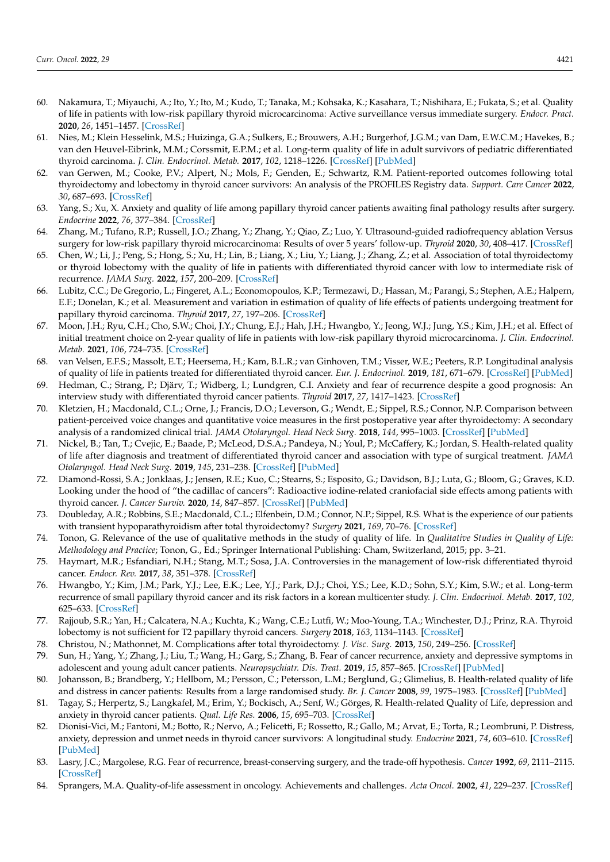- <span id="page-35-24"></span><span id="page-35-23"></span><span id="page-35-22"></span><span id="page-35-21"></span><span id="page-35-20"></span><span id="page-35-19"></span><span id="page-35-18"></span><span id="page-35-15"></span><span id="page-35-14"></span><span id="page-35-0"></span>60. Nakamura, T.; Miyauchi, A.; Ito, Y.; Ito, M.; Kudo, T.; Tanaka, M.; Kohsaka, K.; Kasahara, T.; Nishihara, E.; Fukata, S.; et al. Quality of life in patients with low-risk papillary thyroid microcarcinoma: Active surveillance versus immediate surgery. *Endocr. Pract.* **2020**, *26*, 1451–1457. [\[CrossRef\]](http://doi.org/10.4158/EP-2020-0201)
- <span id="page-35-27"></span><span id="page-35-17"></span><span id="page-35-1"></span>61. Nies, M.; Klein Hesselink, M.S.; Huizinga, G.A.; Sulkers, E.; Brouwers, A.H.; Burgerhof, J.G.M.; van Dam, E.W.C.M.; Havekes, B.; van den Heuvel-Eibrink, M.M.; Corssmit, E.P.M.; et al. Long-term quality of life in adult survivors of pediatric differentiated thyroid carcinoma. *J. Clin. Endocrinol. Metab.* **2017**, *102*, 1218–1226. [\[CrossRef\]](http://doi.org/10.1210/jc.2016-2246) [\[PubMed\]](http://www.ncbi.nlm.nih.gov/pubmed/28001468)
- <span id="page-35-28"></span><span id="page-35-2"></span>62. van Gerwen, M.; Cooke, P.V.; Alpert, N.; Mols, F.; Genden, E.; Schwartz, R.M. Patient-reported outcomes following total thyroidectomy and lobectomy in thyroid cancer survivors: An analysis of the PROFILES Registry data. *Support. Care Cancer* **2022**, *30*, 687–693. [\[CrossRef\]](http://doi.org/10.1007/s00520-021-06355-x)
- <span id="page-35-3"></span>63. Yang, S.; Xu, X. Anxiety and quality of life among papillary thyroid cancer patients awaiting final pathology results after surgery. *Endocrine* **2022**, *76*, 377–384. [\[CrossRef\]](http://doi.org/10.1007/s12020-022-02996-y)
- <span id="page-35-26"></span><span id="page-35-4"></span>64. Zhang, M.; Tufano, R.P.; Russell, J.O.; Zhang, Y.; Zhang, Y.; Qiao, Z.; Luo, Y. Ultrasound-guided radiofrequency ablation Versus surgery for low-risk papillary thyroid microcarcinoma: Results of over 5 years' follow-up. *Thyroid* **2020**, *30*, 408–417. [\[CrossRef\]](http://doi.org/10.1089/thy.2019.0147)
- <span id="page-35-16"></span><span id="page-35-5"></span>65. Chen, W.; Li, J.; Peng, S.; Hong, S.; Xu, H.; Lin, B.; Liang, X.; Liu, Y.; Liang, J.; Zhang, Z.; et al. Association of total thyroidectomy or thyroid lobectomy with the quality of life in patients with differentiated thyroid cancer with low to intermediate risk of recurrence. *JAMA Surg.* **2022**, *157*, 200–209. [\[CrossRef\]](http://doi.org/10.1001/jamasurg.2021.6442)
- <span id="page-35-6"></span>66. Lubitz, C.C.; De Gregorio, L.; Fingeret, A.L.; Economopoulos, K.P.; Termezawi, D.; Hassan, M.; Parangi, S.; Stephen, A.E.; Halpern, E.F.; Donelan, K.; et al. Measurement and variation in estimation of quality of life effects of patients undergoing treatment for papillary thyroid carcinoma. *Thyroid* **2017**, *27*, 197–206. [\[CrossRef\]](http://doi.org/10.1089/thy.2016.0260)
- <span id="page-35-7"></span>67. Moon, J.H.; Ryu, C.H.; Cho, S.W.; Choi, J.Y.; Chung, E.J.; Hah, J.H.; Hwangbo, Y.; Jeong, W.J.; Jung, Y.S.; Kim, J.H.; et al. Effect of initial treatment choice on 2-year quality of life in patients with low-risk papillary thyroid microcarcinoma. *J. Clin. Endocrinol. Metab.* **2021**, *106*, 724–735. [\[CrossRef\]](http://doi.org/10.1210/clinem/dgaa889)
- <span id="page-35-8"></span>68. van Velsen, E.F.S.; Massolt, E.T.; Heersema, H.; Kam, B.L.R.; van Ginhoven, T.M.; Visser, W.E.; Peeters, R.P. Longitudinal analysis of quality of life in patients treated for differentiated thyroid cancer. *Eur. J. Endocrinol.* **2019**, *181*, 671–679. [\[CrossRef\]](http://doi.org/10.1530/EJE-19-0550) [\[PubMed\]](http://www.ncbi.nlm.nih.gov/pubmed/31639771)
- <span id="page-35-9"></span>69. Hedman, C.; Strang, P.; Djärv, T.; Widberg, I.; Lundgren, C.I. Anxiety and fear of recurrence despite a good prognosis: An interview study with differentiated thyroid cancer patients. *Thyroid* **2017**, *27*, 1417–1423. [\[CrossRef\]](http://doi.org/10.1089/thy.2017.0346)
- <span id="page-35-10"></span>70. Kletzien, H.; Macdonald, C.L.; Orne, J.; Francis, D.O.; Leverson, G.; Wendt, E.; Sippel, R.S.; Connor, N.P. Comparison between patient-perceived voice changes and quantitative voice measures in the first postoperative year after thyroidectomy: A secondary analysis of a randomized clinical trial. *JAMA Otolaryngol. Head Neck Surg.* **2018**, *144*, 995–1003. [\[CrossRef\]](http://doi.org/10.1001/jamaoto.2018.0309) [\[PubMed\]](http://www.ncbi.nlm.nih.gov/pubmed/29710208)
- <span id="page-35-11"></span>71. Nickel, B.; Tan, T.; Cvejic, E.; Baade, P.; McLeod, D.S.A.; Pandeya, N.; Youl, P.; McCaffery, K.; Jordan, S. Health-related quality of life after diagnosis and treatment of differentiated thyroid cancer and association with type of surgical treatment. *JAMA Otolaryngol. Head Neck Surg.* **2019**, *145*, 231–238. [\[CrossRef\]](http://doi.org/10.1001/jamaoto.2018.3870) [\[PubMed\]](http://www.ncbi.nlm.nih.gov/pubmed/30653212)
- <span id="page-35-12"></span>72. Diamond-Rossi, S.A.; Jonklaas, J.; Jensen, R.E.; Kuo, C.; Stearns, S.; Esposito, G.; Davidson, B.J.; Luta, G.; Bloom, G.; Graves, K.D. Looking under the hood of "the cadillac of cancers": Radioactive iodine-related craniofacial side effects among patients with thyroid cancer. *J. Cancer Surviv.* **2020**, *14*, 847–857. [\[CrossRef\]](http://doi.org/10.1007/s11764-020-00897-5) [\[PubMed\]](http://www.ncbi.nlm.nih.gov/pubmed/32506220)
- <span id="page-35-13"></span>73. Doubleday, A.R.; Robbins, S.E.; Macdonald, C.L.; Elfenbein, D.M.; Connor, N.P.; Sippel, R.S. What is the experience of our patients with transient hypoparathyroidism after total thyroidectomy? *Surgery* **2021**, *169*, 70–76. [\[CrossRef\]](http://doi.org/10.1016/j.surg.2020.04.029)
- <span id="page-35-25"></span>74. Tonon, G. Relevance of the use of qualitative methods in the study of quality of life. In *Qualitative Studies in Quality of Life: Methodology and Practice*; Tonon, G., Ed.; Springer International Publishing: Cham, Switzerland, 2015; pp. 3–21.
- <span id="page-35-29"></span>75. Haymart, M.R.; Esfandiari, N.H.; Stang, M.T.; Sosa, J.A. Controversies in the management of low-risk differentiated thyroid cancer. *Endocr. Rev.* **2017**, *38*, 351–378. [\[CrossRef\]](http://doi.org/10.1210/er.2017-00067)
- 76. Hwangbo, Y.; Kim, J.M.; Park, Y.J.; Lee, E.K.; Lee, Y.J.; Park, D.J.; Choi, Y.S.; Lee, K.D.; Sohn, S.Y.; Kim, S.W.; et al. Long-term recurrence of small papillary thyroid cancer and its risk factors in a korean multicenter study. *J. Clin. Endocrinol. Metab.* **2017**, *102*, 625–633. [\[CrossRef\]](http://doi.org/10.1210/jc.2016-2287)
- <span id="page-35-30"></span>77. Rajjoub, S.R.; Yan, H.; Calcatera, N.A.; Kuchta, K.; Wang, C.E.; Lutfi, W.; Moo-Young, T.A.; Winchester, D.J.; Prinz, R.A. Thyroid lobectomy is not sufficient for T2 papillary thyroid cancers. *Surgery* **2018**, *163*, 1134–1143. [\[CrossRef\]](http://doi.org/10.1016/j.surg.2017.12.026)
- <span id="page-35-31"></span>78. Christou, N.; Mathonnet, M. Complications after total thyroidectomy. *J. Visc. Surg.* **2013**, *150*, 249–256. [\[CrossRef\]](http://doi.org/10.1016/j.jviscsurg.2013.04.003)
- <span id="page-35-32"></span>79. Sun, H.; Yang, Y.; Zhang, J.; Liu, T.; Wang, H.; Garg, S.; Zhang, B. Fear of cancer recurrence, anxiety and depressive symptoms in adolescent and young adult cancer patients. *Neuropsychiatr. Dis. Treat.* **2019**, *15*, 857–865. [\[CrossRef\]](http://doi.org/10.2147/NDT.S202432) [\[PubMed\]](http://www.ncbi.nlm.nih.gov/pubmed/31118635)
- <span id="page-35-34"></span>80. Johansson, B.; Brandberg, Y.; Hellbom, M.; Persson, C.; Petersson, L.M.; Berglund, G.; Glimelius, B. Health-related quality of life and distress in cancer patients: Results from a large randomised study. *Br. J. Cancer* **2008**, *99*, 1975–1983. [\[CrossRef\]](http://doi.org/10.1038/sj.bjc.6604789) [\[PubMed\]](http://www.ncbi.nlm.nih.gov/pubmed/19018255)
- <span id="page-35-33"></span>81. Tagay, S.; Herpertz, S.; Langkafel, M.; Erim, Y.; Bockisch, A.; Senf, W.; Görges, R. Health-related Quality of Life, depression and anxiety in thyroid cancer patients. *Qual. Life Res.* **2006**, *15*, 695–703. [\[CrossRef\]](http://doi.org/10.1007/s11136-005-3689-7)
- <span id="page-35-35"></span>82. Dionisi-Vici, M.; Fantoni, M.; Botto, R.; Nervo, A.; Felicetti, F.; Rossetto, R.; Gallo, M.; Arvat, E.; Torta, R.; Leombruni, P. Distress, anxiety, depression and unmet needs in thyroid cancer survivors: A longitudinal study. *Endocrine* **2021**, *74*, 603–610. [\[CrossRef\]](http://doi.org/10.1007/s12020-021-02786-y) [\[PubMed\]](http://www.ncbi.nlm.nih.gov/pubmed/34143334)
- <span id="page-35-36"></span>83. Lasry, J.C.; Margolese, R.G. Fear of recurrence, breast-conserving surgery, and the trade-off hypothesis. *Cancer* **1992**, *69*, 2111–2115. [\[CrossRef\]](http://doi.org/10.1002/1097-0142(19920415)69:8<2111::AID-CNCR2820690817>3.0.CO;2-T)
- <span id="page-35-37"></span>84. Sprangers, M.A. Quality-of-life assessment in oncology. Achievements and challenges. *Acta Oncol.* **2002**, *41*, 229–237. [\[CrossRef\]](http://doi.org/10.1080/02841860260088764)